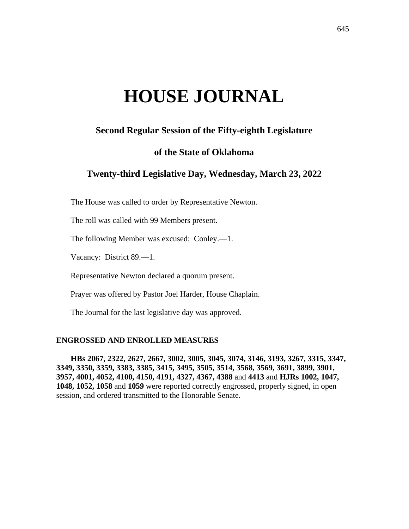# **HOUSE JOURNAL**

# **Second Regular Session of the Fifty-eighth Legislature**

# **of the State of Oklahoma**

# **Twenty-third Legislative Day, Wednesday, March 23, 2022**

The House was called to order by Representative Newton.

The roll was called with 99 Members present.

The following Member was excused: Conley.—1.

Vacancy: District 89.—1.

Representative Newton declared a quorum present.

Prayer was offered by Pastor Joel Harder, House Chaplain.

The Journal for the last legislative day was approved.

#### **ENGROSSED AND ENROLLED MEASURES**

**HBs 2067, 2322, 2627, 2667, 3002, 3005, 3045, 3074, 3146, 3193, 3267, 3315, 3347, 3349, 3350, 3359, 3383, 3385, 3415, 3495, 3505, 3514, 3568, 3569, 3691, 3899, 3901, 3957, 4001, 4052, 4100, 4150, 4191, 4327, 4367, 4388** and **4413** and **HJRs 1002, 1047, 1048, 1052, 1058** and **1059** were reported correctly engrossed, properly signed, in open session, and ordered transmitted to the Honorable Senate.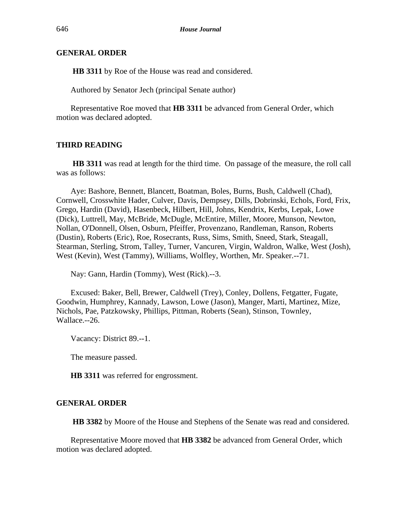# **GENERAL ORDER**

**HB 3311** by Roe of the House was read and considered.

Authored by Senator Jech (principal Senate author)

Representative Roe moved that **HB 3311** be advanced from General Order, which motion was declared adopted.

# **THIRD READING**

**HB 3311** was read at length for the third time. On passage of the measure, the roll call was as follows:

Aye: Bashore, Bennett, Blancett, Boatman, Boles, Burns, Bush, Caldwell (Chad), Cornwell, Crosswhite Hader, Culver, Davis, Dempsey, Dills, Dobrinski, Echols, Ford, Frix, Grego, Hardin (David), Hasenbeck, Hilbert, Hill, Johns, Kendrix, Kerbs, Lepak, Lowe (Dick), Luttrell, May, McBride, McDugle, McEntire, Miller, Moore, Munson, Newton, Nollan, O'Donnell, Olsen, Osburn, Pfeiffer, Provenzano, Randleman, Ranson, Roberts (Dustin), Roberts (Eric), Roe, Rosecrants, Russ, Sims, Smith, Sneed, Stark, Steagall, Stearman, Sterling, Strom, Talley, Turner, Vancuren, Virgin, Waldron, Walke, West (Josh), West (Kevin), West (Tammy), Williams, Wolfley, Worthen, Mr. Speaker.--71.

Nay: Gann, Hardin (Tommy), West (Rick).--3.

Excused: Baker, Bell, Brewer, Caldwell (Trey), Conley, Dollens, Fetgatter, Fugate, Goodwin, Humphrey, Kannady, Lawson, Lowe (Jason), Manger, Marti, Martinez, Mize, Nichols, Pae, Patzkowsky, Phillips, Pittman, Roberts (Sean), Stinson, Townley, Wallace.--26.

Vacancy: District 89.--1.

The measure passed.

**HB 3311** was referred for engrossment.

#### **GENERAL ORDER**

**HB 3382** by Moore of the House and Stephens of the Senate was read and considered.

Representative Moore moved that **HB 3382** be advanced from General Order, which motion was declared adopted.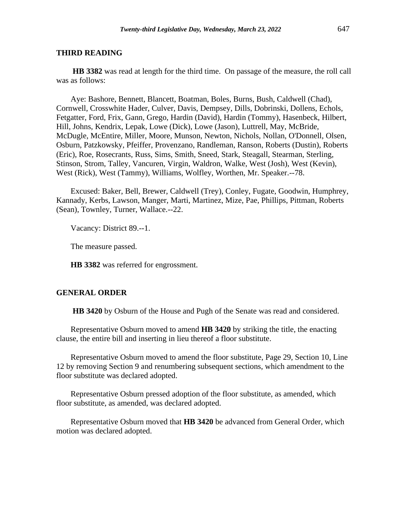**HB 3382** was read at length for the third time. On passage of the measure, the roll call was as follows:

Aye: Bashore, Bennett, Blancett, Boatman, Boles, Burns, Bush, Caldwell (Chad), Cornwell, Crosswhite Hader, Culver, Davis, Dempsey, Dills, Dobrinski, Dollens, Echols, Fetgatter, Ford, Frix, Gann, Grego, Hardin (David), Hardin (Tommy), Hasenbeck, Hilbert, Hill, Johns, Kendrix, Lepak, Lowe (Dick), Lowe (Jason), Luttrell, May, McBride, McDugle, McEntire, Miller, Moore, Munson, Newton, Nichols, Nollan, O'Donnell, Olsen, Osburn, Patzkowsky, Pfeiffer, Provenzano, Randleman, Ranson, Roberts (Dustin), Roberts (Eric), Roe, Rosecrants, Russ, Sims, Smith, Sneed, Stark, Steagall, Stearman, Sterling, Stinson, Strom, Talley, Vancuren, Virgin, Waldron, Walke, West (Josh), West (Kevin), West (Rick), West (Tammy), Williams, Wolfley, Worthen, Mr. Speaker.--78.

Excused: Baker, Bell, Brewer, Caldwell (Trey), Conley, Fugate, Goodwin, Humphrey, Kannady, Kerbs, Lawson, Manger, Marti, Martinez, Mize, Pae, Phillips, Pittman, Roberts (Sean), Townley, Turner, Wallace.--22.

Vacancy: District 89.--1.

The measure passed.

**HB 3382** was referred for engrossment.

#### **GENERAL ORDER**

**HB 3420** by Osburn of the House and Pugh of the Senate was read and considered.

Representative Osburn moved to amend **HB 3420** by striking the title, the enacting clause, the entire bill and inserting in lieu thereof a floor substitute.

Representative Osburn moved to amend the floor substitute, Page 29, Section 10, Line 12 by removing Section 9 and renumbering subsequent sections, which amendment to the floor substitute was declared adopted.

Representative Osburn pressed adoption of the floor substitute, as amended, which floor substitute, as amended, was declared adopted.

Representative Osburn moved that **HB 3420** be advanced from General Order, which motion was declared adopted.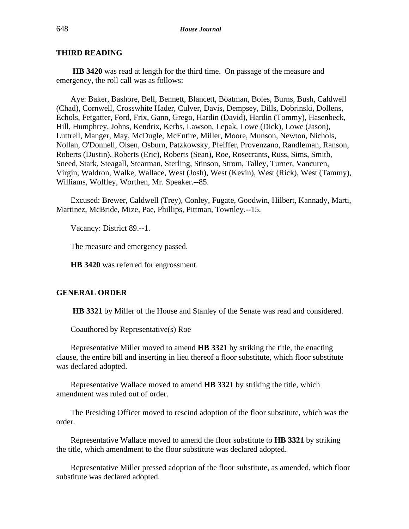**HB 3420** was read at length for the third time. On passage of the measure and emergency, the roll call was as follows:

Aye: Baker, Bashore, Bell, Bennett, Blancett, Boatman, Boles, Burns, Bush, Caldwell (Chad), Cornwell, Crosswhite Hader, Culver, Davis, Dempsey, Dills, Dobrinski, Dollens, Echols, Fetgatter, Ford, Frix, Gann, Grego, Hardin (David), Hardin (Tommy), Hasenbeck, Hill, Humphrey, Johns, Kendrix, Kerbs, Lawson, Lepak, Lowe (Dick), Lowe (Jason), Luttrell, Manger, May, McDugle, McEntire, Miller, Moore, Munson, Newton, Nichols, Nollan, O'Donnell, Olsen, Osburn, Patzkowsky, Pfeiffer, Provenzano, Randleman, Ranson, Roberts (Dustin), Roberts (Eric), Roberts (Sean), Roe, Rosecrants, Russ, Sims, Smith, Sneed, Stark, Steagall, Stearman, Sterling, Stinson, Strom, Talley, Turner, Vancuren, Virgin, Waldron, Walke, Wallace, West (Josh), West (Kevin), West (Rick), West (Tammy), Williams, Wolfley, Worthen, Mr. Speaker.--85.

Excused: Brewer, Caldwell (Trey), Conley, Fugate, Goodwin, Hilbert, Kannady, Marti, Martinez, McBride, Mize, Pae, Phillips, Pittman, Townley.--15.

Vacancy: District 89.--1.

The measure and emergency passed.

**HB 3420** was referred for engrossment.

#### **GENERAL ORDER**

**HB 3321** by Miller of the House and Stanley of the Senate was read and considered.

Coauthored by Representative(s) Roe

Representative Miller moved to amend **HB 3321** by striking the title, the enacting clause, the entire bill and inserting in lieu thereof a floor substitute, which floor substitute was declared adopted.

Representative Wallace moved to amend **HB 3321** by striking the title, which amendment was ruled out of order.

The Presiding Officer moved to rescind adoption of the floor substitute, which was the order.

Representative Wallace moved to amend the floor substitute to **HB 3321** by striking the title, which amendment to the floor substitute was declared adopted.

Representative Miller pressed adoption of the floor substitute, as amended, which floor substitute was declared adopted.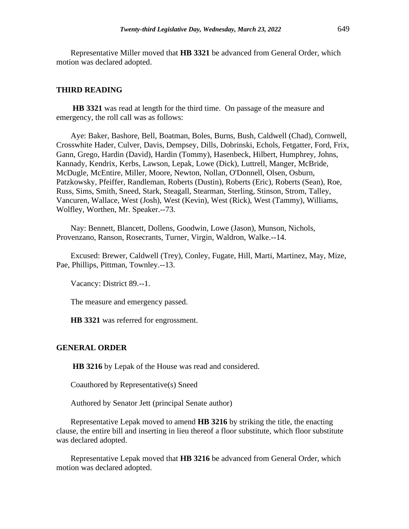Representative Miller moved that **HB 3321** be advanced from General Order, which motion was declared adopted.

#### **THIRD READING**

**HB 3321** was read at length for the third time. On passage of the measure and emergency, the roll call was as follows:

Aye: Baker, Bashore, Bell, Boatman, Boles, Burns, Bush, Caldwell (Chad), Cornwell, Crosswhite Hader, Culver, Davis, Dempsey, Dills, Dobrinski, Echols, Fetgatter, Ford, Frix, Gann, Grego, Hardin (David), Hardin (Tommy), Hasenbeck, Hilbert, Humphrey, Johns, Kannady, Kendrix, Kerbs, Lawson, Lepak, Lowe (Dick), Luttrell, Manger, McBride, McDugle, McEntire, Miller, Moore, Newton, Nollan, O'Donnell, Olsen, Osburn, Patzkowsky, Pfeiffer, Randleman, Roberts (Dustin), Roberts (Eric), Roberts (Sean), Roe, Russ, Sims, Smith, Sneed, Stark, Steagall, Stearman, Sterling, Stinson, Strom, Talley, Vancuren, Wallace, West (Josh), West (Kevin), West (Rick), West (Tammy), Williams, Wolfley, Worthen, Mr. Speaker.--73.

Nay: Bennett, Blancett, Dollens, Goodwin, Lowe (Jason), Munson, Nichols, Provenzano, Ranson, Rosecrants, Turner, Virgin, Waldron, Walke.--14.

Excused: Brewer, Caldwell (Trey), Conley, Fugate, Hill, Marti, Martinez, May, Mize, Pae, Phillips, Pittman, Townley.--13.

Vacancy: District 89.--1.

The measure and emergency passed.

**HB 3321** was referred for engrossment.

#### **GENERAL ORDER**

**HB 3216** by Lepak of the House was read and considered.

Coauthored by Representative(s) Sneed

Authored by Senator Jett (principal Senate author)

Representative Lepak moved to amend **HB 3216** by striking the title, the enacting clause, the entire bill and inserting in lieu thereof a floor substitute, which floor substitute was declared adopted.

Representative Lepak moved that **HB 3216** be advanced from General Order, which motion was declared adopted.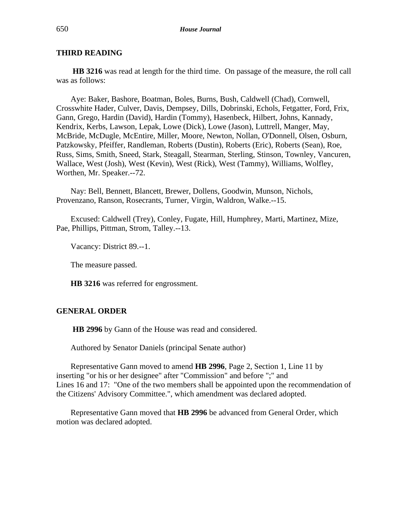**HB 3216** was read at length for the third time. On passage of the measure, the roll call was as follows:

Aye: Baker, Bashore, Boatman, Boles, Burns, Bush, Caldwell (Chad), Cornwell, Crosswhite Hader, Culver, Davis, Dempsey, Dills, Dobrinski, Echols, Fetgatter, Ford, Frix, Gann, Grego, Hardin (David), Hardin (Tommy), Hasenbeck, Hilbert, Johns, Kannady, Kendrix, Kerbs, Lawson, Lepak, Lowe (Dick), Lowe (Jason), Luttrell, Manger, May, McBride, McDugle, McEntire, Miller, Moore, Newton, Nollan, O'Donnell, Olsen, Osburn, Patzkowsky, Pfeiffer, Randleman, Roberts (Dustin), Roberts (Eric), Roberts (Sean), Roe, Russ, Sims, Smith, Sneed, Stark, Steagall, Stearman, Sterling, Stinson, Townley, Vancuren, Wallace, West (Josh), West (Kevin), West (Rick), West (Tammy), Williams, Wolfley, Worthen, Mr. Speaker.--72.

Nay: Bell, Bennett, Blancett, Brewer, Dollens, Goodwin, Munson, Nichols, Provenzano, Ranson, Rosecrants, Turner, Virgin, Waldron, Walke.--15.

Excused: Caldwell (Trey), Conley, Fugate, Hill, Humphrey, Marti, Martinez, Mize, Pae, Phillips, Pittman, Strom, Talley.--13.

Vacancy: District 89.--1.

The measure passed.

**HB 3216** was referred for engrossment.

# **GENERAL ORDER**

**HB 2996** by Gann of the House was read and considered.

Authored by Senator Daniels (principal Senate author)

Representative Gann moved to amend **HB 2996**, Page 2, Section 1, Line 11 by inserting "or his or her designee" after "Commission" and before ";" and Lines 16 and 17: "One of the two members shall be appointed upon the recommendation of the Citizens' Advisory Committee.", which amendment was declared adopted.

Representative Gann moved that **HB 2996** be advanced from General Order, which motion was declared adopted.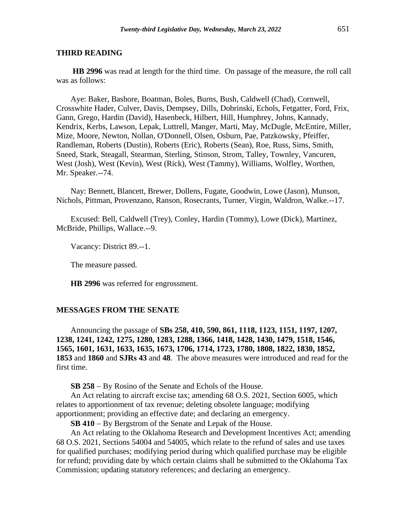**HB 2996** was read at length for the third time. On passage of the measure, the roll call was as follows:

Aye: Baker, Bashore, Boatman, Boles, Burns, Bush, Caldwell (Chad), Cornwell, Crosswhite Hader, Culver, Davis, Dempsey, Dills, Dobrinski, Echols, Fetgatter, Ford, Frix, Gann, Grego, Hardin (David), Hasenbeck, Hilbert, Hill, Humphrey, Johns, Kannady, Kendrix, Kerbs, Lawson, Lepak, Luttrell, Manger, Marti, May, McDugle, McEntire, Miller, Mize, Moore, Newton, Nollan, O'Donnell, Olsen, Osburn, Pae, Patzkowsky, Pfeiffer, Randleman, Roberts (Dustin), Roberts (Eric), Roberts (Sean), Roe, Russ, Sims, Smith, Sneed, Stark, Steagall, Stearman, Sterling, Stinson, Strom, Talley, Townley, Vancuren, West (Josh), West (Kevin), West (Rick), West (Tammy), Williams, Wolfley, Worthen, Mr. Speaker.--74.

Nay: Bennett, Blancett, Brewer, Dollens, Fugate, Goodwin, Lowe (Jason), Munson, Nichols, Pittman, Provenzano, Ranson, Rosecrants, Turner, Virgin, Waldron, Walke.--17.

Excused: Bell, Caldwell (Trey), Conley, Hardin (Tommy), Lowe (Dick), Martinez, McBride, Phillips, Wallace.--9.

Vacancy: District 89.--1.

The measure passed.

**HB 2996** was referred for engrossment.

## **MESSAGES FROM THE SENATE**

Announcing the passage of **SBs 258, 410, 590, 861, 1118, 1123, 1151, 1197, 1207, 1238, 1241, 1242, 1275, 1280, 1283, 1288, 1366, 1418, 1428, 1430, 1479, 1518, 1546, 1565, 1601, 1631, 1633, 1635, 1673, 1706, 1714, 1723, 1780, 1808, 1822, 1830, 1852, 1853** and **1860** and **SJRs 43** and **48**. The above measures were introduced and read for the first time.

**SB 258** − By Rosino of the Senate and Echols of the House.

An Act relating to aircraft excise tax; amending 68 O.S. 2021, Section 6005, which relates to apportionment of tax revenue; deleting obsolete language; modifying apportionment; providing an effective date; and declaring an emergency.

**SB 410** − By Bergstrom of the Senate and Lepak of the House.

An Act relating to the Oklahoma Research and Development Incentives Act; amending 68 O.S. 2021, Sections 54004 and 54005, which relate to the refund of sales and use taxes for qualified purchases; modifying period during which qualified purchase may be eligible for refund; providing date by which certain claims shall be submitted to the Oklahoma Tax Commission; updating statutory references; and declaring an emergency.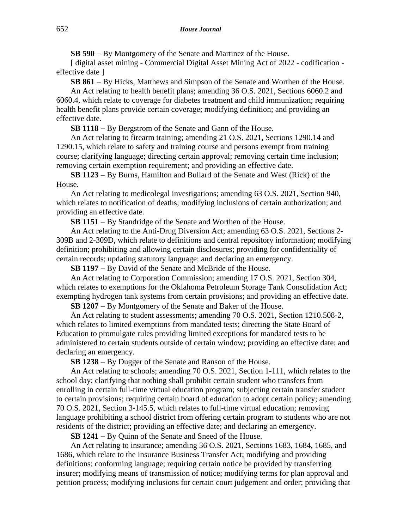**SB 590** − By Montgomery of the Senate and Martinez of the House.

[ digital asset mining - Commercial Digital Asset Mining Act of 2022 - codification effective date ]

**SB 861** − By Hicks, Matthews and Simpson of the Senate and Worthen of the House.

An Act relating to health benefit plans; amending 36 O.S. 2021, Sections 6060.2 and 6060.4, which relate to coverage for diabetes treatment and child immunization; requiring health benefit plans provide certain coverage; modifying definition; and providing an effective date.

**SB 1118** − By Bergstrom of the Senate and Gann of the House.

An Act relating to firearm training; amending 21 O.S. 2021, Sections 1290.14 and 1290.15, which relate to safety and training course and persons exempt from training course; clarifying language; directing certain approval; removing certain time inclusion; removing certain exemption requirement; and providing an effective date.

**SB 1123** − By Burns, Hamilton and Bullard of the Senate and West (Rick) of the House.

An Act relating to medicolegal investigations; amending 63 O.S. 2021, Section 940, which relates to notification of deaths; modifying inclusions of certain authorization; and providing an effective date.

**SB 1151** − By Standridge of the Senate and Worthen of the House.

An Act relating to the Anti-Drug Diversion Act; amending 63 O.S. 2021, Sections 2- 309B and 2-309D, which relate to definitions and central repository information; modifying definition; prohibiting and allowing certain disclosures; providing for confidentiality of certain records; updating statutory language; and declaring an emergency.

**SB 1197** − By David of the Senate and McBride of the House.

An Act relating to Corporation Commission; amending 17 O.S. 2021, Section 304, which relates to exemptions for the Oklahoma Petroleum Storage Tank Consolidation Act; exempting hydrogen tank systems from certain provisions; and providing an effective date.

**SB 1207** − By Montgomery of the Senate and Baker of the House.

An Act relating to student assessments; amending 70 O.S. 2021, Section 1210.508-2, which relates to limited exemptions from mandated tests; directing the State Board of Education to promulgate rules providing limited exceptions for mandated tests to be administered to certain students outside of certain window; providing an effective date; and declaring an emergency.

**SB 1238** − By Dugger of the Senate and Ranson of the House.

An Act relating to schools; amending 70 O.S. 2021, Section 1-111, which relates to the school day; clarifying that nothing shall prohibit certain student who transfers from enrolling in certain full-time virtual education program; subjecting certain transfer student to certain provisions; requiring certain board of education to adopt certain policy; amending 70 O.S. 2021, Section 3-145.5, which relates to full-time virtual education; removing language prohibiting a school district from offering certain program to students who are not residents of the district; providing an effective date; and declaring an emergency.

**SB 1241** − By Quinn of the Senate and Sneed of the House.

An Act relating to insurance; amending 36 O.S. 2021, Sections 1683, 1684, 1685, and 1686, which relate to the Insurance Business Transfer Act; modifying and providing definitions; conforming language; requiring certain notice be provided by transferring insurer; modifying means of transmission of notice; modifying terms for plan approval and petition process; modifying inclusions for certain court judgement and order; providing that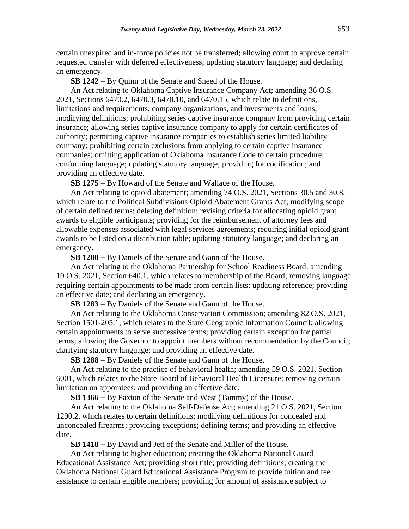certain unexpired and in-force policies not be transferred; allowing court to approve certain requested transfer with deferred effectiveness; updating statutory language; and declaring an emergency.

**SB 1242** − By Quinn of the Senate and Sneed of the House.

An Act relating to Oklahoma Captive Insurance Company Act; amending 36 O.S. 2021, Sections 6470.2, 6470.3, 6470.10, and 6470.15, which relate to definitions, limitations and requirements, company organizations, and investments and loans; modifying definitions; prohibiting series captive insurance company from providing certain insurance; allowing series captive insurance company to apply for certain certificates of authority; permitting captive insurance companies to establish series limited liability company; prohibiting certain exclusions from applying to certain captive insurance companies; omitting application of Oklahoma Insurance Code to certain procedure; conforming language; updating statutory language; providing for codification; and providing an effective date.

**SB 1275** − By Howard of the Senate and Wallace of the House.

An Act relating to opioid abatement; amending 74 O.S. 2021, Sections 30.5 and 30.8, which relate to the Political Subdivisions Opioid Abatement Grants Act; modifying scope of certain defined terms; deleting definition; revising criteria for allocating opioid grant awards to eligible participants; providing for the reimbursement of attorney fees and allowable expenses associated with legal services agreements; requiring initial opioid grant awards to be listed on a distribution table; updating statutory language; and declaring an emergency.

**SB 1280** − By Daniels of the Senate and Gann of the House.

An Act relating to the Oklahoma Partnership for School Readiness Board; amending 10 O.S. 2021, Section 640.1, which relates to membership of the Board; removing language requiring certain appointments to be made from certain lists; updating reference; providing an effective date; and declaring an emergency.

**SB 1283** − By Daniels of the Senate and Gann of the House.

An Act relating to the Oklahoma Conservation Commission; amending 82 O.S. 2021, Section 1501-205.1, which relates to the State Geographic Information Council; allowing certain appointments to serve successive terms; providing certain exception for partial terms; allowing the Governor to appoint members without recommendation by the Council; clarifying statutory language; and providing an effective date.

**SB 1288** − By Daniels of the Senate and Gann of the House.

An Act relating to the practice of behavioral health; amending 59 O.S. 2021, Section 6001, which relates to the State Board of Behavioral Health Licensure; removing certain limitation on appointees; and providing an effective date.

**SB 1366** − By Paxton of the Senate and West (Tammy) of the House.

An Act relating to the Oklahoma Self-Defense Act; amending 21 O.S. 2021, Section 1290.2, which relates to certain definitions; modifying definitions for concealed and unconcealed firearms; providing exceptions; defining terms; and providing an effective date.

**SB 1418** − By David and Jett of the Senate and Miller of the House.

An Act relating to higher education; creating the Oklahoma National Guard Educational Assistance Act; providing short title; providing definitions; creating the Oklahoma National Guard Educational Assistance Program to provide tuition and fee assistance to certain eligible members; providing for amount of assistance subject to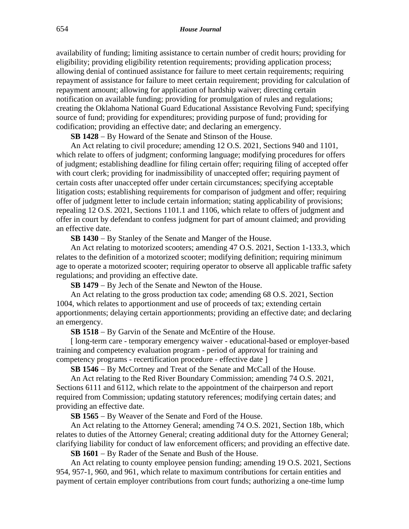availability of funding; limiting assistance to certain number of credit hours; providing for eligibility; providing eligibility retention requirements; providing application process; allowing denial of continued assistance for failure to meet certain requirements; requiring repayment of assistance for failure to meet certain requirement; providing for calculation of repayment amount; allowing for application of hardship waiver; directing certain notification on available funding; providing for promulgation of rules and regulations; creating the Oklahoma National Guard Educational Assistance Revolving Fund; specifying source of fund; providing for expenditures; providing purpose of fund; providing for codification; providing an effective date; and declaring an emergency.

**SB 1428** − By Howard of the Senate and Stinson of the House.

An Act relating to civil procedure; amending 12 O.S. 2021, Sections 940 and 1101, which relate to offers of judgment; conforming language; modifying procedures for offers of judgment; establishing deadline for filing certain offer; requiring filing of accepted offer with court clerk; providing for inadmissibility of unaccepted offer; requiring payment of certain costs after unaccepted offer under certain circumstances; specifying acceptable litigation costs; establishing requirements for comparison of judgment and offer; requiring offer of judgment letter to include certain information; stating applicability of provisions; repealing 12 O.S. 2021, Sections 1101.1 and 1106, which relate to offers of judgment and offer in court by defendant to confess judgment for part of amount claimed; and providing an effective date.

**SB 1430** − By Stanley of the Senate and Manger of the House.

An Act relating to motorized scooters; amending 47 O.S. 2021, Section 1-133.3, which relates to the definition of a motorized scooter; modifying definition; requiring minimum age to operate a motorized scooter; requiring operator to observe all applicable traffic safety regulations; and providing an effective date.

**SB 1479** − By Jech of the Senate and Newton of the House.

An Act relating to the gross production tax code; amending 68 O.S. 2021, Section 1004, which relates to apportionment and use of proceeds of tax; extending certain apportionments; delaying certain apportionments; providing an effective date; and declaring an emergency.

**SB 1518** − By Garvin of the Senate and McEntire of the House.

[ long-term care - temporary emergency waiver - educational-based or employer-based training and competency evaluation program - period of approval for training and competency programs - recertification procedure - effective date ]

**SB 1546** − By McCortney and Treat of the Senate and McCall of the House.

An Act relating to the Red River Boundary Commission; amending 74 O.S. 2021, Sections 6111 and 6112, which relate to the appointment of the chairperson and report required from Commission; updating statutory references; modifying certain dates; and providing an effective date.

**SB 1565** − By Weaver of the Senate and Ford of the House.

An Act relating to the Attorney General; amending 74 O.S. 2021, Section 18b, which relates to duties of the Attorney General; creating additional duty for the Attorney General; clarifying liability for conduct of law enforcement officers; and providing an effective date.

**SB 1601** − By Rader of the Senate and Bush of the House.

An Act relating to county employee pension funding; amending 19 O.S. 2021, Sections 954, 957-1, 960, and 961, which relate to maximum contributions for certain entities and payment of certain employer contributions from court funds; authorizing a one-time lump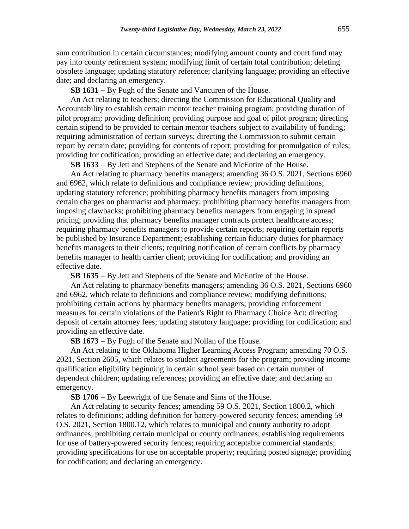sum contribution in certain circumstances; modifying amount county and court fund may pay into county retirement system; modifying limit of certain total contribution; deleting obsolete language; updating statutory reference; clarifying language; providing an effective date; and declaring an emergency.

**SB 1631** − By Pugh of the Senate and Vancuren of the House.

An Act relating to teachers; directing the Commission for Educational Quality and Accountability to establish certain mentor teacher training program; providing duration of pilot program; providing definition; providing purpose and goal of pilot program; directing certain stipend to be provided to certain mentor teachers subject to availability of funding; requiring administration of certain surveys; directing the Commission to submit certain report by certain date; providing for contents of report; providing for promulgation of rules; providing for codification; providing an effective date; and declaring an emergency.

**SB 1633** − By Jett and Stephens of the Senate and McEntire of the House.

An Act relating to pharmacy benefits managers; amending 36 O.S. 2021, Sections 6960 and 6962, which relate to definitions and compliance review; providing definitions; updating statutory reference; prohibiting pharmacy benefits managers from imposing certain charges on pharmacist and pharmacy; prohibiting pharmacy benefits managers from imposing clawbacks; prohibiting pharmacy benefits managers from engaging in spread pricing; providing that pharmacy benefits manager contracts protect healthcare access; requiring pharmacy benefits managers to provide certain reports; requiring certain reports be published by Insurance Department; establishing certain fiduciary duties for pharmacy benefits managers to their clients; requiring notification of certain conflicts by pharmacy benefits manager to health carrier client; providing for codification; and providing an effective date.

**SB 1635** − By Jett and Stephens of the Senate and McEntire of the House.

An Act relating to pharmacy benefits managers; amending 36 O.S. 2021, Sections 6960 and 6962, which relate to definitions and compliance review; modifying definitions; prohibiting certain actions by pharmacy benefits managers; providing enforcement measures for certain violations of the Patient's Right to Pharmacy Choice Act; directing deposit of certain attorney fees; updating statutory language; providing for codification; and providing an effective date.

**SB 1673** − By Pugh of the Senate and Nollan of the House.

An Act relating to the Oklahoma Higher Learning Access Program; amending 70 O.S. 2021, Section 2605, which relates to student agreements for the program; providing income qualification eligibility beginning in certain school year based on certain number of dependent children; updating references; providing an effective date; and declaring an emergency.

**SB 1706** − By Leewright of the Senate and Sims of the House.

An Act relating to security fences; amending 59 O.S. 2021, Section 1800.2, which relates to definitions; adding definition for battery-powered security fences; amending 59 O.S. 2021, Section 1800.12, which relates to municipal and county authority to adopt ordinances; prohibiting certain municipal or county ordinances; establishing requirements for use of battery-powered security fences; requiring acceptable commercial standards; providing specifications for use on acceptable property; requiring posted signage; providing for codification; and declaring an emergency.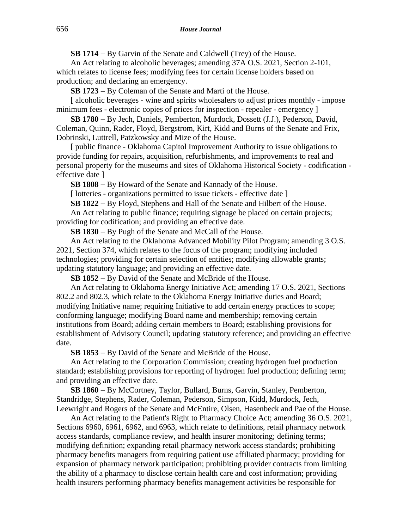**SB 1714** − By Garvin of the Senate and Caldwell (Trey) of the House.

An Act relating to alcoholic beverages; amending 37A O.S. 2021, Section 2-101, which relates to license fees; modifying fees for certain license holders based on production; and declaring an emergency.

**SB 1723** − By Coleman of the Senate and Marti of the House.

[ alcoholic beverages - wine and spirits wholesalers to adjust prices monthly - impose minimum fees - electronic copies of prices for inspection - repealer - emergency ]

**SB 1780** − By Jech, Daniels, Pemberton, Murdock, Dossett (J.J.), Pederson, David, Coleman, Quinn, Rader, Floyd, Bergstrom, Kirt, Kidd and Burns of the Senate and Frix, Dobrinski, Luttrell, Patzkowsky and Mize of the House.

[ public finance - Oklahoma Capitol Improvement Authority to issue obligations to provide funding for repairs, acquisition, refurbishments, and improvements to real and personal property for the museums and sites of Oklahoma Historical Society - codification effective date ]

**SB 1808** − By Howard of the Senate and Kannady of the House.

[ lotteries - organizations permitted to issue tickets - effective date ]

**SB 1822** − By Floyd, Stephens and Hall of the Senate and Hilbert of the House.

An Act relating to public finance; requiring signage be placed on certain projects; providing for codification; and providing an effective date.

**SB 1830** − By Pugh of the Senate and McCall of the House.

An Act relating to the Oklahoma Advanced Mobility Pilot Program; amending 3 O.S. 2021, Section 374, which relates to the focus of the program; modifying included technologies; providing for certain selection of entities; modifying allowable grants; updating statutory language; and providing an effective date.

**SB 1852** − By David of the Senate and McBride of the House.

An Act relating to Oklahoma Energy Initiative Act; amending 17 O.S. 2021, Sections 802.2 and 802.3, which relate to the Oklahoma Energy Initiative duties and Board; modifying Initiative name; requiring Initiative to add certain energy practices to scope; conforming language; modifying Board name and membership; removing certain institutions from Board; adding certain members to Board; establishing provisions for establishment of Advisory Council; updating statutory reference; and providing an effective date.

**SB 1853** − By David of the Senate and McBride of the House.

An Act relating to the Corporation Commission; creating hydrogen fuel production standard; establishing provisions for reporting of hydrogen fuel production; defining term; and providing an effective date.

**SB 1860** − By McCortney, Taylor, Bullard, Burns, Garvin, Stanley, Pemberton, Standridge, Stephens, Rader, Coleman, Pederson, Simpson, Kidd, Murdock, Jech, Leewright and Rogers of the Senate and McEntire, Olsen, Hasenbeck and Pae of the House.

An Act relating to the Patient's Right to Pharmacy Choice Act; amending 36 O.S. 2021, Sections 6960, 6961, 6962, and 6963, which relate to definitions, retail pharmacy network access standards, compliance review, and health insurer monitoring; defining terms; modifying definition; expanding retail pharmacy network access standards; prohibiting pharmacy benefits managers from requiring patient use affiliated pharmacy; providing for expansion of pharmacy network participation; prohibiting provider contracts from limiting the ability of a pharmacy to disclose certain health care and cost information; providing health insurers performing pharmacy benefits management activities be responsible for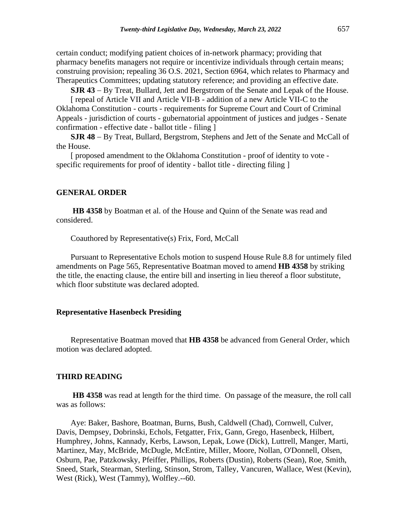certain conduct; modifying patient choices of in-network pharmacy; providing that pharmacy benefits managers not require or incentivize individuals through certain means; construing provision; repealing 36 O.S. 2021, Section 6964, which relates to Pharmacy and Therapeutics Committees; updating statutory reference; and providing an effective date.

**SJR 43** − By Treat, Bullard, Jett and Bergstrom of the Senate and Lepak of the House.

[ repeal of Article VII and Article VII-B - addition of a new Article VII-C to the Oklahoma Constitution - courts - requirements for Supreme Court and Court of Criminal Appeals - jurisdiction of courts - gubernatorial appointment of justices and judges - Senate confirmation - effective date - ballot title - filing ]

**SJR 48** − By Treat, Bullard, Bergstrom, Stephens and Jett of the Senate and McCall of the House.

[ proposed amendment to the Oklahoma Constitution - proof of identity to vote specific requirements for proof of identity - ballot title - directing filing ]

#### **GENERAL ORDER**

**HB 4358** by Boatman et al. of the House and Quinn of the Senate was read and considered.

Coauthored by Representative(s) Frix, Ford, McCall

Pursuant to Representative Echols motion to suspend House Rule 8.8 for untimely filed amendments on Page 565, Representative Boatman moved to amend **HB 4358** by striking the title, the enacting clause, the entire bill and inserting in lieu thereof a floor substitute, which floor substitute was declared adopted.

#### **Representative Hasenbeck Presiding**

Representative Boatman moved that **HB 4358** be advanced from General Order, which motion was declared adopted.

#### **THIRD READING**

**HB 4358** was read at length for the third time. On passage of the measure, the roll call was as follows:

Aye: Baker, Bashore, Boatman, Burns, Bush, Caldwell (Chad), Cornwell, Culver, Davis, Dempsey, Dobrinski, Echols, Fetgatter, Frix, Gann, Grego, Hasenbeck, Hilbert, Humphrey, Johns, Kannady, Kerbs, Lawson, Lepak, Lowe (Dick), Luttrell, Manger, Marti, Martinez, May, McBride, McDugle, McEntire, Miller, Moore, Nollan, O'Donnell, Olsen, Osburn, Pae, Patzkowsky, Pfeiffer, Phillips, Roberts (Dustin), Roberts (Sean), Roe, Smith, Sneed, Stark, Stearman, Sterling, Stinson, Strom, Talley, Vancuren, Wallace, West (Kevin), West (Rick), West (Tammy), Wolfley.--60.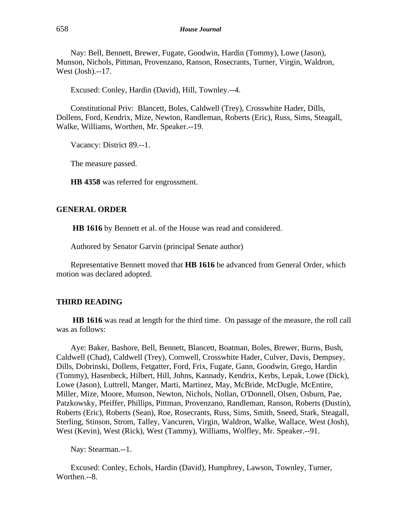Nay: Bell, Bennett, Brewer, Fugate, Goodwin, Hardin (Tommy), Lowe (Jason), Munson, Nichols, Pittman, Provenzano, Ranson, Rosecrants, Turner, Virgin, Waldron, West (Josh).--17.

Excused: Conley, Hardin (David), Hill, Townley.--4.

Constitutional Priv: Blancett, Boles, Caldwell (Trey), Crosswhite Hader, Dills, Dollens, Ford, Kendrix, Mize, Newton, Randleman, Roberts (Eric), Russ, Sims, Steagall, Walke, Williams, Worthen, Mr. Speaker.--19.

Vacancy: District 89.--1.

The measure passed.

**HB 4358** was referred for engrossment.

#### **GENERAL ORDER**

**HB 1616** by Bennett et al. of the House was read and considered.

Authored by Senator Garvin (principal Senate author)

Representative Bennett moved that **HB 1616** be advanced from General Order, which motion was declared adopted.

#### **THIRD READING**

**HB 1616** was read at length for the third time. On passage of the measure, the roll call was as follows:

Aye: Baker, Bashore, Bell, Bennett, Blancett, Boatman, Boles, Brewer, Burns, Bush, Caldwell (Chad), Caldwell (Trey), Cornwell, Crosswhite Hader, Culver, Davis, Dempsey, Dills, Dobrinski, Dollens, Fetgatter, Ford, Frix, Fugate, Gann, Goodwin, Grego, Hardin (Tommy), Hasenbeck, Hilbert, Hill, Johns, Kannady, Kendrix, Kerbs, Lepak, Lowe (Dick), Lowe (Jason), Luttrell, Manger, Marti, Martinez, May, McBride, McDugle, McEntire, Miller, Mize, Moore, Munson, Newton, Nichols, Nollan, O'Donnell, Olsen, Osburn, Pae, Patzkowsky, Pfeiffer, Phillips, Pittman, Provenzano, Randleman, Ranson, Roberts (Dustin), Roberts (Eric), Roberts (Sean), Roe, Rosecrants, Russ, Sims, Smith, Sneed, Stark, Steagall, Sterling, Stinson, Strom, Talley, Vancuren, Virgin, Waldron, Walke, Wallace, West (Josh), West (Kevin), West (Rick), West (Tammy), Williams, Wolfley, Mr. Speaker.--91.

Nay: Stearman.--1.

Excused: Conley, Echols, Hardin (David), Humphrey, Lawson, Townley, Turner, Worthen.--8.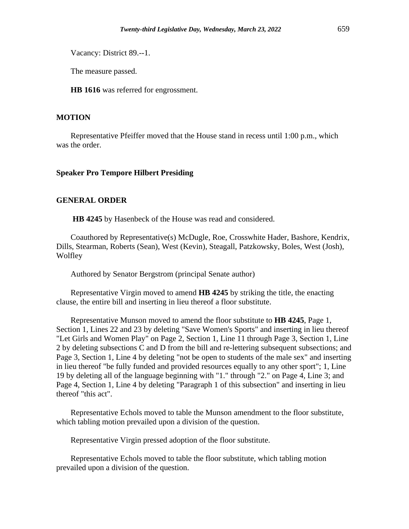Vacancy: District 89.--1.

The measure passed.

**HB 1616** was referred for engrossment.

## **MOTION**

Representative Pfeiffer moved that the House stand in recess until 1:00 p.m., which was the order.

#### **Speaker Pro Tempore Hilbert Presiding**

# **GENERAL ORDER**

**HB 4245** by Hasenbeck of the House was read and considered.

Coauthored by Representative(s) McDugle, Roe, Crosswhite Hader, Bashore, Kendrix, Dills, Stearman, Roberts (Sean), West (Kevin), Steagall, Patzkowsky, Boles, West (Josh), Wolfley

Authored by Senator Bergstrom (principal Senate author)

Representative Virgin moved to amend **HB 4245** by striking the title, the enacting clause, the entire bill and inserting in lieu thereof a floor substitute.

Representative Munson moved to amend the floor substitute to **HB 4245**, Page 1, Section 1, Lines 22 and 23 by deleting "Save Women's Sports" and inserting in lieu thereof "Let Girls and Women Play" on Page 2, Section 1, Line 11 through Page 3, Section 1, Line 2 by deleting subsections C and D from the bill and re-lettering subsequent subsections; and Page 3, Section 1, Line 4 by deleting "not be open to students of the male sex" and inserting in lieu thereof "be fully funded and provided resources equally to any other sport"; 1, Line 19 by deleting all of the language beginning with "1." through "2." on Page 4, Line 3; and Page 4, Section 1, Line 4 by deleting "Paragraph 1 of this subsection" and inserting in lieu thereof "this act".

Representative Echols moved to table the Munson amendment to the floor substitute, which tabling motion prevailed upon a division of the question.

Representative Virgin pressed adoption of the floor substitute.

Representative Echols moved to table the floor substitute, which tabling motion prevailed upon a division of the question.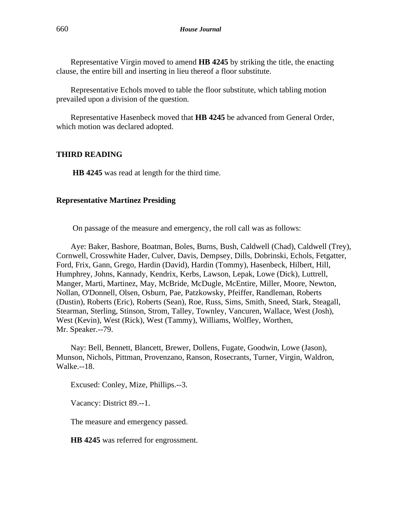Representative Virgin moved to amend **HB 4245** by striking the title, the enacting clause, the entire bill and inserting in lieu thereof a floor substitute.

Representative Echols moved to table the floor substitute, which tabling motion prevailed upon a division of the question.

Representative Hasenbeck moved that **HB 4245** be advanced from General Order, which motion was declared adopted.

# **THIRD READING**

**HB 4245** was read at length for the third time.

## **Representative Martinez Presiding**

On passage of the measure and emergency, the roll call was as follows:

Aye: Baker, Bashore, Boatman, Boles, Burns, Bush, Caldwell (Chad), Caldwell (Trey), Cornwell, Crosswhite Hader, Culver, Davis, Dempsey, Dills, Dobrinski, Echols, Fetgatter, Ford, Frix, Gann, Grego, Hardin (David), Hardin (Tommy), Hasenbeck, Hilbert, Hill, Humphrey, Johns, Kannady, Kendrix, Kerbs, Lawson, Lepak, Lowe (Dick), Luttrell, Manger, Marti, Martinez, May, McBride, McDugle, McEntire, Miller, Moore, Newton, Nollan, O'Donnell, Olsen, Osburn, Pae, Patzkowsky, Pfeiffer, Randleman, Roberts (Dustin), Roberts (Eric), Roberts (Sean), Roe, Russ, Sims, Smith, Sneed, Stark, Steagall, Stearman, Sterling, Stinson, Strom, Talley, Townley, Vancuren, Wallace, West (Josh), West (Kevin), West (Rick), West (Tammy), Williams, Wolfley, Worthen, Mr. Speaker.--79.

Nay: Bell, Bennett, Blancett, Brewer, Dollens, Fugate, Goodwin, Lowe (Jason), Munson, Nichols, Pittman, Provenzano, Ranson, Rosecrants, Turner, Virgin, Waldron, Walke.--18.

Excused: Conley, Mize, Phillips.--3.

Vacancy: District 89.--1.

The measure and emergency passed.

**HB 4245** was referred for engrossment.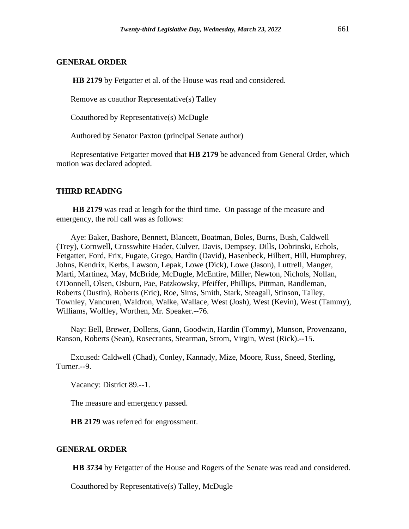#### **GENERAL ORDER**

**HB 2179** by Fetgatter et al. of the House was read and considered.

Remove as coauthor Representative(s) Talley

Coauthored by Representative(s) McDugle

Authored by Senator Paxton (principal Senate author)

Representative Fetgatter moved that **HB 2179** be advanced from General Order, which motion was declared adopted.

#### **THIRD READING**

**HB 2179** was read at length for the third time. On passage of the measure and emergency, the roll call was as follows:

Aye: Baker, Bashore, Bennett, Blancett, Boatman, Boles, Burns, Bush, Caldwell (Trey), Cornwell, Crosswhite Hader, Culver, Davis, Dempsey, Dills, Dobrinski, Echols, Fetgatter, Ford, Frix, Fugate, Grego, Hardin (David), Hasenbeck, Hilbert, Hill, Humphrey, Johns, Kendrix, Kerbs, Lawson, Lepak, Lowe (Dick), Lowe (Jason), Luttrell, Manger, Marti, Martinez, May, McBride, McDugle, McEntire, Miller, Newton, Nichols, Nollan, O'Donnell, Olsen, Osburn, Pae, Patzkowsky, Pfeiffer, Phillips, Pittman, Randleman, Roberts (Dustin), Roberts (Eric), Roe, Sims, Smith, Stark, Steagall, Stinson, Talley, Townley, Vancuren, Waldron, Walke, Wallace, West (Josh), West (Kevin), West (Tammy), Williams, Wolfley, Worthen, Mr. Speaker.--76.

Nay: Bell, Brewer, Dollens, Gann, Goodwin, Hardin (Tommy), Munson, Provenzano, Ranson, Roberts (Sean), Rosecrants, Stearman, Strom, Virgin, West (Rick).--15.

Excused: Caldwell (Chad), Conley, Kannady, Mize, Moore, Russ, Sneed, Sterling, Turner.--9.

Vacancy: District 89.--1.

The measure and emergency passed.

**HB 2179** was referred for engrossment.

# **GENERAL ORDER**

**HB 3734** by Fetgatter of the House and Rogers of the Senate was read and considered.

Coauthored by Representative(s) Talley, McDugle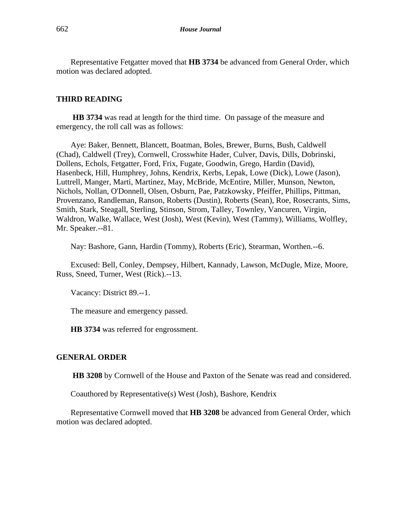Representative Fetgatter moved that **HB 3734** be advanced from General Order, which motion was declared adopted.

# **THIRD READING**

**HB 3734** was read at length for the third time. On passage of the measure and emergency, the roll call was as follows:

Aye: Baker, Bennett, Blancett, Boatman, Boles, Brewer, Burns, Bush, Caldwell (Chad), Caldwell (Trey), Cornwell, Crosswhite Hader, Culver, Davis, Dills, Dobrinski, Dollens, Echols, Fetgatter, Ford, Frix, Fugate, Goodwin, Grego, Hardin (David), Hasenbeck, Hill, Humphrey, Johns, Kendrix, Kerbs, Lepak, Lowe (Dick), Lowe (Jason), Luttrell, Manger, Marti, Martinez, May, McBride, McEntire, Miller, Munson, Newton, Nichols, Nollan, O'Donnell, Olsen, Osburn, Pae, Patzkowsky, Pfeiffer, Phillips, Pittman, Provenzano, Randleman, Ranson, Roberts (Dustin), Roberts (Sean), Roe, Rosecrants, Sims, Smith, Stark, Steagall, Sterling, Stinson, Strom, Talley, Townley, Vancuren, Virgin, Waldron, Walke, Wallace, West (Josh), West (Kevin), West (Tammy), Williams, Wolfley, Mr. Speaker.--81.

Nay: Bashore, Gann, Hardin (Tommy), Roberts (Eric), Stearman, Worthen.--6.

Excused: Bell, Conley, Dempsey, Hilbert, Kannady, Lawson, McDugle, Mize, Moore, Russ, Sneed, Turner, West (Rick).--13.

Vacancy: District 89.--1.

The measure and emergency passed.

**HB 3734** was referred for engrossment.

# **GENERAL ORDER**

**HB 3208** by Cornwell of the House and Paxton of the Senate was read and considered.

Coauthored by Representative(s) West (Josh), Bashore, Kendrix

Representative Cornwell moved that **HB 3208** be advanced from General Order, which motion was declared adopted.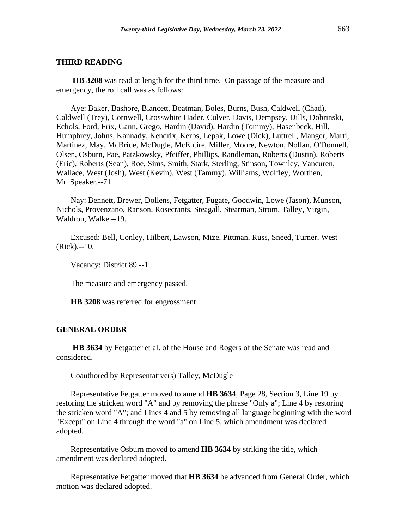**HB 3208** was read at length for the third time. On passage of the measure and emergency, the roll call was as follows:

Aye: Baker, Bashore, Blancett, Boatman, Boles, Burns, Bush, Caldwell (Chad), Caldwell (Trey), Cornwell, Crosswhite Hader, Culver, Davis, Dempsey, Dills, Dobrinski, Echols, Ford, Frix, Gann, Grego, Hardin (David), Hardin (Tommy), Hasenbeck, Hill, Humphrey, Johns, Kannady, Kendrix, Kerbs, Lepak, Lowe (Dick), Luttrell, Manger, Marti, Martinez, May, McBride, McDugle, McEntire, Miller, Moore, Newton, Nollan, O'Donnell, Olsen, Osburn, Pae, Patzkowsky, Pfeiffer, Phillips, Randleman, Roberts (Dustin), Roberts (Eric), Roberts (Sean), Roe, Sims, Smith, Stark, Sterling, Stinson, Townley, Vancuren, Wallace, West (Josh), West (Kevin), West (Tammy), Williams, Wolfley, Worthen, Mr. Speaker.--71.

Nay: Bennett, Brewer, Dollens, Fetgatter, Fugate, Goodwin, Lowe (Jason), Munson, Nichols, Provenzano, Ranson, Rosecrants, Steagall, Stearman, Strom, Talley, Virgin, Waldron, Walke.--19.

Excused: Bell, Conley, Hilbert, Lawson, Mize, Pittman, Russ, Sneed, Turner, West (Rick).--10.

Vacancy: District 89.--1.

The measure and emergency passed.

**HB 3208** was referred for engrossment.

#### **GENERAL ORDER**

**HB 3634** by Fetgatter et al. of the House and Rogers of the Senate was read and considered.

Coauthored by Representative(s) Talley, McDugle

Representative Fetgatter moved to amend **HB 3634**, Page 28, Section 3, Line 19 by restoring the stricken word "A" and by removing the phrase "Only a"; Line 4 by restoring the stricken word "A"; and Lines 4 and 5 by removing all language beginning with the word "Except" on Line 4 through the word "a" on Line 5, which amendment was declared adopted.

Representative Osburn moved to amend **HB 3634** by striking the title, which amendment was declared adopted.

Representative Fetgatter moved that **HB 3634** be advanced from General Order, which motion was declared adopted.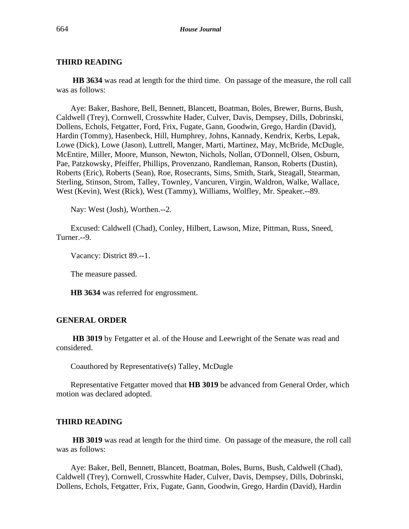**HB 3634** was read at length for the third time. On passage of the measure, the roll call was as follows:

Aye: Baker, Bashore, Bell, Bennett, Blancett, Boatman, Boles, Brewer, Burns, Bush, Caldwell (Trey), Cornwell, Crosswhite Hader, Culver, Davis, Dempsey, Dills, Dobrinski, Dollens, Echols, Fetgatter, Ford, Frix, Fugate, Gann, Goodwin, Grego, Hardin (David), Hardin (Tommy), Hasenbeck, Hill, Humphrey, Johns, Kannady, Kendrix, Kerbs, Lepak, Lowe (Dick), Lowe (Jason), Luttrell, Manger, Marti, Martinez, May, McBride, McDugle, McEntire, Miller, Moore, Munson, Newton, Nichols, Nollan, O'Donnell, Olsen, Osburn, Pae, Patzkowsky, Pfeiffer, Phillips, Provenzano, Randleman, Ranson, Roberts (Dustin), Roberts (Eric), Roberts (Sean), Roe, Rosecrants, Sims, Smith, Stark, Steagall, Stearman, Sterling, Stinson, Strom, Talley, Townley, Vancuren, Virgin, Waldron, Walke, Wallace, West (Kevin), West (Rick), West (Tammy), Williams, Wolfley, Mr. Speaker.--89.

Nay: West (Josh), Worthen.--2.

Excused: Caldwell (Chad), Conley, Hilbert, Lawson, Mize, Pittman, Russ, Sneed, Turner.--9.

Vacancy: District 89.--1.

The measure passed.

**HB 3634** was referred for engrossment.

#### **GENERAL ORDER**

**HB 3019** by Fetgatter et al. of the House and Leewright of the Senate was read and considered.

Coauthored by Representative(s) Talley, McDugle

Representative Fetgatter moved that **HB 3019** be advanced from General Order, which motion was declared adopted.

#### **THIRD READING**

**HB 3019** was read at length for the third time. On passage of the measure, the roll call was as follows:

Aye: Baker, Bell, Bennett, Blancett, Boatman, Boles, Burns, Bush, Caldwell (Chad), Caldwell (Trey), Cornwell, Crosswhite Hader, Culver, Davis, Dempsey, Dills, Dobrinski, Dollens, Echols, Fetgatter, Frix, Fugate, Gann, Goodwin, Grego, Hardin (David), Hardin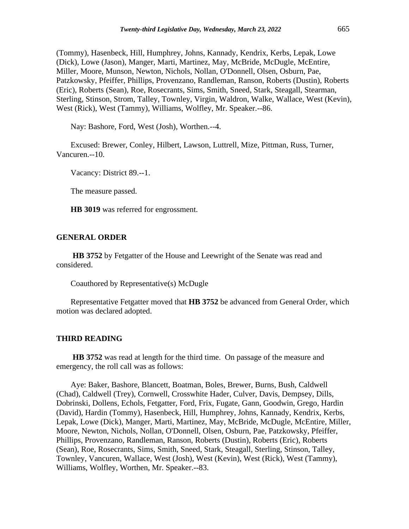(Tommy), Hasenbeck, Hill, Humphrey, Johns, Kannady, Kendrix, Kerbs, Lepak, Lowe (Dick), Lowe (Jason), Manger, Marti, Martinez, May, McBride, McDugle, McEntire, Miller, Moore, Munson, Newton, Nichols, Nollan, O'Donnell, Olsen, Osburn, Pae, Patzkowsky, Pfeiffer, Phillips, Provenzano, Randleman, Ranson, Roberts (Dustin), Roberts (Eric), Roberts (Sean), Roe, Rosecrants, Sims, Smith, Sneed, Stark, Steagall, Stearman, Sterling, Stinson, Strom, Talley, Townley, Virgin, Waldron, Walke, Wallace, West (Kevin), West (Rick), West (Tammy), Williams, Wolfley, Mr. Speaker.--86.

Nay: Bashore, Ford, West (Josh), Worthen.--4.

Excused: Brewer, Conley, Hilbert, Lawson, Luttrell, Mize, Pittman, Russ, Turner, Vancuren.--10.

Vacancy: District 89.--1.

The measure passed.

**HB 3019** was referred for engrossment.

#### **GENERAL ORDER**

**HB 3752** by Fetgatter of the House and Leewright of the Senate was read and considered.

Coauthored by Representative(s) McDugle

Representative Fetgatter moved that **HB 3752** be advanced from General Order, which motion was declared adopted.

#### **THIRD READING**

**HB 3752** was read at length for the third time. On passage of the measure and emergency, the roll call was as follows:

Aye: Baker, Bashore, Blancett, Boatman, Boles, Brewer, Burns, Bush, Caldwell (Chad), Caldwell (Trey), Cornwell, Crosswhite Hader, Culver, Davis, Dempsey, Dills, Dobrinski, Dollens, Echols, Fetgatter, Ford, Frix, Fugate, Gann, Goodwin, Grego, Hardin (David), Hardin (Tommy), Hasenbeck, Hill, Humphrey, Johns, Kannady, Kendrix, Kerbs, Lepak, Lowe (Dick), Manger, Marti, Martinez, May, McBride, McDugle, McEntire, Miller, Moore, Newton, Nichols, Nollan, O'Donnell, Olsen, Osburn, Pae, Patzkowsky, Pfeiffer, Phillips, Provenzano, Randleman, Ranson, Roberts (Dustin), Roberts (Eric), Roberts (Sean), Roe, Rosecrants, Sims, Smith, Sneed, Stark, Steagall, Sterling, Stinson, Talley, Townley, Vancuren, Wallace, West (Josh), West (Kevin), West (Rick), West (Tammy), Williams, Wolfley, Worthen, Mr. Speaker.--83.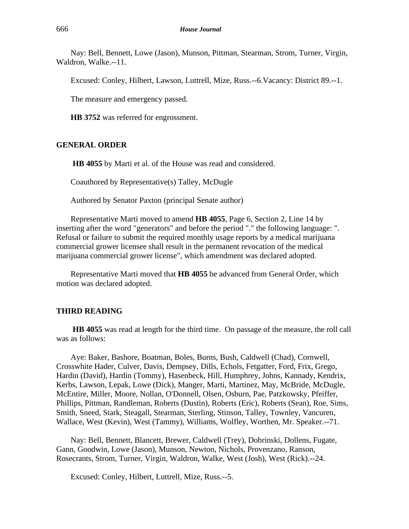Nay: Bell, Bennett, Lowe (Jason), Munson, Pittman, Stearman, Strom, Turner, Virgin, Waldron, Walke.--11.

Excused: Conley, Hilbert, Lawson, Luttrell, Mize, Russ.--6.Vacancy: District 89.--1.

The measure and emergency passed.

**HB 3752** was referred for engrossment.

#### **GENERAL ORDER**

**HB 4055** by Marti et al. of the House was read and considered.

Coauthored by Representative(s) Talley, McDugle

Authored by Senator Paxton (principal Senate author)

Representative Marti moved to amend **HB 4055**, Page 6, Section 2, Line 14 by inserting after the word "generators" and before the period "." the following language: ". Refusal or failure to submit the required monthly usage reports by a medical marijuana commercial grower licensee shall result in the permanent revocation of the medical marijuana commercial grower license", which amendment was declared adopted.

Representative Marti moved that **HB 4055** be advanced from General Order, which motion was declared adopted.

#### **THIRD READING**

**HB 4055** was read at length for the third time. On passage of the measure, the roll call was as follows:

Aye: Baker, Bashore, Boatman, Boles, Burns, Bush, Caldwell (Chad), Cornwell, Crosswhite Hader, Culver, Davis, Dempsey, Dills, Echols, Fetgatter, Ford, Frix, Grego, Hardin (David), Hardin (Tommy), Hasenbeck, Hill, Humphrey, Johns, Kannady, Kendrix, Kerbs, Lawson, Lepak, Lowe (Dick), Manger, Marti, Martinez, May, McBride, McDugle, McEntire, Miller, Moore, Nollan, O'Donnell, Olsen, Osburn, Pae, Patzkowsky, Pfeiffer, Phillips, Pittman, Randleman, Roberts (Dustin), Roberts (Eric), Roberts (Sean), Roe, Sims, Smith, Sneed, Stark, Steagall, Stearman, Sterling, Stinson, Talley, Townley, Vancuren, Wallace, West (Kevin), West (Tammy), Williams, Wolfley, Worthen, Mr. Speaker.--71.

Nay: Bell, Bennett, Blancett, Brewer, Caldwell (Trey), Dobrinski, Dollens, Fugate, Gann, Goodwin, Lowe (Jason), Munson, Newton, Nichols, Provenzano, Ranson, Rosecrants, Strom, Turner, Virgin, Waldron, Walke, West (Josh), West (Rick).--24.

Excused: Conley, Hilbert, Luttrell, Mize, Russ.--5.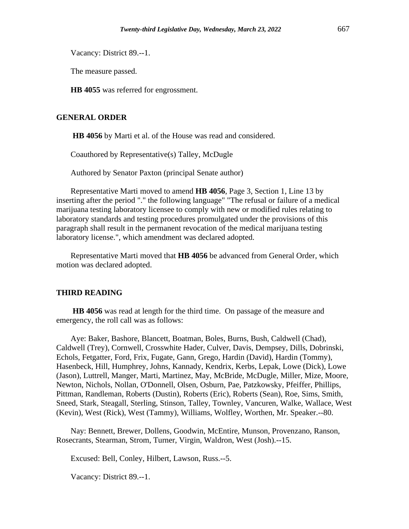Vacancy: District 89.--1.

The measure passed.

**HB 4055** was referred for engrossment.

# **GENERAL ORDER**

**HB 4056** by Marti et al. of the House was read and considered.

Coauthored by Representative(s) Talley, McDugle

Authored by Senator Paxton (principal Senate author)

Representative Marti moved to amend **HB 4056**, Page 3, Section 1, Line 13 by inserting after the period "." the following language" "The refusal or failure of a medical marijuana testing laboratory licensee to comply with new or modified rules relating to laboratory standards and testing procedures promulgated under the provisions of this paragraph shall result in the permanent revocation of the medical marijuana testing laboratory license.", which amendment was declared adopted.

Representative Marti moved that **HB 4056** be advanced from General Order, which motion was declared adopted.

#### **THIRD READING**

**HB 4056** was read at length for the third time. On passage of the measure and emergency, the roll call was as follows:

Aye: Baker, Bashore, Blancett, Boatman, Boles, Burns, Bush, Caldwell (Chad), Caldwell (Trey), Cornwell, Crosswhite Hader, Culver, Davis, Dempsey, Dills, Dobrinski, Echols, Fetgatter, Ford, Frix, Fugate, Gann, Grego, Hardin (David), Hardin (Tommy), Hasenbeck, Hill, Humphrey, Johns, Kannady, Kendrix, Kerbs, Lepak, Lowe (Dick), Lowe (Jason), Luttrell, Manger, Marti, Martinez, May, McBride, McDugle, Miller, Mize, Moore, Newton, Nichols, Nollan, O'Donnell, Olsen, Osburn, Pae, Patzkowsky, Pfeiffer, Phillips, Pittman, Randleman, Roberts (Dustin), Roberts (Eric), Roberts (Sean), Roe, Sims, Smith, Sneed, Stark, Steagall, Sterling, Stinson, Talley, Townley, Vancuren, Walke, Wallace, West (Kevin), West (Rick), West (Tammy), Williams, Wolfley, Worthen, Mr. Speaker.--80.

Nay: Bennett, Brewer, Dollens, Goodwin, McEntire, Munson, Provenzano, Ranson, Rosecrants, Stearman, Strom, Turner, Virgin, Waldron, West (Josh).--15.

Excused: Bell, Conley, Hilbert, Lawson, Russ.--5.

Vacancy: District 89.--1.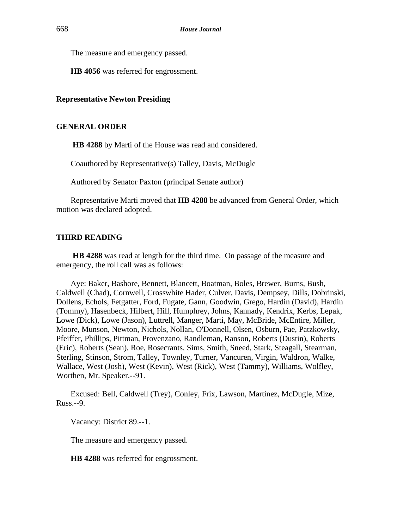The measure and emergency passed.

**HB 4056** was referred for engrossment.

## **Representative Newton Presiding**

#### **GENERAL ORDER**

**HB 4288** by Marti of the House was read and considered.

Coauthored by Representative(s) Talley, Davis, McDugle

Authored by Senator Paxton (principal Senate author)

Representative Marti moved that **HB 4288** be advanced from General Order, which motion was declared adopted.

#### **THIRD READING**

**HB 4288** was read at length for the third time. On passage of the measure and emergency, the roll call was as follows:

Aye: Baker, Bashore, Bennett, Blancett, Boatman, Boles, Brewer, Burns, Bush, Caldwell (Chad), Cornwell, Crosswhite Hader, Culver, Davis, Dempsey, Dills, Dobrinski, Dollens, Echols, Fetgatter, Ford, Fugate, Gann, Goodwin, Grego, Hardin (David), Hardin (Tommy), Hasenbeck, Hilbert, Hill, Humphrey, Johns, Kannady, Kendrix, Kerbs, Lepak, Lowe (Dick), Lowe (Jason), Luttrell, Manger, Marti, May, McBride, McEntire, Miller, Moore, Munson, Newton, Nichols, Nollan, O'Donnell, Olsen, Osburn, Pae, Patzkowsky, Pfeiffer, Phillips, Pittman, Provenzano, Randleman, Ranson, Roberts (Dustin), Roberts (Eric), Roberts (Sean), Roe, Rosecrants, Sims, Smith, Sneed, Stark, Steagall, Stearman, Sterling, Stinson, Strom, Talley, Townley, Turner, Vancuren, Virgin, Waldron, Walke, Wallace, West (Josh), West (Kevin), West (Rick), West (Tammy), Williams, Wolfley, Worthen, Mr. Speaker.--91.

Excused: Bell, Caldwell (Trey), Conley, Frix, Lawson, Martinez, McDugle, Mize, Russ.--9.

Vacancy: District 89.--1.

The measure and emergency passed.

**HB 4288** was referred for engrossment.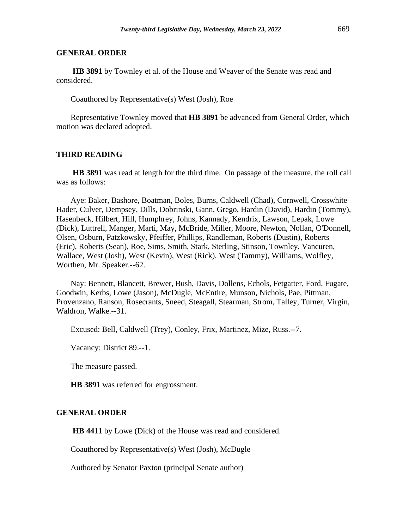#### **GENERAL ORDER**

**HB 3891** by Townley et al. of the House and Weaver of the Senate was read and considered.

Coauthored by Representative(s) West (Josh), Roe

Representative Townley moved that **HB 3891** be advanced from General Order, which motion was declared adopted.

#### **THIRD READING**

**HB 3891** was read at length for the third time. On passage of the measure, the roll call was as follows:

Aye: Baker, Bashore, Boatman, Boles, Burns, Caldwell (Chad), Cornwell, Crosswhite Hader, Culver, Dempsey, Dills, Dobrinski, Gann, Grego, Hardin (David), Hardin (Tommy), Hasenbeck, Hilbert, Hill, Humphrey, Johns, Kannady, Kendrix, Lawson, Lepak, Lowe (Dick), Luttrell, Manger, Marti, May, McBride, Miller, Moore, Newton, Nollan, O'Donnell, Olsen, Osburn, Patzkowsky, Pfeiffer, Phillips, Randleman, Roberts (Dustin), Roberts (Eric), Roberts (Sean), Roe, Sims, Smith, Stark, Sterling, Stinson, Townley, Vancuren, Wallace, West (Josh), West (Kevin), West (Rick), West (Tammy), Williams, Wolfley, Worthen, Mr. Speaker.--62.

Nay: Bennett, Blancett, Brewer, Bush, Davis, Dollens, Echols, Fetgatter, Ford, Fugate, Goodwin, Kerbs, Lowe (Jason), McDugle, McEntire, Munson, Nichols, Pae, Pittman, Provenzano, Ranson, Rosecrants, Sneed, Steagall, Stearman, Strom, Talley, Turner, Virgin, Waldron, Walke.--31.

Excused: Bell, Caldwell (Trey), Conley, Frix, Martinez, Mize, Russ.--7.

Vacancy: District 89.--1.

The measure passed.

**HB 3891** was referred for engrossment.

# **GENERAL ORDER**

**HB 4411** by Lowe (Dick) of the House was read and considered.

Coauthored by Representative(s) West (Josh), McDugle

Authored by Senator Paxton (principal Senate author)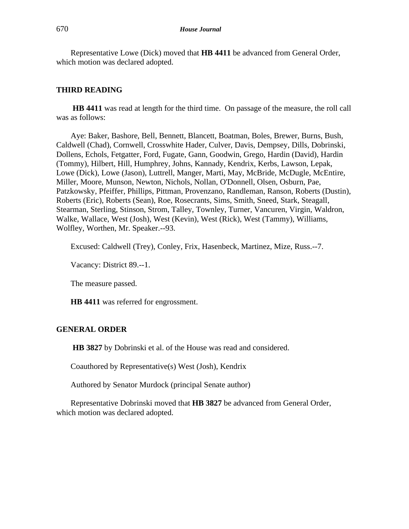Representative Lowe (Dick) moved that **HB 4411** be advanced from General Order, which motion was declared adopted.

#### **THIRD READING**

**HB 4411** was read at length for the third time. On passage of the measure, the roll call was as follows:

Aye: Baker, Bashore, Bell, Bennett, Blancett, Boatman, Boles, Brewer, Burns, Bush, Caldwell (Chad), Cornwell, Crosswhite Hader, Culver, Davis, Dempsey, Dills, Dobrinski, Dollens, Echols, Fetgatter, Ford, Fugate, Gann, Goodwin, Grego, Hardin (David), Hardin (Tommy), Hilbert, Hill, Humphrey, Johns, Kannady, Kendrix, Kerbs, Lawson, Lepak, Lowe (Dick), Lowe (Jason), Luttrell, Manger, Marti, May, McBride, McDugle, McEntire, Miller, Moore, Munson, Newton, Nichols, Nollan, O'Donnell, Olsen, Osburn, Pae, Patzkowsky, Pfeiffer, Phillips, Pittman, Provenzano, Randleman, Ranson, Roberts (Dustin), Roberts (Eric), Roberts (Sean), Roe, Rosecrants, Sims, Smith, Sneed, Stark, Steagall, Stearman, Sterling, Stinson, Strom, Talley, Townley, Turner, Vancuren, Virgin, Waldron, Walke, Wallace, West (Josh), West (Kevin), West (Rick), West (Tammy), Williams, Wolfley, Worthen, Mr. Speaker.--93.

Excused: Caldwell (Trey), Conley, Frix, Hasenbeck, Martinez, Mize, Russ.--7.

Vacancy: District 89.--1.

The measure passed.

**HB 4411** was referred for engrossment.

# **GENERAL ORDER**

**HB 3827** by Dobrinski et al. of the House was read and considered.

Coauthored by Representative(s) West (Josh), Kendrix

Authored by Senator Murdock (principal Senate author)

Representative Dobrinski moved that **HB 3827** be advanced from General Order, which motion was declared adopted.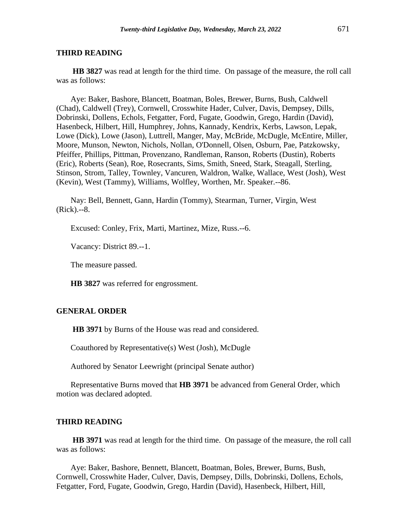**HB 3827** was read at length for the third time. On passage of the measure, the roll call was as follows:

Aye: Baker, Bashore, Blancett, Boatman, Boles, Brewer, Burns, Bush, Caldwell (Chad), Caldwell (Trey), Cornwell, Crosswhite Hader, Culver, Davis, Dempsey, Dills, Dobrinski, Dollens, Echols, Fetgatter, Ford, Fugate, Goodwin, Grego, Hardin (David), Hasenbeck, Hilbert, Hill, Humphrey, Johns, Kannady, Kendrix, Kerbs, Lawson, Lepak, Lowe (Dick), Lowe (Jason), Luttrell, Manger, May, McBride, McDugle, McEntire, Miller, Moore, Munson, Newton, Nichols, Nollan, O'Donnell, Olsen, Osburn, Pae, Patzkowsky, Pfeiffer, Phillips, Pittman, Provenzano, Randleman, Ranson, Roberts (Dustin), Roberts (Eric), Roberts (Sean), Roe, Rosecrants, Sims, Smith, Sneed, Stark, Steagall, Sterling, Stinson, Strom, Talley, Townley, Vancuren, Waldron, Walke, Wallace, West (Josh), West (Kevin), West (Tammy), Williams, Wolfley, Worthen, Mr. Speaker.--86.

Nay: Bell, Bennett, Gann, Hardin (Tommy), Stearman, Turner, Virgin, West (Rick).--8.

Excused: Conley, Frix, Marti, Martinez, Mize, Russ.--6.

Vacancy: District 89.--1.

The measure passed.

**HB 3827** was referred for engrossment.

#### **GENERAL ORDER**

**HB 3971** by Burns of the House was read and considered.

Coauthored by Representative(s) West (Josh), McDugle

Authored by Senator Leewright (principal Senate author)

Representative Burns moved that **HB 3971** be advanced from General Order, which motion was declared adopted.

#### **THIRD READING**

**HB 3971** was read at length for the third time. On passage of the measure, the roll call was as follows:

Aye: Baker, Bashore, Bennett, Blancett, Boatman, Boles, Brewer, Burns, Bush, Cornwell, Crosswhite Hader, Culver, Davis, Dempsey, Dills, Dobrinski, Dollens, Echols, Fetgatter, Ford, Fugate, Goodwin, Grego, Hardin (David), Hasenbeck, Hilbert, Hill,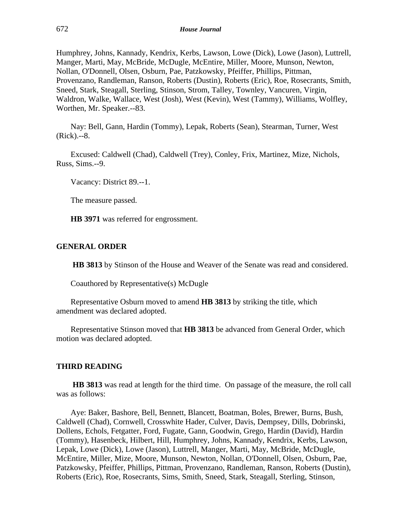Humphrey, Johns, Kannady, Kendrix, Kerbs, Lawson, Lowe (Dick), Lowe (Jason), Luttrell, Manger, Marti, May, McBride, McDugle, McEntire, Miller, Moore, Munson, Newton, Nollan, O'Donnell, Olsen, Osburn, Pae, Patzkowsky, Pfeiffer, Phillips, Pittman, Provenzano, Randleman, Ranson, Roberts (Dustin), Roberts (Eric), Roe, Rosecrants, Smith, Sneed, Stark, Steagall, Sterling, Stinson, Strom, Talley, Townley, Vancuren, Virgin, Waldron, Walke, Wallace, West (Josh), West (Kevin), West (Tammy), Williams, Wolfley, Worthen, Mr. Speaker.--83.

Nay: Bell, Gann, Hardin (Tommy), Lepak, Roberts (Sean), Stearman, Turner, West (Rick).--8.

Excused: Caldwell (Chad), Caldwell (Trey), Conley, Frix, Martinez, Mize, Nichols, Russ, Sims.--9.

Vacancy: District 89.--1.

The measure passed.

**HB 3971** was referred for engrossment.

#### **GENERAL ORDER**

**HB 3813** by Stinson of the House and Weaver of the Senate was read and considered.

Coauthored by Representative(s) McDugle

Representative Osburn moved to amend **HB 3813** by striking the title, which amendment was declared adopted.

Representative Stinson moved that **HB 3813** be advanced from General Order, which motion was declared adopted.

#### **THIRD READING**

**HB 3813** was read at length for the third time. On passage of the measure, the roll call was as follows:

Aye: Baker, Bashore, Bell, Bennett, Blancett, Boatman, Boles, Brewer, Burns, Bush, Caldwell (Chad), Cornwell, Crosswhite Hader, Culver, Davis, Dempsey, Dills, Dobrinski, Dollens, Echols, Fetgatter, Ford, Fugate, Gann, Goodwin, Grego, Hardin (David), Hardin (Tommy), Hasenbeck, Hilbert, Hill, Humphrey, Johns, Kannady, Kendrix, Kerbs, Lawson, Lepak, Lowe (Dick), Lowe (Jason), Luttrell, Manger, Marti, May, McBride, McDugle, McEntire, Miller, Mize, Moore, Munson, Newton, Nollan, O'Donnell, Olsen, Osburn, Pae, Patzkowsky, Pfeiffer, Phillips, Pittman, Provenzano, Randleman, Ranson, Roberts (Dustin), Roberts (Eric), Roe, Rosecrants, Sims, Smith, Sneed, Stark, Steagall, Sterling, Stinson,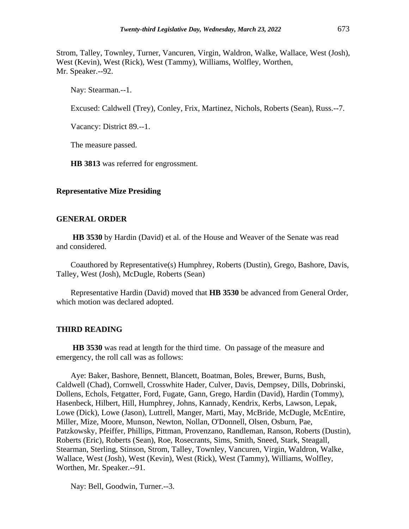Strom, Talley, Townley, Turner, Vancuren, Virgin, Waldron, Walke, Wallace, West (Josh), West (Kevin), West (Rick), West (Tammy), Williams, Wolfley, Worthen, Mr. Speaker.--92.

Nay: Stearman.--1.

Excused: Caldwell (Trey), Conley, Frix, Martinez, Nichols, Roberts (Sean), Russ.--7.

Vacancy: District 89.--1.

The measure passed.

**HB 3813** was referred for engrossment.

#### **Representative Mize Presiding**

#### **GENERAL ORDER**

**HB 3530** by Hardin (David) et al. of the House and Weaver of the Senate was read and considered.

Coauthored by Representative(s) Humphrey, Roberts (Dustin), Grego, Bashore, Davis, Talley, West (Josh), McDugle, Roberts (Sean)

Representative Hardin (David) moved that **HB 3530** be advanced from General Order, which motion was declared adopted.

#### **THIRD READING**

**HB 3530** was read at length for the third time. On passage of the measure and emergency, the roll call was as follows:

Aye: Baker, Bashore, Bennett, Blancett, Boatman, Boles, Brewer, Burns, Bush, Caldwell (Chad), Cornwell, Crosswhite Hader, Culver, Davis, Dempsey, Dills, Dobrinski, Dollens, Echols, Fetgatter, Ford, Fugate, Gann, Grego, Hardin (David), Hardin (Tommy), Hasenbeck, Hilbert, Hill, Humphrey, Johns, Kannady, Kendrix, Kerbs, Lawson, Lepak, Lowe (Dick), Lowe (Jason), Luttrell, Manger, Marti, May, McBride, McDugle, McEntire, Miller, Mize, Moore, Munson, Newton, Nollan, O'Donnell, Olsen, Osburn, Pae, Patzkowsky, Pfeiffer, Phillips, Pittman, Provenzano, Randleman, Ranson, Roberts (Dustin), Roberts (Eric), Roberts (Sean), Roe, Rosecrants, Sims, Smith, Sneed, Stark, Steagall, Stearman, Sterling, Stinson, Strom, Talley, Townley, Vancuren, Virgin, Waldron, Walke, Wallace, West (Josh), West (Kevin), West (Rick), West (Tammy), Williams, Wolfley, Worthen, Mr. Speaker.--91.

Nay: Bell, Goodwin, Turner.--3.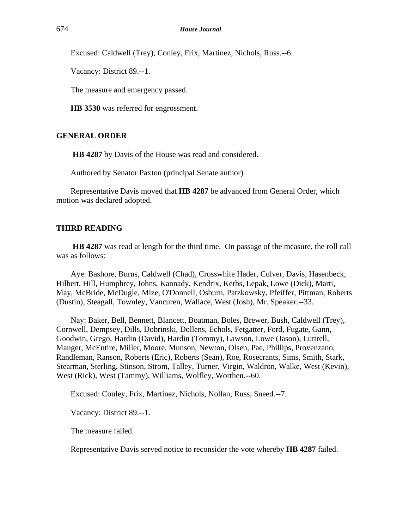Excused: Caldwell (Trey), Conley, Frix, Martinez, Nichols, Russ.--6.

Vacancy: District 89.--1.

The measure and emergency passed.

**HB 3530** was referred for engrossment.

## **GENERAL ORDER**

**HB 4287** by Davis of the House was read and considered.

Authored by Senator Paxton (principal Senate author)

Representative Davis moved that **HB 4287** be advanced from General Order, which motion was declared adopted.

# **THIRD READING**

**HB 4287** was read at length for the third time. On passage of the measure, the roll call was as follows:

Aye: Bashore, Burns, Caldwell (Chad), Crosswhite Hader, Culver, Davis, Hasenbeck, Hilbert, Hill, Humphrey, Johns, Kannady, Kendrix, Kerbs, Lepak, Lowe (Dick), Marti, May, McBride, McDugle, Mize, O'Donnell, Osburn, Patzkowsky, Pfeiffer, Pittman, Roberts (Dustin), Steagall, Townley, Vancuren, Wallace, West (Josh), Mr. Speaker.--33.

Nay: Baker, Bell, Bennett, Blancett, Boatman, Boles, Brewer, Bush, Caldwell (Trey), Cornwell, Dempsey, Dills, Dobrinski, Dollens, Echols, Fetgatter, Ford, Fugate, Gann, Goodwin, Grego, Hardin (David), Hardin (Tommy), Lawson, Lowe (Jason), Luttrell, Manger, McEntire, Miller, Moore, Munson, Newton, Olsen, Pae, Phillips, Provenzano, Randleman, Ranson, Roberts (Eric), Roberts (Sean), Roe, Rosecrants, Sims, Smith, Stark, Stearman, Sterling, Stinson, Strom, Talley, Turner, Virgin, Waldron, Walke, West (Kevin), West (Rick), West (Tammy), Williams, Wolfley, Worthen.--60.

Excused: Conley, Frix, Martinez, Nichols, Nollan, Russ, Sneed.--7.

Vacancy: District 89.--1.

The measure failed.

Representative Davis served notice to reconsider the vote whereby **HB 4287** failed.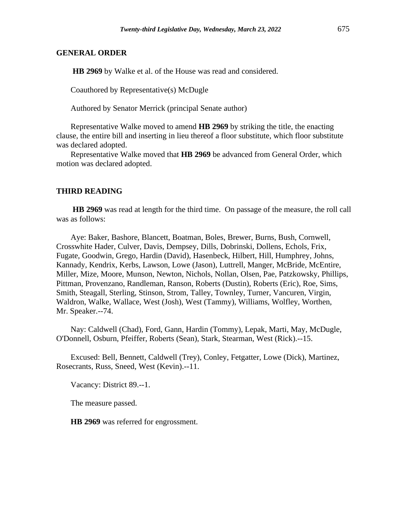#### **GENERAL ORDER**

**HB 2969** by Walke et al. of the House was read and considered.

Coauthored by Representative(s) McDugle

Authored by Senator Merrick (principal Senate author)

Representative Walke moved to amend **HB 2969** by striking the title, the enacting clause, the entire bill and inserting in lieu thereof a floor substitute, which floor substitute was declared adopted.

Representative Walke moved that **HB 2969** be advanced from General Order, which motion was declared adopted.

#### **THIRD READING**

**HB 2969** was read at length for the third time. On passage of the measure, the roll call was as follows:

Aye: Baker, Bashore, Blancett, Boatman, Boles, Brewer, Burns, Bush, Cornwell, Crosswhite Hader, Culver, Davis, Dempsey, Dills, Dobrinski, Dollens, Echols, Frix, Fugate, Goodwin, Grego, Hardin (David), Hasenbeck, Hilbert, Hill, Humphrey, Johns, Kannady, Kendrix, Kerbs, Lawson, Lowe (Jason), Luttrell, Manger, McBride, McEntire, Miller, Mize, Moore, Munson, Newton, Nichols, Nollan, Olsen, Pae, Patzkowsky, Phillips, Pittman, Provenzano, Randleman, Ranson, Roberts (Dustin), Roberts (Eric), Roe, Sims, Smith, Steagall, Sterling, Stinson, Strom, Talley, Townley, Turner, Vancuren, Virgin, Waldron, Walke, Wallace, West (Josh), West (Tammy), Williams, Wolfley, Worthen, Mr. Speaker.--74.

Nay: Caldwell (Chad), Ford, Gann, Hardin (Tommy), Lepak, Marti, May, McDugle, O'Donnell, Osburn, Pfeiffer, Roberts (Sean), Stark, Stearman, West (Rick).--15.

Excused: Bell, Bennett, Caldwell (Trey), Conley, Fetgatter, Lowe (Dick), Martinez, Rosecrants, Russ, Sneed, West (Kevin).--11.

Vacancy: District 89.--1.

The measure passed.

**HB 2969** was referred for engrossment.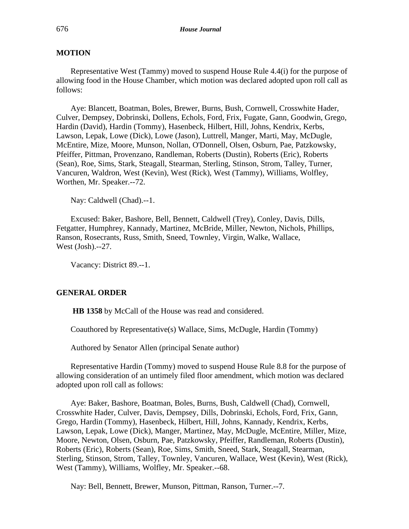# **MOTION**

Representative West (Tammy) moved to suspend House Rule 4.4(i) for the purpose of allowing food in the House Chamber, which motion was declared adopted upon roll call as follows:

Aye: Blancett, Boatman, Boles, Brewer, Burns, Bush, Cornwell, Crosswhite Hader, Culver, Dempsey, Dobrinski, Dollens, Echols, Ford, Frix, Fugate, Gann, Goodwin, Grego, Hardin (David), Hardin (Tommy), Hasenbeck, Hilbert, Hill, Johns, Kendrix, Kerbs, Lawson, Lepak, Lowe (Dick), Lowe (Jason), Luttrell, Manger, Marti, May, McDugle, McEntire, Mize, Moore, Munson, Nollan, O'Donnell, Olsen, Osburn, Pae, Patzkowsky, Pfeiffer, Pittman, Provenzano, Randleman, Roberts (Dustin), Roberts (Eric), Roberts (Sean), Roe, Sims, Stark, Steagall, Stearman, Sterling, Stinson, Strom, Talley, Turner, Vancuren, Waldron, West (Kevin), West (Rick), West (Tammy), Williams, Wolfley, Worthen, Mr. Speaker.--72.

Nay: Caldwell (Chad).--1.

Excused: Baker, Bashore, Bell, Bennett, Caldwell (Trey), Conley, Davis, Dills, Fetgatter, Humphrey, Kannady, Martinez, McBride, Miller, Newton, Nichols, Phillips, Ranson, Rosecrants, Russ, Smith, Sneed, Townley, Virgin, Walke, Wallace, West (Josh).--27.

Vacancy: District 89.--1.

#### **GENERAL ORDER**

**HB 1358** by McCall of the House was read and considered.

Coauthored by Representative(s) Wallace, Sims, McDugle, Hardin (Tommy)

Authored by Senator Allen (principal Senate author)

Representative Hardin (Tommy) moved to suspend House Rule 8.8 for the purpose of allowing consideration of an untimely filed floor amendment, which motion was declared adopted upon roll call as follows:

Aye: Baker, Bashore, Boatman, Boles, Burns, Bush, Caldwell (Chad), Cornwell, Crosswhite Hader, Culver, Davis, Dempsey, Dills, Dobrinski, Echols, Ford, Frix, Gann, Grego, Hardin (Tommy), Hasenbeck, Hilbert, Hill, Johns, Kannady, Kendrix, Kerbs, Lawson, Lepak, Lowe (Dick), Manger, Martinez, May, McDugle, McEntire, Miller, Mize, Moore, Newton, Olsen, Osburn, Pae, Patzkowsky, Pfeiffer, Randleman, Roberts (Dustin), Roberts (Eric), Roberts (Sean), Roe, Sims, Smith, Sneed, Stark, Steagall, Stearman, Sterling, Stinson, Strom, Talley, Townley, Vancuren, Wallace, West (Kevin), West (Rick), West (Tammy), Williams, Wolfley, Mr. Speaker.--68.

Nay: Bell, Bennett, Brewer, Munson, Pittman, Ranson, Turner.--7.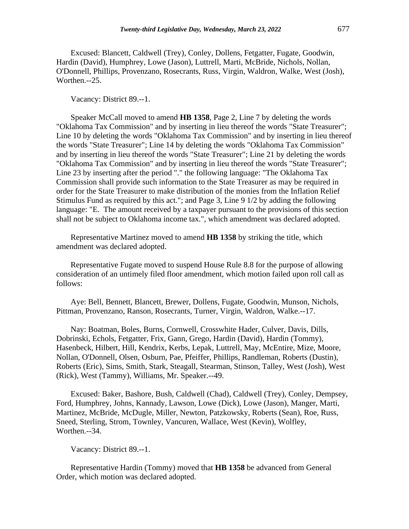Excused: Blancett, Caldwell (Trey), Conley, Dollens, Fetgatter, Fugate, Goodwin, Hardin (David), Humphrey, Lowe (Jason), Luttrell, Marti, McBride, Nichols, Nollan, O'Donnell, Phillips, Provenzano, Rosecrants, Russ, Virgin, Waldron, Walke, West (Josh), Worthen.--25.

Vacancy: District 89.--1.

Speaker McCall moved to amend **HB 1358**, Page 2, Line 7 by deleting the words "Oklahoma Tax Commission" and by inserting in lieu thereof the words "State Treasurer"; Line 10 by deleting the words "Oklahoma Tax Commission" and by inserting in lieu thereof the words "State Treasurer"; Line 14 by deleting the words "Oklahoma Tax Commission" and by inserting in lieu thereof the words "State Treasurer"; Line 21 by deleting the words "Oklahoma Tax Commission" and by inserting in lieu thereof the words "State Treasurer"; Line 23 by inserting after the period "." the following language: "The Oklahoma Tax Commission shall provide such information to the State Treasurer as may be required in order for the State Treasurer to make distribution of the monies from the Inflation Relief Stimulus Fund as required by this act."; and Page 3, Line 9 1/2 by adding the following language: "E. The amount received by a taxpayer pursuant to the provisions of this section shall not be subject to Oklahoma income tax.", which amendment was declared adopted.

Representative Martinez moved to amend **HB 1358** by striking the title, which amendment was declared adopted.

Representative Fugate moved to suspend House Rule 8.8 for the purpose of allowing consideration of an untimely filed floor amendment, which motion failed upon roll call as follows:

Aye: Bell, Bennett, Blancett, Brewer, Dollens, Fugate, Goodwin, Munson, Nichols, Pittman, Provenzano, Ranson, Rosecrants, Turner, Virgin, Waldron, Walke.--17.

Nay: Boatman, Boles, Burns, Cornwell, Crosswhite Hader, Culver, Davis, Dills, Dobrinski, Echols, Fetgatter, Frix, Gann, Grego, Hardin (David), Hardin (Tommy), Hasenbeck, Hilbert, Hill, Kendrix, Kerbs, Lepak, Luttrell, May, McEntire, Mize, Moore, Nollan, O'Donnell, Olsen, Osburn, Pae, Pfeiffer, Phillips, Randleman, Roberts (Dustin), Roberts (Eric), Sims, Smith, Stark, Steagall, Stearman, Stinson, Talley, West (Josh), West (Rick), West (Tammy), Williams, Mr. Speaker.--49.

Excused: Baker, Bashore, Bush, Caldwell (Chad), Caldwell (Trey), Conley, Dempsey, Ford, Humphrey, Johns, Kannady, Lawson, Lowe (Dick), Lowe (Jason), Manger, Marti, Martinez, McBride, McDugle, Miller, Newton, Patzkowsky, Roberts (Sean), Roe, Russ, Sneed, Sterling, Strom, Townley, Vancuren, Wallace, West (Kevin), Wolfley, Worthen.--34.

Vacancy: District 89.--1.

Representative Hardin (Tommy) moved that **HB 1358** be advanced from General Order, which motion was declared adopted.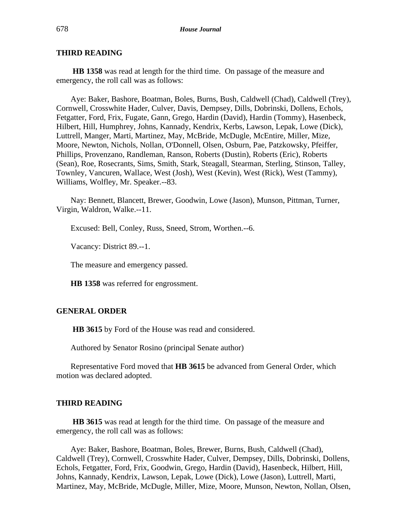**HB 1358** was read at length for the third time. On passage of the measure and emergency, the roll call was as follows:

Aye: Baker, Bashore, Boatman, Boles, Burns, Bush, Caldwell (Chad), Caldwell (Trey), Cornwell, Crosswhite Hader, Culver, Davis, Dempsey, Dills, Dobrinski, Dollens, Echols, Fetgatter, Ford, Frix, Fugate, Gann, Grego, Hardin (David), Hardin (Tommy), Hasenbeck, Hilbert, Hill, Humphrey, Johns, Kannady, Kendrix, Kerbs, Lawson, Lepak, Lowe (Dick), Luttrell, Manger, Marti, Martinez, May, McBride, McDugle, McEntire, Miller, Mize, Moore, Newton, Nichols, Nollan, O'Donnell, Olsen, Osburn, Pae, Patzkowsky, Pfeiffer, Phillips, Provenzano, Randleman, Ranson, Roberts (Dustin), Roberts (Eric), Roberts (Sean), Roe, Rosecrants, Sims, Smith, Stark, Steagall, Stearman, Sterling, Stinson, Talley, Townley, Vancuren, Wallace, West (Josh), West (Kevin), West (Rick), West (Tammy), Williams, Wolfley, Mr. Speaker.--83.

Nay: Bennett, Blancett, Brewer, Goodwin, Lowe (Jason), Munson, Pittman, Turner, Virgin, Waldron, Walke.--11.

Excused: Bell, Conley, Russ, Sneed, Strom, Worthen.--6.

Vacancy: District 89.--1.

The measure and emergency passed.

**HB 1358** was referred for engrossment.

#### **GENERAL ORDER**

**HB 3615** by Ford of the House was read and considered.

Authored by Senator Rosino (principal Senate author)

Representative Ford moved that **HB 3615** be advanced from General Order, which motion was declared adopted.

#### **THIRD READING**

**HB 3615** was read at length for the third time. On passage of the measure and emergency, the roll call was as follows:

Aye: Baker, Bashore, Boatman, Boles, Brewer, Burns, Bush, Caldwell (Chad), Caldwell (Trey), Cornwell, Crosswhite Hader, Culver, Dempsey, Dills, Dobrinski, Dollens, Echols, Fetgatter, Ford, Frix, Goodwin, Grego, Hardin (David), Hasenbeck, Hilbert, Hill, Johns, Kannady, Kendrix, Lawson, Lepak, Lowe (Dick), Lowe (Jason), Luttrell, Marti, Martinez, May, McBride, McDugle, Miller, Mize, Moore, Munson, Newton, Nollan, Olsen,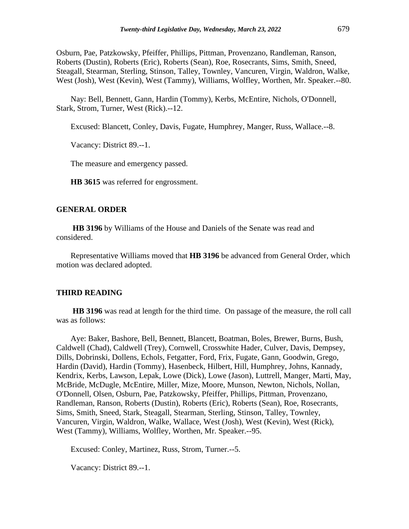Osburn, Pae, Patzkowsky, Pfeiffer, Phillips, Pittman, Provenzano, Randleman, Ranson, Roberts (Dustin), Roberts (Eric), Roberts (Sean), Roe, Rosecrants, Sims, Smith, Sneed, Steagall, Stearman, Sterling, Stinson, Talley, Townley, Vancuren, Virgin, Waldron, Walke, West (Josh), West (Kevin), West (Tammy), Williams, Wolfley, Worthen, Mr. Speaker.--80.

Nay: Bell, Bennett, Gann, Hardin (Tommy), Kerbs, McEntire, Nichols, O'Donnell, Stark, Strom, Turner, West (Rick).--12.

Excused: Blancett, Conley, Davis, Fugate, Humphrey, Manger, Russ, Wallace.--8.

Vacancy: District 89.--1.

The measure and emergency passed.

**HB 3615** was referred for engrossment.

#### **GENERAL ORDER**

**HB 3196** by Williams of the House and Daniels of the Senate was read and considered.

Representative Williams moved that **HB 3196** be advanced from General Order, which motion was declared adopted.

#### **THIRD READING**

**HB 3196** was read at length for the third time. On passage of the measure, the roll call was as follows:

Aye: Baker, Bashore, Bell, Bennett, Blancett, Boatman, Boles, Brewer, Burns, Bush, Caldwell (Chad), Caldwell (Trey), Cornwell, Crosswhite Hader, Culver, Davis, Dempsey, Dills, Dobrinski, Dollens, Echols, Fetgatter, Ford, Frix, Fugate, Gann, Goodwin, Grego, Hardin (David), Hardin (Tommy), Hasenbeck, Hilbert, Hill, Humphrey, Johns, Kannady, Kendrix, Kerbs, Lawson, Lepak, Lowe (Dick), Lowe (Jason), Luttrell, Manger, Marti, May, McBride, McDugle, McEntire, Miller, Mize, Moore, Munson, Newton, Nichols, Nollan, O'Donnell, Olsen, Osburn, Pae, Patzkowsky, Pfeiffer, Phillips, Pittman, Provenzano, Randleman, Ranson, Roberts (Dustin), Roberts (Eric), Roberts (Sean), Roe, Rosecrants, Sims, Smith, Sneed, Stark, Steagall, Stearman, Sterling, Stinson, Talley, Townley, Vancuren, Virgin, Waldron, Walke, Wallace, West (Josh), West (Kevin), West (Rick), West (Tammy), Williams, Wolfley, Worthen, Mr. Speaker.--95.

Excused: Conley, Martinez, Russ, Strom, Turner.--5.

Vacancy: District 89.--1.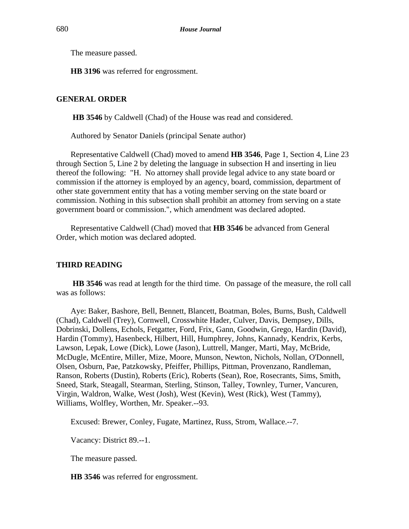The measure passed.

**HB 3196** was referred for engrossment.

# **GENERAL ORDER**

**HB 3546** by Caldwell (Chad) of the House was read and considered.

Authored by Senator Daniels (principal Senate author)

Representative Caldwell (Chad) moved to amend **HB 3546**, Page 1, Section 4, Line 23 through Section 5, Line 2 by deleting the language in subsection H and inserting in lieu thereof the following: "H. No attorney shall provide legal advice to any state board or commission if the attorney is employed by an agency, board, commission, department of other state government entity that has a voting member serving on the state board or commission. Nothing in this subsection shall prohibit an attorney from serving on a state government board or commission.", which amendment was declared adopted.

Representative Caldwell (Chad) moved that **HB 3546** be advanced from General Order, which motion was declared adopted.

#### **THIRD READING**

**HB 3546** was read at length for the third time. On passage of the measure, the roll call was as follows:

Aye: Baker, Bashore, Bell, Bennett, Blancett, Boatman, Boles, Burns, Bush, Caldwell (Chad), Caldwell (Trey), Cornwell, Crosswhite Hader, Culver, Davis, Dempsey, Dills, Dobrinski, Dollens, Echols, Fetgatter, Ford, Frix, Gann, Goodwin, Grego, Hardin (David), Hardin (Tommy), Hasenbeck, Hilbert, Hill, Humphrey, Johns, Kannady, Kendrix, Kerbs, Lawson, Lepak, Lowe (Dick), Lowe (Jason), Luttrell, Manger, Marti, May, McBride, McDugle, McEntire, Miller, Mize, Moore, Munson, Newton, Nichols, Nollan, O'Donnell, Olsen, Osburn, Pae, Patzkowsky, Pfeiffer, Phillips, Pittman, Provenzano, Randleman, Ranson, Roberts (Dustin), Roberts (Eric), Roberts (Sean), Roe, Rosecrants, Sims, Smith, Sneed, Stark, Steagall, Stearman, Sterling, Stinson, Talley, Townley, Turner, Vancuren, Virgin, Waldron, Walke, West (Josh), West (Kevin), West (Rick), West (Tammy), Williams, Wolfley, Worthen, Mr. Speaker.--93.

Excused: Brewer, Conley, Fugate, Martinez, Russ, Strom, Wallace.--7.

Vacancy: District 89.--1.

The measure passed.

**HB 3546** was referred for engrossment.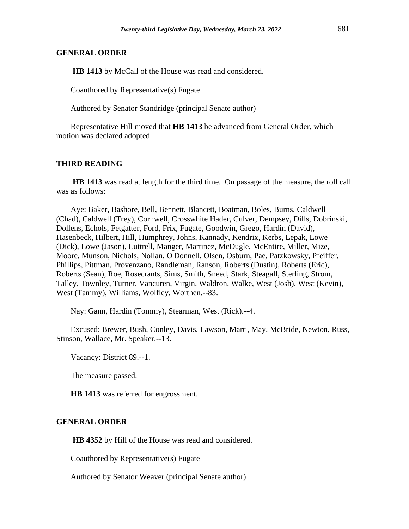## **GENERAL ORDER**

**HB 1413** by McCall of the House was read and considered.

Coauthored by Representative(s) Fugate

Authored by Senator Standridge (principal Senate author)

Representative Hill moved that **HB 1413** be advanced from General Order, which motion was declared adopted.

#### **THIRD READING**

**HB 1413** was read at length for the third time. On passage of the measure, the roll call was as follows:

Aye: Baker, Bashore, Bell, Bennett, Blancett, Boatman, Boles, Burns, Caldwell (Chad), Caldwell (Trey), Cornwell, Crosswhite Hader, Culver, Dempsey, Dills, Dobrinski, Dollens, Echols, Fetgatter, Ford, Frix, Fugate, Goodwin, Grego, Hardin (David), Hasenbeck, Hilbert, Hill, Humphrey, Johns, Kannady, Kendrix, Kerbs, Lepak, Lowe (Dick), Lowe (Jason), Luttrell, Manger, Martinez, McDugle, McEntire, Miller, Mize, Moore, Munson, Nichols, Nollan, O'Donnell, Olsen, Osburn, Pae, Patzkowsky, Pfeiffer, Phillips, Pittman, Provenzano, Randleman, Ranson, Roberts (Dustin), Roberts (Eric), Roberts (Sean), Roe, Rosecrants, Sims, Smith, Sneed, Stark, Steagall, Sterling, Strom, Talley, Townley, Turner, Vancuren, Virgin, Waldron, Walke, West (Josh), West (Kevin), West (Tammy), Williams, Wolfley, Worthen.--83.

Nay: Gann, Hardin (Tommy), Stearman, West (Rick).--4.

Excused: Brewer, Bush, Conley, Davis, Lawson, Marti, May, McBride, Newton, Russ, Stinson, Wallace, Mr. Speaker.--13.

Vacancy: District 89.--1.

The measure passed.

**HB 1413** was referred for engrossment.

#### **GENERAL ORDER**

**HB 4352** by Hill of the House was read and considered.

Coauthored by Representative(s) Fugate

Authored by Senator Weaver (principal Senate author)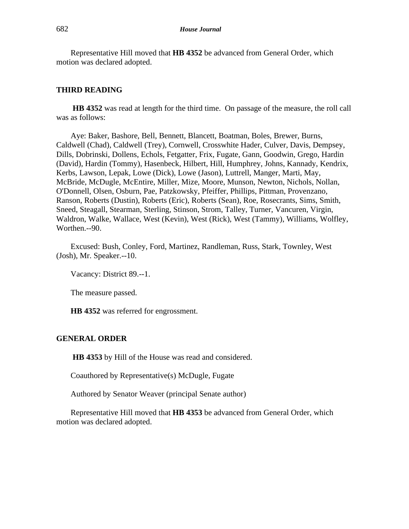Representative Hill moved that **HB 4352** be advanced from General Order, which motion was declared adopted.

#### **THIRD READING**

**HB 4352** was read at length for the third time. On passage of the measure, the roll call was as follows:

Aye: Baker, Bashore, Bell, Bennett, Blancett, Boatman, Boles, Brewer, Burns, Caldwell (Chad), Caldwell (Trey), Cornwell, Crosswhite Hader, Culver, Davis, Dempsey, Dills, Dobrinski, Dollens, Echols, Fetgatter, Frix, Fugate, Gann, Goodwin, Grego, Hardin (David), Hardin (Tommy), Hasenbeck, Hilbert, Hill, Humphrey, Johns, Kannady, Kendrix, Kerbs, Lawson, Lepak, Lowe (Dick), Lowe (Jason), Luttrell, Manger, Marti, May, McBride, McDugle, McEntire, Miller, Mize, Moore, Munson, Newton, Nichols, Nollan, O'Donnell, Olsen, Osburn, Pae, Patzkowsky, Pfeiffer, Phillips, Pittman, Provenzano, Ranson, Roberts (Dustin), Roberts (Eric), Roberts (Sean), Roe, Rosecrants, Sims, Smith, Sneed, Steagall, Stearman, Sterling, Stinson, Strom, Talley, Turner, Vancuren, Virgin, Waldron, Walke, Wallace, West (Kevin), West (Rick), West (Tammy), Williams, Wolfley, Worthen.--90.

Excused: Bush, Conley, Ford, Martinez, Randleman, Russ, Stark, Townley, West (Josh), Mr. Speaker.--10.

Vacancy: District 89.--1.

The measure passed.

**HB 4352** was referred for engrossment.

## **GENERAL ORDER**

**HB 4353** by Hill of the House was read and considered.

Coauthored by Representative(s) McDugle, Fugate

Authored by Senator Weaver (principal Senate author)

Representative Hill moved that **HB 4353** be advanced from General Order, which motion was declared adopted.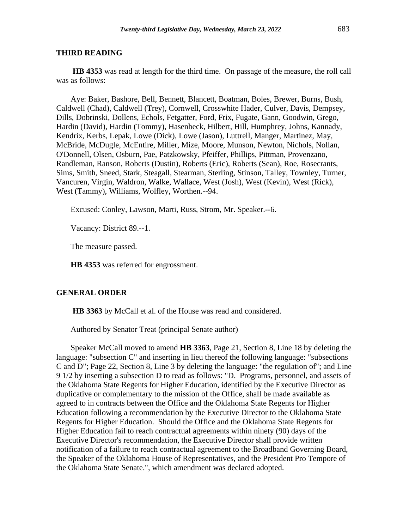**HB 4353** was read at length for the third time. On passage of the measure, the roll call was as follows:

Aye: Baker, Bashore, Bell, Bennett, Blancett, Boatman, Boles, Brewer, Burns, Bush, Caldwell (Chad), Caldwell (Trey), Cornwell, Crosswhite Hader, Culver, Davis, Dempsey, Dills, Dobrinski, Dollens, Echols, Fetgatter, Ford, Frix, Fugate, Gann, Goodwin, Grego, Hardin (David), Hardin (Tommy), Hasenbeck, Hilbert, Hill, Humphrey, Johns, Kannady, Kendrix, Kerbs, Lepak, Lowe (Dick), Lowe (Jason), Luttrell, Manger, Martinez, May, McBride, McDugle, McEntire, Miller, Mize, Moore, Munson, Newton, Nichols, Nollan, O'Donnell, Olsen, Osburn, Pae, Patzkowsky, Pfeiffer, Phillips, Pittman, Provenzano, Randleman, Ranson, Roberts (Dustin), Roberts (Eric), Roberts (Sean), Roe, Rosecrants, Sims, Smith, Sneed, Stark, Steagall, Stearman, Sterling, Stinson, Talley, Townley, Turner, Vancuren, Virgin, Waldron, Walke, Wallace, West (Josh), West (Kevin), West (Rick), West (Tammy), Williams, Wolfley, Worthen.--94.

Excused: Conley, Lawson, Marti, Russ, Strom, Mr. Speaker.--6.

Vacancy: District 89.--1.

The measure passed.

**HB 4353** was referred for engrossment.

### **GENERAL ORDER**

**HB 3363** by McCall et al. of the House was read and considered.

Authored by Senator Treat (principal Senate author)

Speaker McCall moved to amend **HB 3363**, Page 21, Section 8, Line 18 by deleting the language: "subsection C" and inserting in lieu thereof the following language: "subsections C and D"; Page 22, Section 8, Line 3 by deleting the language: "the regulation of"; and Line 9 1/2 by inserting a subsection D to read as follows: "D. Programs, personnel, and assets of the Oklahoma State Regents for Higher Education, identified by the Executive Director as duplicative or complementary to the mission of the Office, shall be made available as agreed to in contracts between the Office and the Oklahoma State Regents for Higher Education following a recommendation by the Executive Director to the Oklahoma State Regents for Higher Education. Should the Office and the Oklahoma State Regents for Higher Education fail to reach contractual agreements within ninety (90) days of the Executive Director's recommendation, the Executive Director shall provide written notification of a failure to reach contractual agreement to the Broadband Governing Board, the Speaker of the Oklahoma House of Representatives, and the President Pro Tempore of the Oklahoma State Senate.", which amendment was declared adopted.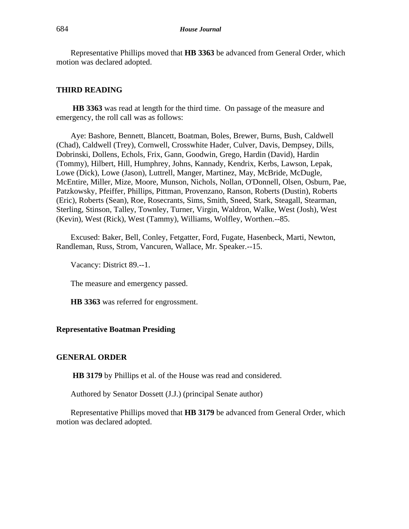Representative Phillips moved that **HB 3363** be advanced from General Order, which motion was declared adopted.

### **THIRD READING**

**HB 3363** was read at length for the third time. On passage of the measure and emergency, the roll call was as follows:

Aye: Bashore, Bennett, Blancett, Boatman, Boles, Brewer, Burns, Bush, Caldwell (Chad), Caldwell (Trey), Cornwell, Crosswhite Hader, Culver, Davis, Dempsey, Dills, Dobrinski, Dollens, Echols, Frix, Gann, Goodwin, Grego, Hardin (David), Hardin (Tommy), Hilbert, Hill, Humphrey, Johns, Kannady, Kendrix, Kerbs, Lawson, Lepak, Lowe (Dick), Lowe (Jason), Luttrell, Manger, Martinez, May, McBride, McDugle, McEntire, Miller, Mize, Moore, Munson, Nichols, Nollan, O'Donnell, Olsen, Osburn, Pae, Patzkowsky, Pfeiffer, Phillips, Pittman, Provenzano, Ranson, Roberts (Dustin), Roberts (Eric), Roberts (Sean), Roe, Rosecrants, Sims, Smith, Sneed, Stark, Steagall, Stearman, Sterling, Stinson, Talley, Townley, Turner, Virgin, Waldron, Walke, West (Josh), West (Kevin), West (Rick), West (Tammy), Williams, Wolfley, Worthen.--85.

Excused: Baker, Bell, Conley, Fetgatter, Ford, Fugate, Hasenbeck, Marti, Newton, Randleman, Russ, Strom, Vancuren, Wallace, Mr. Speaker.--15.

Vacancy: District 89.--1.

The measure and emergency passed.

**HB 3363** was referred for engrossment.

#### **Representative Boatman Presiding**

# **GENERAL ORDER**

**HB 3179** by Phillips et al. of the House was read and considered.

Authored by Senator Dossett (J.J.) (principal Senate author)

Representative Phillips moved that **HB 3179** be advanced from General Order, which motion was declared adopted.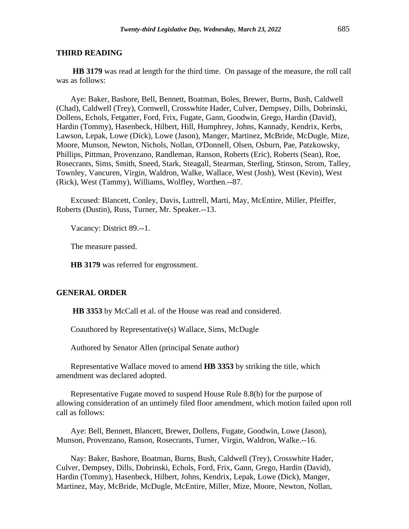**HB 3179** was read at length for the third time. On passage of the measure, the roll call was as follows:

Aye: Baker, Bashore, Bell, Bennett, Boatman, Boles, Brewer, Burns, Bush, Caldwell (Chad), Caldwell (Trey), Cornwell, Crosswhite Hader, Culver, Dempsey, Dills, Dobrinski, Dollens, Echols, Fetgatter, Ford, Frix, Fugate, Gann, Goodwin, Grego, Hardin (David), Hardin (Tommy), Hasenbeck, Hilbert, Hill, Humphrey, Johns, Kannady, Kendrix, Kerbs, Lawson, Lepak, Lowe (Dick), Lowe (Jason), Manger, Martinez, McBride, McDugle, Mize, Moore, Munson, Newton, Nichols, Nollan, O'Donnell, Olsen, Osburn, Pae, Patzkowsky, Phillips, Pittman, Provenzano, Randleman, Ranson, Roberts (Eric), Roberts (Sean), Roe, Rosecrants, Sims, Smith, Sneed, Stark, Steagall, Stearman, Sterling, Stinson, Strom, Talley, Townley, Vancuren, Virgin, Waldron, Walke, Wallace, West (Josh), West (Kevin), West (Rick), West (Tammy), Williams, Wolfley, Worthen.--87.

Excused: Blancett, Conley, Davis, Luttrell, Marti, May, McEntire, Miller, Pfeiffer, Roberts (Dustin), Russ, Turner, Mr. Speaker.--13.

Vacancy: District 89.--1.

The measure passed.

**HB 3179** was referred for engrossment.

## **GENERAL ORDER**

**HB 3353** by McCall et al. of the House was read and considered.

Coauthored by Representative(s) Wallace, Sims, McDugle

Authored by Senator Allen (principal Senate author)

Representative Wallace moved to amend **HB 3353** by striking the title, which amendment was declared adopted.

Representative Fugate moved to suspend House Rule 8.8(b) for the purpose of allowing consideration of an untimely filed floor amendment, which motion failed upon roll call as follows:

Aye: Bell, Bennett, Blancett, Brewer, Dollens, Fugate, Goodwin, Lowe (Jason), Munson, Provenzano, Ranson, Rosecrants, Turner, Virgin, Waldron, Walke.--16.

Nay: Baker, Bashore, Boatman, Burns, Bush, Caldwell (Trey), Crosswhite Hader, Culver, Dempsey, Dills, Dobrinski, Echols, Ford, Frix, Gann, Grego, Hardin (David), Hardin (Tommy), Hasenbeck, Hilbert, Johns, Kendrix, Lepak, Lowe (Dick), Manger, Martinez, May, McBride, McDugle, McEntire, Miller, Mize, Moore, Newton, Nollan,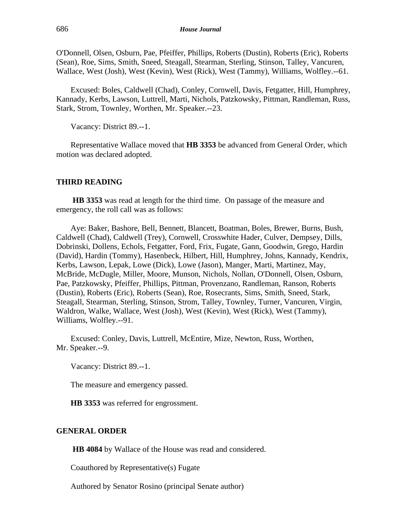O'Donnell, Olsen, Osburn, Pae, Pfeiffer, Phillips, Roberts (Dustin), Roberts (Eric), Roberts (Sean), Roe, Sims, Smith, Sneed, Steagall, Stearman, Sterling, Stinson, Talley, Vancuren, Wallace, West (Josh), West (Kevin), West (Rick), West (Tammy), Williams, Wolfley.--61.

Excused: Boles, Caldwell (Chad), Conley, Cornwell, Davis, Fetgatter, Hill, Humphrey, Kannady, Kerbs, Lawson, Luttrell, Marti, Nichols, Patzkowsky, Pittman, Randleman, Russ, Stark, Strom, Townley, Worthen, Mr. Speaker.--23.

Vacancy: District 89.--1.

Representative Wallace moved that **HB 3353** be advanced from General Order, which motion was declared adopted.

#### **THIRD READING**

**HB 3353** was read at length for the third time. On passage of the measure and emergency, the roll call was as follows:

Aye: Baker, Bashore, Bell, Bennett, Blancett, Boatman, Boles, Brewer, Burns, Bush, Caldwell (Chad), Caldwell (Trey), Cornwell, Crosswhite Hader, Culver, Dempsey, Dills, Dobrinski, Dollens, Echols, Fetgatter, Ford, Frix, Fugate, Gann, Goodwin, Grego, Hardin (David), Hardin (Tommy), Hasenbeck, Hilbert, Hill, Humphrey, Johns, Kannady, Kendrix, Kerbs, Lawson, Lepak, Lowe (Dick), Lowe (Jason), Manger, Marti, Martinez, May, McBride, McDugle, Miller, Moore, Munson, Nichols, Nollan, O'Donnell, Olsen, Osburn, Pae, Patzkowsky, Pfeiffer, Phillips, Pittman, Provenzano, Randleman, Ranson, Roberts (Dustin), Roberts (Eric), Roberts (Sean), Roe, Rosecrants, Sims, Smith, Sneed, Stark, Steagall, Stearman, Sterling, Stinson, Strom, Talley, Townley, Turner, Vancuren, Virgin, Waldron, Walke, Wallace, West (Josh), West (Kevin), West (Rick), West (Tammy), Williams, Wolfley.--91.

Excused: Conley, Davis, Luttrell, McEntire, Mize, Newton, Russ, Worthen, Mr. Speaker.--9.

Vacancy: District 89.--1.

The measure and emergency passed.

**HB 3353** was referred for engrossment.

#### **GENERAL ORDER**

**HB 4084** by Wallace of the House was read and considered.

Coauthored by Representative(s) Fugate

Authored by Senator Rosino (principal Senate author)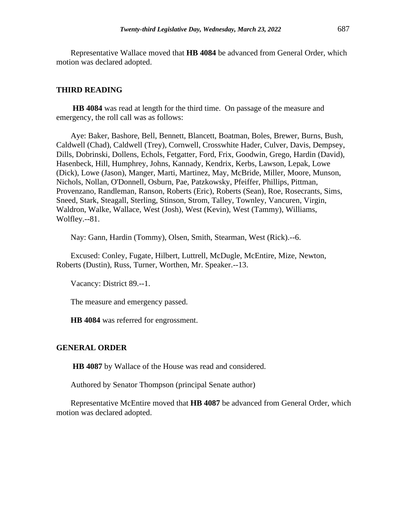Representative Wallace moved that **HB 4084** be advanced from General Order, which motion was declared adopted.

#### **THIRD READING**

**HB 4084** was read at length for the third time. On passage of the measure and emergency, the roll call was as follows:

Aye: Baker, Bashore, Bell, Bennett, Blancett, Boatman, Boles, Brewer, Burns, Bush, Caldwell (Chad), Caldwell (Trey), Cornwell, Crosswhite Hader, Culver, Davis, Dempsey, Dills, Dobrinski, Dollens, Echols, Fetgatter, Ford, Frix, Goodwin, Grego, Hardin (David), Hasenbeck, Hill, Humphrey, Johns, Kannady, Kendrix, Kerbs, Lawson, Lepak, Lowe (Dick), Lowe (Jason), Manger, Marti, Martinez, May, McBride, Miller, Moore, Munson, Nichols, Nollan, O'Donnell, Osburn, Pae, Patzkowsky, Pfeiffer, Phillips, Pittman, Provenzano, Randleman, Ranson, Roberts (Eric), Roberts (Sean), Roe, Rosecrants, Sims, Sneed, Stark, Steagall, Sterling, Stinson, Strom, Talley, Townley, Vancuren, Virgin, Waldron, Walke, Wallace, West (Josh), West (Kevin), West (Tammy), Williams, Wolfley.--81.

Nay: Gann, Hardin (Tommy), Olsen, Smith, Stearman, West (Rick).--6.

Excused: Conley, Fugate, Hilbert, Luttrell, McDugle, McEntire, Mize, Newton, Roberts (Dustin), Russ, Turner, Worthen, Mr. Speaker.--13.

Vacancy: District 89.--1.

The measure and emergency passed.

**HB 4084** was referred for engrossment.

#### **GENERAL ORDER**

**HB 4087** by Wallace of the House was read and considered.

Authored by Senator Thompson (principal Senate author)

Representative McEntire moved that **HB 4087** be advanced from General Order, which motion was declared adopted.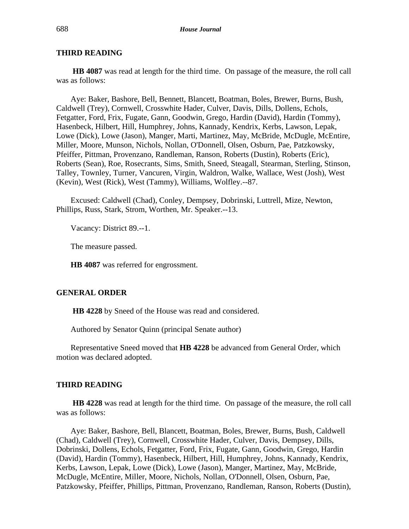**HB 4087** was read at length for the third time. On passage of the measure, the roll call was as follows:

Aye: Baker, Bashore, Bell, Bennett, Blancett, Boatman, Boles, Brewer, Burns, Bush, Caldwell (Trey), Cornwell, Crosswhite Hader, Culver, Davis, Dills, Dollens, Echols, Fetgatter, Ford, Frix, Fugate, Gann, Goodwin, Grego, Hardin (David), Hardin (Tommy), Hasenbeck, Hilbert, Hill, Humphrey, Johns, Kannady, Kendrix, Kerbs, Lawson, Lepak, Lowe (Dick), Lowe (Jason), Manger, Marti, Martinez, May, McBride, McDugle, McEntire, Miller, Moore, Munson, Nichols, Nollan, O'Donnell, Olsen, Osburn, Pae, Patzkowsky, Pfeiffer, Pittman, Provenzano, Randleman, Ranson, Roberts (Dustin), Roberts (Eric), Roberts (Sean), Roe, Rosecrants, Sims, Smith, Sneed, Steagall, Stearman, Sterling, Stinson, Talley, Townley, Turner, Vancuren, Virgin, Waldron, Walke, Wallace, West (Josh), West (Kevin), West (Rick), West (Tammy), Williams, Wolfley.--87.

Excused: Caldwell (Chad), Conley, Dempsey, Dobrinski, Luttrell, Mize, Newton, Phillips, Russ, Stark, Strom, Worthen, Mr. Speaker.--13.

Vacancy: District 89.--1.

The measure passed.

**HB 4087** was referred for engrossment.

## **GENERAL ORDER**

**HB 4228** by Sneed of the House was read and considered.

Authored by Senator Quinn (principal Senate author)

Representative Sneed moved that **HB 4228** be advanced from General Order, which motion was declared adopted.

#### **THIRD READING**

**HB 4228** was read at length for the third time. On passage of the measure, the roll call was as follows:

Aye: Baker, Bashore, Bell, Blancett, Boatman, Boles, Brewer, Burns, Bush, Caldwell (Chad), Caldwell (Trey), Cornwell, Crosswhite Hader, Culver, Davis, Dempsey, Dills, Dobrinski, Dollens, Echols, Fetgatter, Ford, Frix, Fugate, Gann, Goodwin, Grego, Hardin (David), Hardin (Tommy), Hasenbeck, Hilbert, Hill, Humphrey, Johns, Kannady, Kendrix, Kerbs, Lawson, Lepak, Lowe (Dick), Lowe (Jason), Manger, Martinez, May, McBride, McDugle, McEntire, Miller, Moore, Nichols, Nollan, O'Donnell, Olsen, Osburn, Pae, Patzkowsky, Pfeiffer, Phillips, Pittman, Provenzano, Randleman, Ranson, Roberts (Dustin),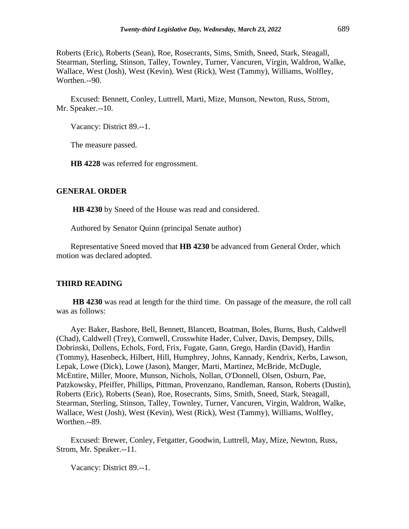Roberts (Eric), Roberts (Sean), Roe, Rosecrants, Sims, Smith, Sneed, Stark, Steagall, Stearman, Sterling, Stinson, Talley, Townley, Turner, Vancuren, Virgin, Waldron, Walke, Wallace, West (Josh), West (Kevin), West (Rick), West (Tammy), Williams, Wolfley, Worthen.--90.

Excused: Bennett, Conley, Luttrell, Marti, Mize, Munson, Newton, Russ, Strom, Mr. Speaker.--10.

Vacancy: District 89.--1.

The measure passed.

**HB 4228** was referred for engrossment.

### **GENERAL ORDER**

**HB 4230** by Sneed of the House was read and considered.

Authored by Senator Quinn (principal Senate author)

Representative Sneed moved that **HB 4230** be advanced from General Order, which motion was declared adopted.

## **THIRD READING**

**HB 4230** was read at length for the third time. On passage of the measure, the roll call was as follows:

Aye: Baker, Bashore, Bell, Bennett, Blancett, Boatman, Boles, Burns, Bush, Caldwell (Chad), Caldwell (Trey), Cornwell, Crosswhite Hader, Culver, Davis, Dempsey, Dills, Dobrinski, Dollens, Echols, Ford, Frix, Fugate, Gann, Grego, Hardin (David), Hardin (Tommy), Hasenbeck, Hilbert, Hill, Humphrey, Johns, Kannady, Kendrix, Kerbs, Lawson, Lepak, Lowe (Dick), Lowe (Jason), Manger, Marti, Martinez, McBride, McDugle, McEntire, Miller, Moore, Munson, Nichols, Nollan, O'Donnell, Olsen, Osburn, Pae, Patzkowsky, Pfeiffer, Phillips, Pittman, Provenzano, Randleman, Ranson, Roberts (Dustin), Roberts (Eric), Roberts (Sean), Roe, Rosecrants, Sims, Smith, Sneed, Stark, Steagall, Stearman, Sterling, Stinson, Talley, Townley, Turner, Vancuren, Virgin, Waldron, Walke, Wallace, West (Josh), West (Kevin), West (Rick), West (Tammy), Williams, Wolfley, Worthen.--89.

Excused: Brewer, Conley, Fetgatter, Goodwin, Luttrell, May, Mize, Newton, Russ, Strom, Mr. Speaker.--11.

Vacancy: District 89.--1.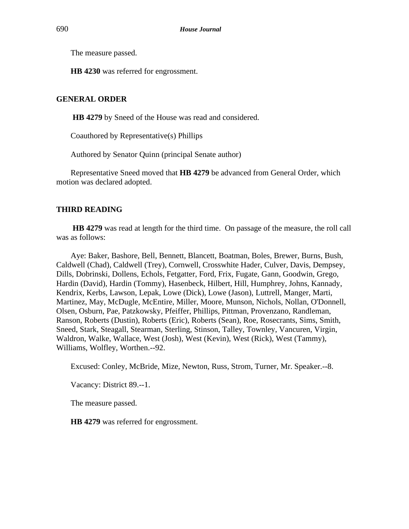The measure passed.

**HB 4230** was referred for engrossment.

## **GENERAL ORDER**

**HB 4279** by Sneed of the House was read and considered.

Coauthored by Representative(s) Phillips

Authored by Senator Quinn (principal Senate author)

Representative Sneed moved that **HB 4279** be advanced from General Order, which motion was declared adopted.

## **THIRD READING**

**HB 4279** was read at length for the third time. On passage of the measure, the roll call was as follows:

Aye: Baker, Bashore, Bell, Bennett, Blancett, Boatman, Boles, Brewer, Burns, Bush, Caldwell (Chad), Caldwell (Trey), Cornwell, Crosswhite Hader, Culver, Davis, Dempsey, Dills, Dobrinski, Dollens, Echols, Fetgatter, Ford, Frix, Fugate, Gann, Goodwin, Grego, Hardin (David), Hardin (Tommy), Hasenbeck, Hilbert, Hill, Humphrey, Johns, Kannady, Kendrix, Kerbs, Lawson, Lepak, Lowe (Dick), Lowe (Jason), Luttrell, Manger, Marti, Martinez, May, McDugle, McEntire, Miller, Moore, Munson, Nichols, Nollan, O'Donnell, Olsen, Osburn, Pae, Patzkowsky, Pfeiffer, Phillips, Pittman, Provenzano, Randleman, Ranson, Roberts (Dustin), Roberts (Eric), Roberts (Sean), Roe, Rosecrants, Sims, Smith, Sneed, Stark, Steagall, Stearman, Sterling, Stinson, Talley, Townley, Vancuren, Virgin, Waldron, Walke, Wallace, West (Josh), West (Kevin), West (Rick), West (Tammy), Williams, Wolfley, Worthen.--92.

Excused: Conley, McBride, Mize, Newton, Russ, Strom, Turner, Mr. Speaker.--8.

Vacancy: District 89.--1.

The measure passed.

**HB 4279** was referred for engrossment.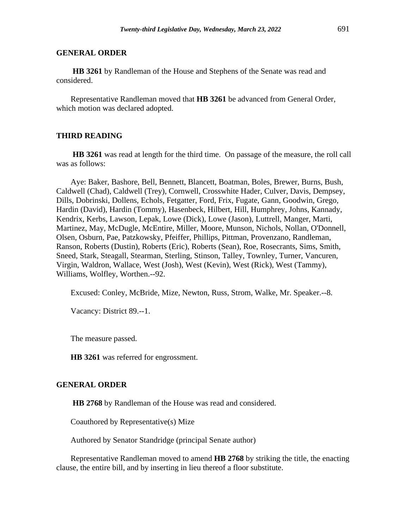## **GENERAL ORDER**

**HB 3261** by Randleman of the House and Stephens of the Senate was read and considered.

Representative Randleman moved that **HB 3261** be advanced from General Order, which motion was declared adopted.

## **THIRD READING**

**HB 3261** was read at length for the third time. On passage of the measure, the roll call was as follows:

Aye: Baker, Bashore, Bell, Bennett, Blancett, Boatman, Boles, Brewer, Burns, Bush, Caldwell (Chad), Caldwell (Trey), Cornwell, Crosswhite Hader, Culver, Davis, Dempsey, Dills, Dobrinski, Dollens, Echols, Fetgatter, Ford, Frix, Fugate, Gann, Goodwin, Grego, Hardin (David), Hardin (Tommy), Hasenbeck, Hilbert, Hill, Humphrey, Johns, Kannady, Kendrix, Kerbs, Lawson, Lepak, Lowe (Dick), Lowe (Jason), Luttrell, Manger, Marti, Martinez, May, McDugle, McEntire, Miller, Moore, Munson, Nichols, Nollan, O'Donnell, Olsen, Osburn, Pae, Patzkowsky, Pfeiffer, Phillips, Pittman, Provenzano, Randleman, Ranson, Roberts (Dustin), Roberts (Eric), Roberts (Sean), Roe, Rosecrants, Sims, Smith, Sneed, Stark, Steagall, Stearman, Sterling, Stinson, Talley, Townley, Turner, Vancuren, Virgin, Waldron, Wallace, West (Josh), West (Kevin), West (Rick), West (Tammy), Williams, Wolfley, Worthen.--92.

Excused: Conley, McBride, Mize, Newton, Russ, Strom, Walke, Mr. Speaker.--8.

Vacancy: District 89.--1.

The measure passed.

**HB 3261** was referred for engrossment.

## **GENERAL ORDER**

**HB 2768** by Randleman of the House was read and considered.

Coauthored by Representative(s) Mize

Authored by Senator Standridge (principal Senate author)

Representative Randleman moved to amend **HB 2768** by striking the title, the enacting clause, the entire bill, and by inserting in lieu thereof a floor substitute.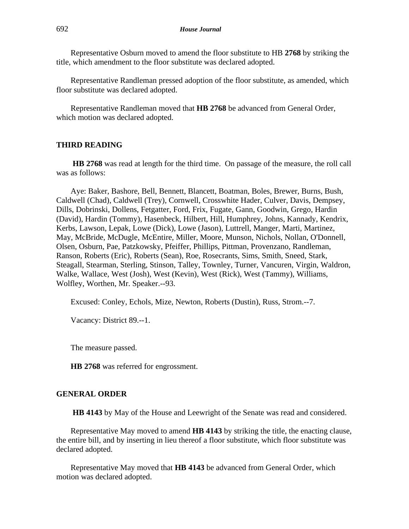Representative Osburn moved to amend the floor substitute to HB **2768** by striking the title, which amendment to the floor substitute was declared adopted.

Representative Randleman pressed adoption of the floor substitute, as amended, which floor substitute was declared adopted.

Representative Randleman moved that **HB 2768** be advanced from General Order, which motion was declared adopted.

## **THIRD READING**

**HB 2768** was read at length for the third time. On passage of the measure, the roll call was as follows:

Aye: Baker, Bashore, Bell, Bennett, Blancett, Boatman, Boles, Brewer, Burns, Bush, Caldwell (Chad), Caldwell (Trey), Cornwell, Crosswhite Hader, Culver, Davis, Dempsey, Dills, Dobrinski, Dollens, Fetgatter, Ford, Frix, Fugate, Gann, Goodwin, Grego, Hardin (David), Hardin (Tommy), Hasenbeck, Hilbert, Hill, Humphrey, Johns, Kannady, Kendrix, Kerbs, Lawson, Lepak, Lowe (Dick), Lowe (Jason), Luttrell, Manger, Marti, Martinez, May, McBride, McDugle, McEntire, Miller, Moore, Munson, Nichols, Nollan, O'Donnell, Olsen, Osburn, Pae, Patzkowsky, Pfeiffer, Phillips, Pittman, Provenzano, Randleman, Ranson, Roberts (Eric), Roberts (Sean), Roe, Rosecrants, Sims, Smith, Sneed, Stark, Steagall, Stearman, Sterling, Stinson, Talley, Townley, Turner, Vancuren, Virgin, Waldron, Walke, Wallace, West (Josh), West (Kevin), West (Rick), West (Tammy), Williams, Wolfley, Worthen, Mr. Speaker.--93.

Excused: Conley, Echols, Mize, Newton, Roberts (Dustin), Russ, Strom.--7.

Vacancy: District 89.--1.

The measure passed.

**HB 2768** was referred for engrossment.

#### **GENERAL ORDER**

**HB 4143** by May of the House and Leewright of the Senate was read and considered.

Representative May moved to amend **HB 4143** by striking the title, the enacting clause, the entire bill, and by inserting in lieu thereof a floor substitute, which floor substitute was declared adopted.

Representative May moved that **HB 4143** be advanced from General Order, which motion was declared adopted.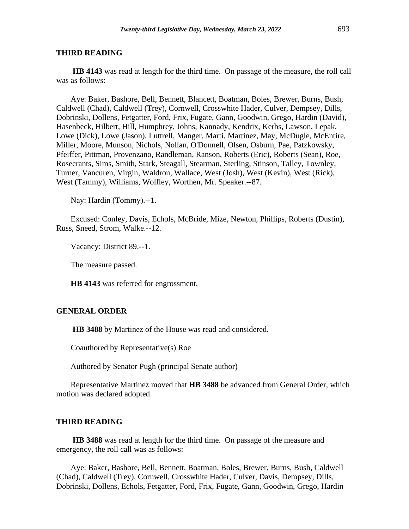**HB 4143** was read at length for the third time. On passage of the measure, the roll call was as follows:

Aye: Baker, Bashore, Bell, Bennett, Blancett, Boatman, Boles, Brewer, Burns, Bush, Caldwell (Chad), Caldwell (Trey), Cornwell, Crosswhite Hader, Culver, Dempsey, Dills, Dobrinski, Dollens, Fetgatter, Ford, Frix, Fugate, Gann, Goodwin, Grego, Hardin (David), Hasenbeck, Hilbert, Hill, Humphrey, Johns, Kannady, Kendrix, Kerbs, Lawson, Lepak, Lowe (Dick), Lowe (Jason), Luttrell, Manger, Marti, Martinez, May, McDugle, McEntire, Miller, Moore, Munson, Nichols, Nollan, O'Donnell, Olsen, Osburn, Pae, Patzkowsky, Pfeiffer, Pittman, Provenzano, Randleman, Ranson, Roberts (Eric), Roberts (Sean), Roe, Rosecrants, Sims, Smith, Stark, Steagall, Stearman, Sterling, Stinson, Talley, Townley, Turner, Vancuren, Virgin, Waldron, Wallace, West (Josh), West (Kevin), West (Rick), West (Tammy), Williams, Wolfley, Worthen, Mr. Speaker.--87.

Nay: Hardin (Tommy).--1.

Excused: Conley, Davis, Echols, McBride, Mize, Newton, Phillips, Roberts (Dustin), Russ, Sneed, Strom, Walke.--12.

Vacancy: District 89.--1.

The measure passed.

**HB 4143** was referred for engrossment.

### **GENERAL ORDER**

**HB 3488** by Martinez of the House was read and considered.

Coauthored by Representative(s) Roe

Authored by Senator Pugh (principal Senate author)

Representative Martinez moved that **HB 3488** be advanced from General Order, which motion was declared adopted.

#### **THIRD READING**

**HB 3488** was read at length for the third time. On passage of the measure and emergency, the roll call was as follows:

Aye: Baker, Bashore, Bell, Bennett, Boatman, Boles, Brewer, Burns, Bush, Caldwell (Chad), Caldwell (Trey), Cornwell, Crosswhite Hader, Culver, Davis, Dempsey, Dills, Dobrinski, Dollens, Echols, Fetgatter, Ford, Frix, Fugate, Gann, Goodwin, Grego, Hardin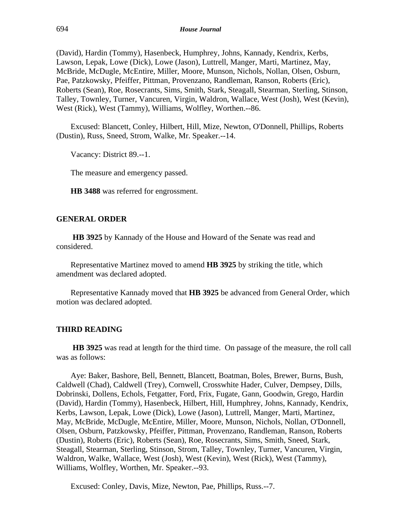(David), Hardin (Tommy), Hasenbeck, Humphrey, Johns, Kannady, Kendrix, Kerbs, Lawson, Lepak, Lowe (Dick), Lowe (Jason), Luttrell, Manger, Marti, Martinez, May, McBride, McDugle, McEntire, Miller, Moore, Munson, Nichols, Nollan, Olsen, Osburn, Pae, Patzkowsky, Pfeiffer, Pittman, Provenzano, Randleman, Ranson, Roberts (Eric), Roberts (Sean), Roe, Rosecrants, Sims, Smith, Stark, Steagall, Stearman, Sterling, Stinson, Talley, Townley, Turner, Vancuren, Virgin, Waldron, Wallace, West (Josh), West (Kevin), West (Rick), West (Tammy), Williams, Wolfley, Worthen.--86.

Excused: Blancett, Conley, Hilbert, Hill, Mize, Newton, O'Donnell, Phillips, Roberts (Dustin), Russ, Sneed, Strom, Walke, Mr. Speaker.--14.

Vacancy: District 89.--1.

The measure and emergency passed.

**HB 3488** was referred for engrossment.

### **GENERAL ORDER**

**HB 3925** by Kannady of the House and Howard of the Senate was read and considered.

Representative Martinez moved to amend **HB 3925** by striking the title, which amendment was declared adopted.

Representative Kannady moved that **HB 3925** be advanced from General Order, which motion was declared adopted.

#### **THIRD READING**

**HB 3925** was read at length for the third time. On passage of the measure, the roll call was as follows:

Aye: Baker, Bashore, Bell, Bennett, Blancett, Boatman, Boles, Brewer, Burns, Bush, Caldwell (Chad), Caldwell (Trey), Cornwell, Crosswhite Hader, Culver, Dempsey, Dills, Dobrinski, Dollens, Echols, Fetgatter, Ford, Frix, Fugate, Gann, Goodwin, Grego, Hardin (David), Hardin (Tommy), Hasenbeck, Hilbert, Hill, Humphrey, Johns, Kannady, Kendrix, Kerbs, Lawson, Lepak, Lowe (Dick), Lowe (Jason), Luttrell, Manger, Marti, Martinez, May, McBride, McDugle, McEntire, Miller, Moore, Munson, Nichols, Nollan, O'Donnell, Olsen, Osburn, Patzkowsky, Pfeiffer, Pittman, Provenzano, Randleman, Ranson, Roberts (Dustin), Roberts (Eric), Roberts (Sean), Roe, Rosecrants, Sims, Smith, Sneed, Stark, Steagall, Stearman, Sterling, Stinson, Strom, Talley, Townley, Turner, Vancuren, Virgin, Waldron, Walke, Wallace, West (Josh), West (Kevin), West (Rick), West (Tammy), Williams, Wolfley, Worthen, Mr. Speaker.--93.

Excused: Conley, Davis, Mize, Newton, Pae, Phillips, Russ.--7.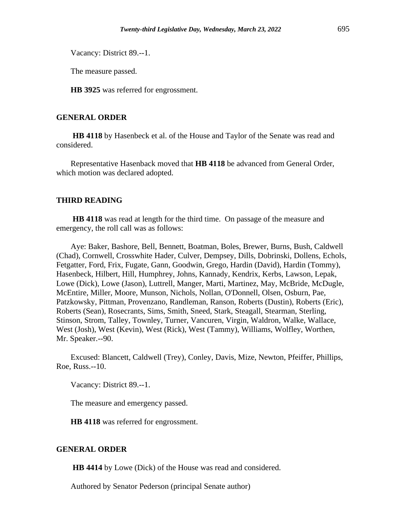Vacancy: District 89.--1.

The measure passed.

**HB 3925** was referred for engrossment.

# **GENERAL ORDER**

**HB 4118** by Hasenbeck et al. of the House and Taylor of the Senate was read and considered.

Representative Hasenback moved that **HB 4118** be advanced from General Order, which motion was declared adopted.

### **THIRD READING**

**HB 4118** was read at length for the third time. On passage of the measure and emergency, the roll call was as follows:

Aye: Baker, Bashore, Bell, Bennett, Boatman, Boles, Brewer, Burns, Bush, Caldwell (Chad), Cornwell, Crosswhite Hader, Culver, Dempsey, Dills, Dobrinski, Dollens, Echols, Fetgatter, Ford, Frix, Fugate, Gann, Goodwin, Grego, Hardin (David), Hardin (Tommy), Hasenbeck, Hilbert, Hill, Humphrey, Johns, Kannady, Kendrix, Kerbs, Lawson, Lepak, Lowe (Dick), Lowe (Jason), Luttrell, Manger, Marti, Martinez, May, McBride, McDugle, McEntire, Miller, Moore, Munson, Nichols, Nollan, O'Donnell, Olsen, Osburn, Pae, Patzkowsky, Pittman, Provenzano, Randleman, Ranson, Roberts (Dustin), Roberts (Eric), Roberts (Sean), Rosecrants, Sims, Smith, Sneed, Stark, Steagall, Stearman, Sterling, Stinson, Strom, Talley, Townley, Turner, Vancuren, Virgin, Waldron, Walke, Wallace, West (Josh), West (Kevin), West (Rick), West (Tammy), Williams, Wolfley, Worthen, Mr. Speaker.--90.

Excused: Blancett, Caldwell (Trey), Conley, Davis, Mize, Newton, Pfeiffer, Phillips, Roe, Russ.--10.

Vacancy: District 89.--1.

The measure and emergency passed.

**HB 4118** was referred for engrossment.

# **GENERAL ORDER**

**HB 4414** by Lowe (Dick) of the House was read and considered.

Authored by Senator Pederson (principal Senate author)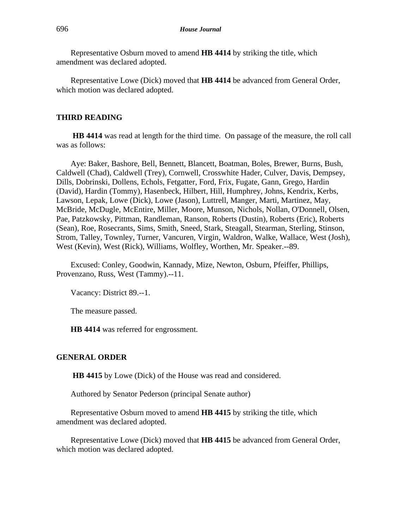Representative Osburn moved to amend **HB 4414** by striking the title, which amendment was declared adopted.

Representative Lowe (Dick) moved that **HB 4414** be advanced from General Order, which motion was declared adopted.

## **THIRD READING**

**HB 4414** was read at length for the third time. On passage of the measure, the roll call was as follows:

Aye: Baker, Bashore, Bell, Bennett, Blancett, Boatman, Boles, Brewer, Burns, Bush, Caldwell (Chad), Caldwell (Trey), Cornwell, Crosswhite Hader, Culver, Davis, Dempsey, Dills, Dobrinski, Dollens, Echols, Fetgatter, Ford, Frix, Fugate, Gann, Grego, Hardin (David), Hardin (Tommy), Hasenbeck, Hilbert, Hill, Humphrey, Johns, Kendrix, Kerbs, Lawson, Lepak, Lowe (Dick), Lowe (Jason), Luttrell, Manger, Marti, Martinez, May, McBride, McDugle, McEntire, Miller, Moore, Munson, Nichols, Nollan, O'Donnell, Olsen, Pae, Patzkowsky, Pittman, Randleman, Ranson, Roberts (Dustin), Roberts (Eric), Roberts (Sean), Roe, Rosecrants, Sims, Smith, Sneed, Stark, Steagall, Stearman, Sterling, Stinson, Strom, Talley, Townley, Turner, Vancuren, Virgin, Waldron, Walke, Wallace, West (Josh), West (Kevin), West (Rick), Williams, Wolfley, Worthen, Mr. Speaker.--89.

Excused: Conley, Goodwin, Kannady, Mize, Newton, Osburn, Pfeiffer, Phillips, Provenzano, Russ, West (Tammy).--11.

Vacancy: District 89.--1.

The measure passed.

**HB 4414** was referred for engrossment.

## **GENERAL ORDER**

**HB 4415** by Lowe (Dick) of the House was read and considered.

Authored by Senator Pederson (principal Senate author)

Representative Osburn moved to amend **HB 4415** by striking the title, which amendment was declared adopted.

Representative Lowe (Dick) moved that **HB 4415** be advanced from General Order, which motion was declared adopted.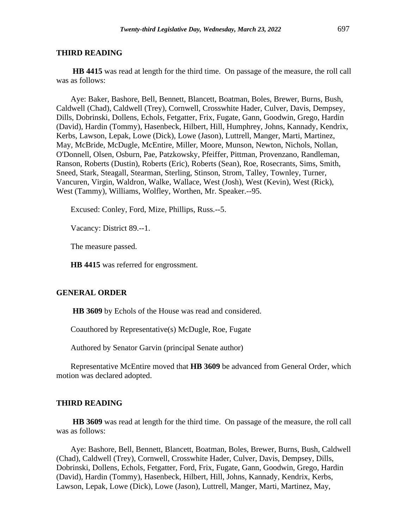**HB 4415** was read at length for the third time. On passage of the measure, the roll call was as follows:

Aye: Baker, Bashore, Bell, Bennett, Blancett, Boatman, Boles, Brewer, Burns, Bush, Caldwell (Chad), Caldwell (Trey), Cornwell, Crosswhite Hader, Culver, Davis, Dempsey, Dills, Dobrinski, Dollens, Echols, Fetgatter, Frix, Fugate, Gann, Goodwin, Grego, Hardin (David), Hardin (Tommy), Hasenbeck, Hilbert, Hill, Humphrey, Johns, Kannady, Kendrix, Kerbs, Lawson, Lepak, Lowe (Dick), Lowe (Jason), Luttrell, Manger, Marti, Martinez, May, McBride, McDugle, McEntire, Miller, Moore, Munson, Newton, Nichols, Nollan, O'Donnell, Olsen, Osburn, Pae, Patzkowsky, Pfeiffer, Pittman, Provenzano, Randleman, Ranson, Roberts (Dustin), Roberts (Eric), Roberts (Sean), Roe, Rosecrants, Sims, Smith, Sneed, Stark, Steagall, Stearman, Sterling, Stinson, Strom, Talley, Townley, Turner, Vancuren, Virgin, Waldron, Walke, Wallace, West (Josh), West (Kevin), West (Rick), West (Tammy), Williams, Wolfley, Worthen, Mr. Speaker.--95.

Excused: Conley, Ford, Mize, Phillips, Russ.--5.

Vacancy: District 89.--1.

The measure passed.

**HB 4415** was referred for engrossment.

### **GENERAL ORDER**

**HB 3609** by Echols of the House was read and considered.

Coauthored by Representative(s) McDugle, Roe, Fugate

Authored by Senator Garvin (principal Senate author)

Representative McEntire moved that **HB 3609** be advanced from General Order, which motion was declared adopted.

#### **THIRD READING**

**HB 3609** was read at length for the third time. On passage of the measure, the roll call was as follows:

Aye: Bashore, Bell, Bennett, Blancett, Boatman, Boles, Brewer, Burns, Bush, Caldwell (Chad), Caldwell (Trey), Cornwell, Crosswhite Hader, Culver, Davis, Dempsey, Dills, Dobrinski, Dollens, Echols, Fetgatter, Ford, Frix, Fugate, Gann, Goodwin, Grego, Hardin (David), Hardin (Tommy), Hasenbeck, Hilbert, Hill, Johns, Kannady, Kendrix, Kerbs, Lawson, Lepak, Lowe (Dick), Lowe (Jason), Luttrell, Manger, Marti, Martinez, May,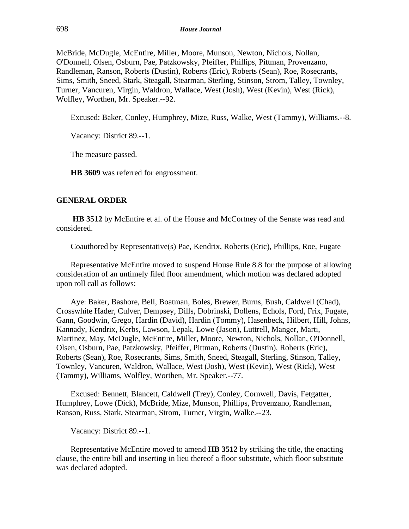McBride, McDugle, McEntire, Miller, Moore, Munson, Newton, Nichols, Nollan, O'Donnell, Olsen, Osburn, Pae, Patzkowsky, Pfeiffer, Phillips, Pittman, Provenzano, Randleman, Ranson, Roberts (Dustin), Roberts (Eric), Roberts (Sean), Roe, Rosecrants, Sims, Smith, Sneed, Stark, Steagall, Stearman, Sterling, Stinson, Strom, Talley, Townley, Turner, Vancuren, Virgin, Waldron, Wallace, West (Josh), West (Kevin), West (Rick), Wolfley, Worthen, Mr. Speaker.--92.

Excused: Baker, Conley, Humphrey, Mize, Russ, Walke, West (Tammy), Williams.--8.

Vacancy: District 89.--1.

The measure passed.

**HB 3609** was referred for engrossment.

## **GENERAL ORDER**

**HB 3512** by McEntire et al. of the House and McCortney of the Senate was read and considered.

Coauthored by Representative(s) Pae, Kendrix, Roberts (Eric), Phillips, Roe, Fugate

Representative McEntire moved to suspend House Rule 8.8 for the purpose of allowing consideration of an untimely filed floor amendment, which motion was declared adopted upon roll call as follows:

Aye: Baker, Bashore, Bell, Boatman, Boles, Brewer, Burns, Bush, Caldwell (Chad), Crosswhite Hader, Culver, Dempsey, Dills, Dobrinski, Dollens, Echols, Ford, Frix, Fugate, Gann, Goodwin, Grego, Hardin (David), Hardin (Tommy), Hasenbeck, Hilbert, Hill, Johns, Kannady, Kendrix, Kerbs, Lawson, Lepak, Lowe (Jason), Luttrell, Manger, Marti, Martinez, May, McDugle, McEntire, Miller, Moore, Newton, Nichols, Nollan, O'Donnell, Olsen, Osburn, Pae, Patzkowsky, Pfeiffer, Pittman, Roberts (Dustin), Roberts (Eric), Roberts (Sean), Roe, Rosecrants, Sims, Smith, Sneed, Steagall, Sterling, Stinson, Talley, Townley, Vancuren, Waldron, Wallace, West (Josh), West (Kevin), West (Rick), West (Tammy), Williams, Wolfley, Worthen, Mr. Speaker.--77.

Excused: Bennett, Blancett, Caldwell (Trey), Conley, Cornwell, Davis, Fetgatter, Humphrey, Lowe (Dick), McBride, Mize, Munson, Phillips, Provenzano, Randleman, Ranson, Russ, Stark, Stearman, Strom, Turner, Virgin, Walke.--23.

Vacancy: District 89.--1.

Representative McEntire moved to amend **HB 3512** by striking the title, the enacting clause, the entire bill and inserting in lieu thereof a floor substitute, which floor substitute was declared adopted.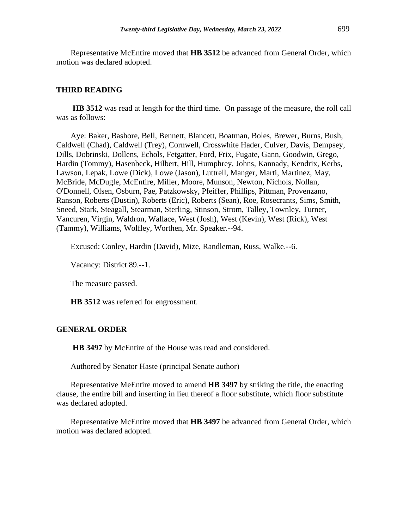Representative McEntire moved that **HB 3512** be advanced from General Order, which motion was declared adopted.

## **THIRD READING**

**HB 3512** was read at length for the third time. On passage of the measure, the roll call was as follows:

Aye: Baker, Bashore, Bell, Bennett, Blancett, Boatman, Boles, Brewer, Burns, Bush, Caldwell (Chad), Caldwell (Trey), Cornwell, Crosswhite Hader, Culver, Davis, Dempsey, Dills, Dobrinski, Dollens, Echols, Fetgatter, Ford, Frix, Fugate, Gann, Goodwin, Grego, Hardin (Tommy), Hasenbeck, Hilbert, Hill, Humphrey, Johns, Kannady, Kendrix, Kerbs, Lawson, Lepak, Lowe (Dick), Lowe (Jason), Luttrell, Manger, Marti, Martinez, May, McBride, McDugle, McEntire, Miller, Moore, Munson, Newton, Nichols, Nollan, O'Donnell, Olsen, Osburn, Pae, Patzkowsky, Pfeiffer, Phillips, Pittman, Provenzano, Ranson, Roberts (Dustin), Roberts (Eric), Roberts (Sean), Roe, Rosecrants, Sims, Smith, Sneed, Stark, Steagall, Stearman, Sterling, Stinson, Strom, Talley, Townley, Turner, Vancuren, Virgin, Waldron, Wallace, West (Josh), West (Kevin), West (Rick), West (Tammy), Williams, Wolfley, Worthen, Mr. Speaker.--94.

Excused: Conley, Hardin (David), Mize, Randleman, Russ, Walke.--6.

Vacancy: District 89.--1.

The measure passed.

**HB 3512** was referred for engrossment.

## **GENERAL ORDER**

**HB 3497** by McEntire of the House was read and considered.

Authored by Senator Haste (principal Senate author)

Representative MeEntire moved to amend **HB 3497** by striking the title, the enacting clause, the entire bill and inserting in lieu thereof a floor substitute, which floor substitute was declared adopted.

Representative McEntire moved that **HB 3497** be advanced from General Order, which motion was declared adopted.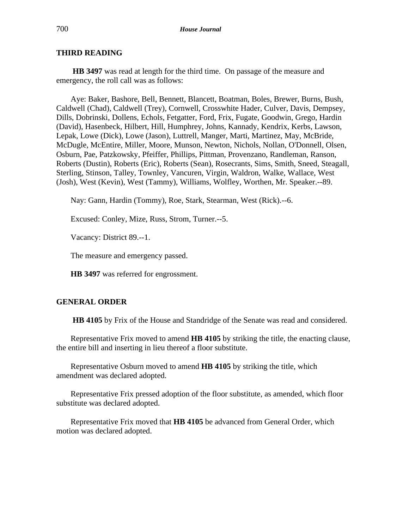**HB 3497** was read at length for the third time. On passage of the measure and emergency, the roll call was as follows:

Aye: Baker, Bashore, Bell, Bennett, Blancett, Boatman, Boles, Brewer, Burns, Bush, Caldwell (Chad), Caldwell (Trey), Cornwell, Crosswhite Hader, Culver, Davis, Dempsey, Dills, Dobrinski, Dollens, Echols, Fetgatter, Ford, Frix, Fugate, Goodwin, Grego, Hardin (David), Hasenbeck, Hilbert, Hill, Humphrey, Johns, Kannady, Kendrix, Kerbs, Lawson, Lepak, Lowe (Dick), Lowe (Jason), Luttrell, Manger, Marti, Martinez, May, McBride, McDugle, McEntire, Miller, Moore, Munson, Newton, Nichols, Nollan, O'Donnell, Olsen, Osburn, Pae, Patzkowsky, Pfeiffer, Phillips, Pittman, Provenzano, Randleman, Ranson, Roberts (Dustin), Roberts (Eric), Roberts (Sean), Rosecrants, Sims, Smith, Sneed, Steagall, Sterling, Stinson, Talley, Townley, Vancuren, Virgin, Waldron, Walke, Wallace, West (Josh), West (Kevin), West (Tammy), Williams, Wolfley, Worthen, Mr. Speaker.--89.

Nay: Gann, Hardin (Tommy), Roe, Stark, Stearman, West (Rick).--6.

Excused: Conley, Mize, Russ, Strom, Turner.--5.

Vacancy: District 89.--1.

The measure and emergency passed.

**HB 3497** was referred for engrossment.

### **GENERAL ORDER**

**HB 4105** by Frix of the House and Standridge of the Senate was read and considered.

Representative Frix moved to amend **HB 4105** by striking the title, the enacting clause, the entire bill and inserting in lieu thereof a floor substitute.

Representative Osburn moved to amend **HB 4105** by striking the title, which amendment was declared adopted.

Representative Frix pressed adoption of the floor substitute, as amended, which floor substitute was declared adopted.

Representative Frix moved that **HB 4105** be advanced from General Order, which motion was declared adopted.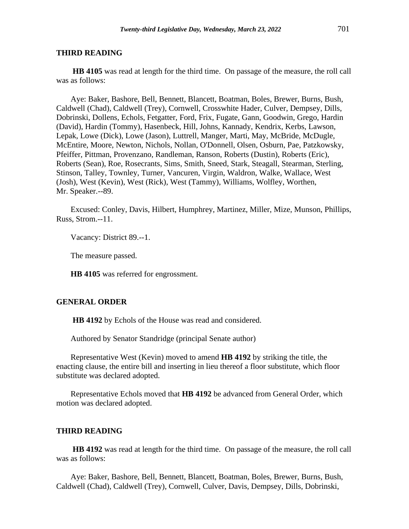**HB 4105** was read at length for the third time. On passage of the measure, the roll call was as follows:

Aye: Baker, Bashore, Bell, Bennett, Blancett, Boatman, Boles, Brewer, Burns, Bush, Caldwell (Chad), Caldwell (Trey), Cornwell, Crosswhite Hader, Culver, Dempsey, Dills, Dobrinski, Dollens, Echols, Fetgatter, Ford, Frix, Fugate, Gann, Goodwin, Grego, Hardin (David), Hardin (Tommy), Hasenbeck, Hill, Johns, Kannady, Kendrix, Kerbs, Lawson, Lepak, Lowe (Dick), Lowe (Jason), Luttrell, Manger, Marti, May, McBride, McDugle, McEntire, Moore, Newton, Nichols, Nollan, O'Donnell, Olsen, Osburn, Pae, Patzkowsky, Pfeiffer, Pittman, Provenzano, Randleman, Ranson, Roberts (Dustin), Roberts (Eric), Roberts (Sean), Roe, Rosecrants, Sims, Smith, Sneed, Stark, Steagall, Stearman, Sterling, Stinson, Talley, Townley, Turner, Vancuren, Virgin, Waldron, Walke, Wallace, West (Josh), West (Kevin), West (Rick), West (Tammy), Williams, Wolfley, Worthen, Mr. Speaker.--89.

Excused: Conley, Davis, Hilbert, Humphrey, Martinez, Miller, Mize, Munson, Phillips, Russ, Strom.--11.

Vacancy: District 89.--1.

The measure passed.

**HB 4105** was referred for engrossment.

#### **GENERAL ORDER**

**HB 4192** by Echols of the House was read and considered.

Authored by Senator Standridge (principal Senate author)

Representative West (Kevin) moved to amend **HB 4192** by striking the title, the enacting clause, the entire bill and inserting in lieu thereof a floor substitute, which floor substitute was declared adopted.

Representative Echols moved that **HB 4192** be advanced from General Order, which motion was declared adopted.

#### **THIRD READING**

**HB 4192** was read at length for the third time. On passage of the measure, the roll call was as follows:

Aye: Baker, Bashore, Bell, Bennett, Blancett, Boatman, Boles, Brewer, Burns, Bush, Caldwell (Chad), Caldwell (Trey), Cornwell, Culver, Davis, Dempsey, Dills, Dobrinski,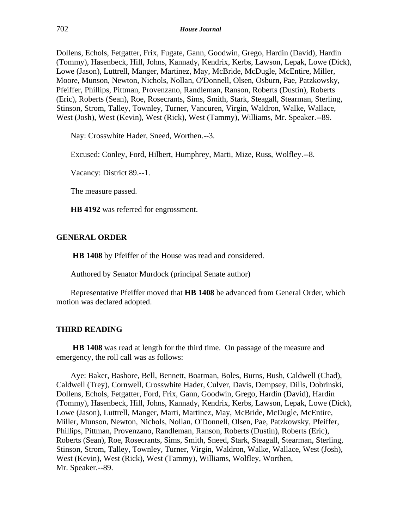Dollens, Echols, Fetgatter, Frix, Fugate, Gann, Goodwin, Grego, Hardin (David), Hardin (Tommy), Hasenbeck, Hill, Johns, Kannady, Kendrix, Kerbs, Lawson, Lepak, Lowe (Dick), Lowe (Jason), Luttrell, Manger, Martinez, May, McBride, McDugle, McEntire, Miller, Moore, Munson, Newton, Nichols, Nollan, O'Donnell, Olsen, Osburn, Pae, Patzkowsky, Pfeiffer, Phillips, Pittman, Provenzano, Randleman, Ranson, Roberts (Dustin), Roberts (Eric), Roberts (Sean), Roe, Rosecrants, Sims, Smith, Stark, Steagall, Stearman, Sterling, Stinson, Strom, Talley, Townley, Turner, Vancuren, Virgin, Waldron, Walke, Wallace, West (Josh), West (Kevin), West (Rick), West (Tammy), Williams, Mr. Speaker.--89.

Nay: Crosswhite Hader, Sneed, Worthen.--3.

Excused: Conley, Ford, Hilbert, Humphrey, Marti, Mize, Russ, Wolfley.--8.

Vacancy: District 89.--1.

The measure passed.

**HB 4192** was referred for engrossment.

## **GENERAL ORDER**

**HB 1408** by Pfeiffer of the House was read and considered.

Authored by Senator Murdock (principal Senate author)

Representative Pfeiffer moved that **HB 1408** be advanced from General Order, which motion was declared adopted.

## **THIRD READING**

**HB 1408** was read at length for the third time. On passage of the measure and emergency, the roll call was as follows:

Aye: Baker, Bashore, Bell, Bennett, Boatman, Boles, Burns, Bush, Caldwell (Chad), Caldwell (Trey), Cornwell, Crosswhite Hader, Culver, Davis, Dempsey, Dills, Dobrinski, Dollens, Echols, Fetgatter, Ford, Frix, Gann, Goodwin, Grego, Hardin (David), Hardin (Tommy), Hasenbeck, Hill, Johns, Kannady, Kendrix, Kerbs, Lawson, Lepak, Lowe (Dick), Lowe (Jason), Luttrell, Manger, Marti, Martinez, May, McBride, McDugle, McEntire, Miller, Munson, Newton, Nichols, Nollan, O'Donnell, Olsen, Pae, Patzkowsky, Pfeiffer, Phillips, Pittman, Provenzano, Randleman, Ranson, Roberts (Dustin), Roberts (Eric), Roberts (Sean), Roe, Rosecrants, Sims, Smith, Sneed, Stark, Steagall, Stearman, Sterling, Stinson, Strom, Talley, Townley, Turner, Virgin, Waldron, Walke, Wallace, West (Josh), West (Kevin), West (Rick), West (Tammy), Williams, Wolfley, Worthen, Mr. Speaker.--89.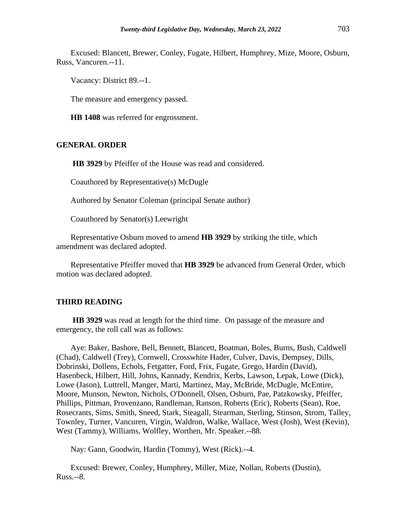Excused: Blancett, Brewer, Conley, Fugate, Hilbert, Humphrey, Mize, Moore, Osburn, Russ, Vancuren.--11.

Vacancy: District 89.--1.

The measure and emergency passed.

**HB 1408** was referred for engrossment.

### **GENERAL ORDER**

**HB 3929** by Pfeiffer of the House was read and considered.

Coauthored by Representative(s) McDugle

Authored by Senator Coleman (principal Senate author)

Coauthored by Senator(s) Leewright

Representative Osburn moved to amend **HB 3929** by striking the title, which amendment was declared adopted.

Representative Pfeiffer moved that **HB 3929** be advanced from General Order, which motion was declared adopted.

### **THIRD READING**

**HB 3929** was read at length for the third time. On passage of the measure and emergency, the roll call was as follows:

Aye: Baker, Bashore, Bell, Bennett, Blancett, Boatman, Boles, Burns, Bush, Caldwell (Chad), Caldwell (Trey), Cornwell, Crosswhite Hader, Culver, Davis, Dempsey, Dills, Dobrinski, Dollens, Echols, Fetgatter, Ford, Frix, Fugate, Grego, Hardin (David), Hasenbeck, Hilbert, Hill, Johns, Kannady, Kendrix, Kerbs, Lawson, Lepak, Lowe (Dick), Lowe (Jason), Luttrell, Manger, Marti, Martinez, May, McBride, McDugle, McEntire, Moore, Munson, Newton, Nichols, O'Donnell, Olsen, Osburn, Pae, Patzkowsky, Pfeiffer, Phillips, Pittman, Provenzano, Randleman, Ranson, Roberts (Eric), Roberts (Sean), Roe, Rosecrants, Sims, Smith, Sneed, Stark, Steagall, Stearman, Sterling, Stinson, Strom, Talley, Townley, Turner, Vancuren, Virgin, Waldron, Walke, Wallace, West (Josh), West (Kevin), West (Tammy), Williams, Wolfley, Worthen, Mr. Speaker.--88.

Nay: Gann, Goodwin, Hardin (Tommy), West (Rick).--4.

Excused: Brewer, Conley, Humphrey, Miller, Mize, Nollan, Roberts (Dustin), Russ.--8.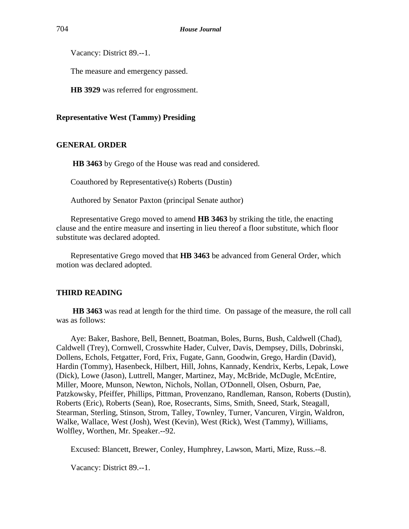Vacancy: District 89.--1.

The measure and emergency passed.

**HB 3929** was referred for engrossment.

# **Representative West (Tammy) Presiding**

# **GENERAL ORDER**

**HB 3463** by Grego of the House was read and considered.

Coauthored by Representative(s) Roberts (Dustin)

Authored by Senator Paxton (principal Senate author)

Representative Grego moved to amend **HB 3463** by striking the title, the enacting clause and the entire measure and inserting in lieu thereof a floor substitute, which floor substitute was declared adopted.

Representative Grego moved that **HB 3463** be advanced from General Order, which motion was declared adopted.

# **THIRD READING**

**HB 3463** was read at length for the third time. On passage of the measure, the roll call was as follows:

Aye: Baker, Bashore, Bell, Bennett, Boatman, Boles, Burns, Bush, Caldwell (Chad), Caldwell (Trey), Cornwell, Crosswhite Hader, Culver, Davis, Dempsey, Dills, Dobrinski, Dollens, Echols, Fetgatter, Ford, Frix, Fugate, Gann, Goodwin, Grego, Hardin (David), Hardin (Tommy), Hasenbeck, Hilbert, Hill, Johns, Kannady, Kendrix, Kerbs, Lepak, Lowe (Dick), Lowe (Jason), Luttrell, Manger, Martinez, May, McBride, McDugle, McEntire, Miller, Moore, Munson, Newton, Nichols, Nollan, O'Donnell, Olsen, Osburn, Pae, Patzkowsky, Pfeiffer, Phillips, Pittman, Provenzano, Randleman, Ranson, Roberts (Dustin), Roberts (Eric), Roberts (Sean), Roe, Rosecrants, Sims, Smith, Sneed, Stark, Steagall, Stearman, Sterling, Stinson, Strom, Talley, Townley, Turner, Vancuren, Virgin, Waldron, Walke, Wallace, West (Josh), West (Kevin), West (Rick), West (Tammy), Williams, Wolfley, Worthen, Mr. Speaker.--92.

Excused: Blancett, Brewer, Conley, Humphrey, Lawson, Marti, Mize, Russ.--8.

Vacancy: District 89.--1.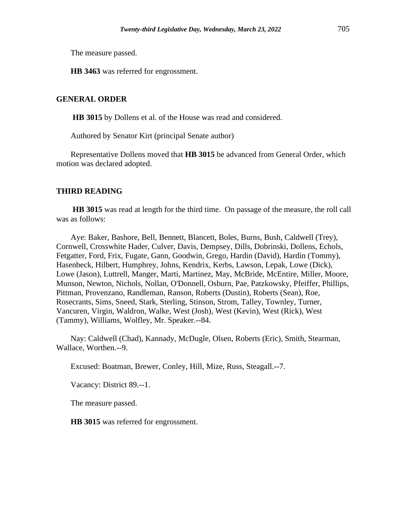The measure passed.

**HB 3463** was referred for engrossment.

## **GENERAL ORDER**

**HB 3015** by Dollens et al. of the House was read and considered.

Authored by Senator Kirt (principal Senate author)

Representative Dollens moved that **HB 3015** be advanced from General Order, which motion was declared adopted.

### **THIRD READING**

**HB 3015** was read at length for the third time. On passage of the measure, the roll call was as follows:

Aye: Baker, Bashore, Bell, Bennett, Blancett, Boles, Burns, Bush, Caldwell (Trey), Cornwell, Crosswhite Hader, Culver, Davis, Dempsey, Dills, Dobrinski, Dollens, Echols, Fetgatter, Ford, Frix, Fugate, Gann, Goodwin, Grego, Hardin (David), Hardin (Tommy), Hasenbeck, Hilbert, Humphrey, Johns, Kendrix, Kerbs, Lawson, Lepak, Lowe (Dick), Lowe (Jason), Luttrell, Manger, Marti, Martinez, May, McBride, McEntire, Miller, Moore, Munson, Newton, Nichols, Nollan, O'Donnell, Osburn, Pae, Patzkowsky, Pfeiffer, Phillips, Pittman, Provenzano, Randleman, Ranson, Roberts (Dustin), Roberts (Sean), Roe, Rosecrants, Sims, Sneed, Stark, Sterling, Stinson, Strom, Talley, Townley, Turner, Vancuren, Virgin, Waldron, Walke, West (Josh), West (Kevin), West (Rick), West (Tammy), Williams, Wolfley, Mr. Speaker.--84.

Nay: Caldwell (Chad), Kannady, McDugle, Olsen, Roberts (Eric), Smith, Stearman, Wallace, Worthen.--9.

Excused: Boatman, Brewer, Conley, Hill, Mize, Russ, Steagall.--7.

Vacancy: District 89.--1.

The measure passed.

**HB 3015** was referred for engrossment.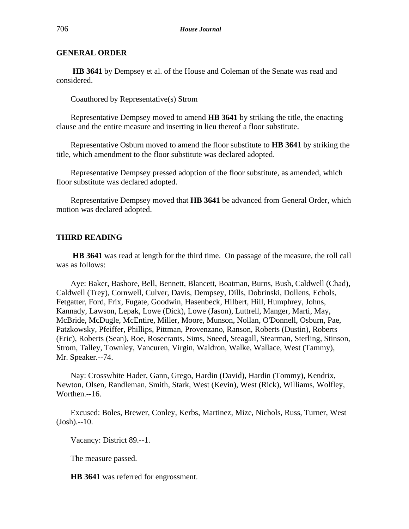## **GENERAL ORDER**

**HB 3641** by Dempsey et al. of the House and Coleman of the Senate was read and considered.

Coauthored by Representative(s) Strom

Representative Dempsey moved to amend **HB 3641** by striking the title, the enacting clause and the entire measure and inserting in lieu thereof a floor substitute.

Representative Osburn moved to amend the floor substitute to **HB 3641** by striking the title, which amendment to the floor substitute was declared adopted.

Representative Dempsey pressed adoption of the floor substitute, as amended, which floor substitute was declared adopted.

Representative Dempsey moved that **HB 3641** be advanced from General Order, which motion was declared adopted.

#### **THIRD READING**

**HB 3641** was read at length for the third time. On passage of the measure, the roll call was as follows:

Aye: Baker, Bashore, Bell, Bennett, Blancett, Boatman, Burns, Bush, Caldwell (Chad), Caldwell (Trey), Cornwell, Culver, Davis, Dempsey, Dills, Dobrinski, Dollens, Echols, Fetgatter, Ford, Frix, Fugate, Goodwin, Hasenbeck, Hilbert, Hill, Humphrey, Johns, Kannady, Lawson, Lepak, Lowe (Dick), Lowe (Jason), Luttrell, Manger, Marti, May, McBride, McDugle, McEntire, Miller, Moore, Munson, Nollan, O'Donnell, Osburn, Pae, Patzkowsky, Pfeiffer, Phillips, Pittman, Provenzano, Ranson, Roberts (Dustin), Roberts (Eric), Roberts (Sean), Roe, Rosecrants, Sims, Sneed, Steagall, Stearman, Sterling, Stinson, Strom, Talley, Townley, Vancuren, Virgin, Waldron, Walke, Wallace, West (Tammy), Mr. Speaker.--74.

Nay: Crosswhite Hader, Gann, Grego, Hardin (David), Hardin (Tommy), Kendrix, Newton, Olsen, Randleman, Smith, Stark, West (Kevin), West (Rick), Williams, Wolfley, Worthen.--16.

Excused: Boles, Brewer, Conley, Kerbs, Martinez, Mize, Nichols, Russ, Turner, West  $(John). -10.$ 

Vacancy: District 89.--1.

The measure passed.

**HB 3641** was referred for engrossment.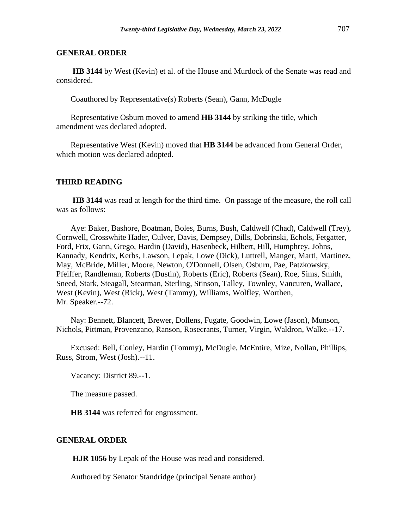## **GENERAL ORDER**

**HB 3144** by West (Kevin) et al. of the House and Murdock of the Senate was read and considered.

Coauthored by Representative(s) Roberts (Sean), Gann, McDugle

Representative Osburn moved to amend **HB 3144** by striking the title, which amendment was declared adopted.

Representative West (Kevin) moved that **HB 3144** be advanced from General Order, which motion was declared adopted.

#### **THIRD READING**

**HB 3144** was read at length for the third time. On passage of the measure, the roll call was as follows:

Aye: Baker, Bashore, Boatman, Boles, Burns, Bush, Caldwell (Chad), Caldwell (Trey), Cornwell, Crosswhite Hader, Culver, Davis, Dempsey, Dills, Dobrinski, Echols, Fetgatter, Ford, Frix, Gann, Grego, Hardin (David), Hasenbeck, Hilbert, Hill, Humphrey, Johns, Kannady, Kendrix, Kerbs, Lawson, Lepak, Lowe (Dick), Luttrell, Manger, Marti, Martinez, May, McBride, Miller, Moore, Newton, O'Donnell, Olsen, Osburn, Pae, Patzkowsky, Pfeiffer, Randleman, Roberts (Dustin), Roberts (Eric), Roberts (Sean), Roe, Sims, Smith, Sneed, Stark, Steagall, Stearman, Sterling, Stinson, Talley, Townley, Vancuren, Wallace, West (Kevin), West (Rick), West (Tammy), Williams, Wolfley, Worthen, Mr. Speaker.--72.

Nay: Bennett, Blancett, Brewer, Dollens, Fugate, Goodwin, Lowe (Jason), Munson, Nichols, Pittman, Provenzano, Ranson, Rosecrants, Turner, Virgin, Waldron, Walke.--17.

Excused: Bell, Conley, Hardin (Tommy), McDugle, McEntire, Mize, Nollan, Phillips, Russ, Strom, West (Josh).--11.

Vacancy: District 89.--1.

The measure passed.

**HB 3144** was referred for engrossment.

#### **GENERAL ORDER**

**HJR 1056** by Lepak of the House was read and considered.

Authored by Senator Standridge (principal Senate author)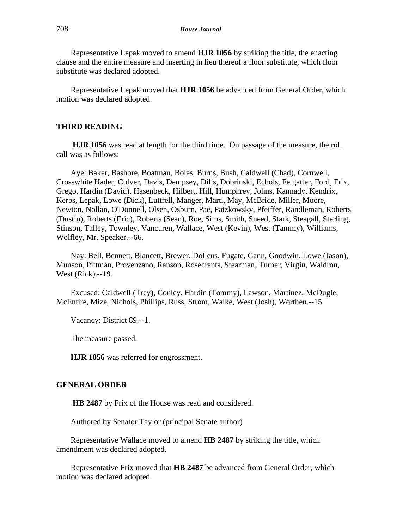Representative Lepak moved to amend **HJR 1056** by striking the title, the enacting clause and the entire measure and inserting in lieu thereof a floor substitute, which floor substitute was declared adopted.

Representative Lepak moved that **HJR 1056** be advanced from General Order, which motion was declared adopted.

## **THIRD READING**

**HJR 1056** was read at length for the third time. On passage of the measure, the roll call was as follows:

Aye: Baker, Bashore, Boatman, Boles, Burns, Bush, Caldwell (Chad), Cornwell, Crosswhite Hader, Culver, Davis, Dempsey, Dills, Dobrinski, Echols, Fetgatter, Ford, Frix, Grego, Hardin (David), Hasenbeck, Hilbert, Hill, Humphrey, Johns, Kannady, Kendrix, Kerbs, Lepak, Lowe (Dick), Luttrell, Manger, Marti, May, McBride, Miller, Moore, Newton, Nollan, O'Donnell, Olsen, Osburn, Pae, Patzkowsky, Pfeiffer, Randleman, Roberts (Dustin), Roberts (Eric), Roberts (Sean), Roe, Sims, Smith, Sneed, Stark, Steagall, Sterling, Stinson, Talley, Townley, Vancuren, Wallace, West (Kevin), West (Tammy), Williams, Wolfley, Mr. Speaker.--66.

Nay: Bell, Bennett, Blancett, Brewer, Dollens, Fugate, Gann, Goodwin, Lowe (Jason), Munson, Pittman, Provenzano, Ranson, Rosecrants, Stearman, Turner, Virgin, Waldron, West (Rick).--19.

Excused: Caldwell (Trey), Conley, Hardin (Tommy), Lawson, Martinez, McDugle, McEntire, Mize, Nichols, Phillips, Russ, Strom, Walke, West (Josh), Worthen.--15.

Vacancy: District 89.--1.

The measure passed.

**HJR 1056** was referred for engrossment.

### **GENERAL ORDER**

**HB 2487** by Frix of the House was read and considered.

Authored by Senator Taylor (principal Senate author)

Representative Wallace moved to amend **HB 2487** by striking the title, which amendment was declared adopted.

Representative Frix moved that **HB 2487** be advanced from General Order, which motion was declared adopted.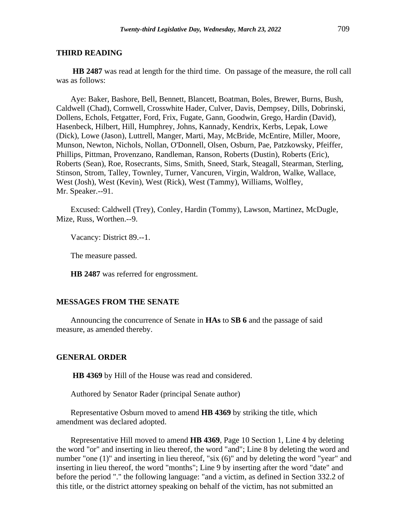**HB 2487** was read at length for the third time. On passage of the measure, the roll call was as follows:

Aye: Baker, Bashore, Bell, Bennett, Blancett, Boatman, Boles, Brewer, Burns, Bush, Caldwell (Chad), Cornwell, Crosswhite Hader, Culver, Davis, Dempsey, Dills, Dobrinski, Dollens, Echols, Fetgatter, Ford, Frix, Fugate, Gann, Goodwin, Grego, Hardin (David), Hasenbeck, Hilbert, Hill, Humphrey, Johns, Kannady, Kendrix, Kerbs, Lepak, Lowe (Dick), Lowe (Jason), Luttrell, Manger, Marti, May, McBride, McEntire, Miller, Moore, Munson, Newton, Nichols, Nollan, O'Donnell, Olsen, Osburn, Pae, Patzkowsky, Pfeiffer, Phillips, Pittman, Provenzano, Randleman, Ranson, Roberts (Dustin), Roberts (Eric), Roberts (Sean), Roe, Rosecrants, Sims, Smith, Sneed, Stark, Steagall, Stearman, Sterling, Stinson, Strom, Talley, Townley, Turner, Vancuren, Virgin, Waldron, Walke, Wallace, West (Josh), West (Kevin), West (Rick), West (Tammy), Williams, Wolfley, Mr. Speaker.--91.

Excused: Caldwell (Trey), Conley, Hardin (Tommy), Lawson, Martinez, McDugle, Mize, Russ, Worthen.--9.

Vacancy: District 89.--1.

The measure passed.

**HB 2487** was referred for engrossment.

### **MESSAGES FROM THE SENATE**

Announcing the concurrence of Senate in **HAs** to **SB 6** and the passage of said measure, as amended thereby.

### **GENERAL ORDER**

**HB 4369** by Hill of the House was read and considered.

Authored by Senator Rader (principal Senate author)

Representative Osburn moved to amend **HB 4369** by striking the title, which amendment was declared adopted.

Representative Hill moved to amend **HB 4369**, Page 10 Section 1, Line 4 by deleting the word "or" and inserting in lieu thereof, the word "and"; Line 8 by deleting the word and number "one (1)" and inserting in lieu thereof, "six (6)" and by deleting the word "year" and inserting in lieu thereof, the word "months"; Line 9 by inserting after the word "date" and before the period "." the following language: "and a victim, as defined in Section 332.2 of this title, or the district attorney speaking on behalf of the victim, has not submitted an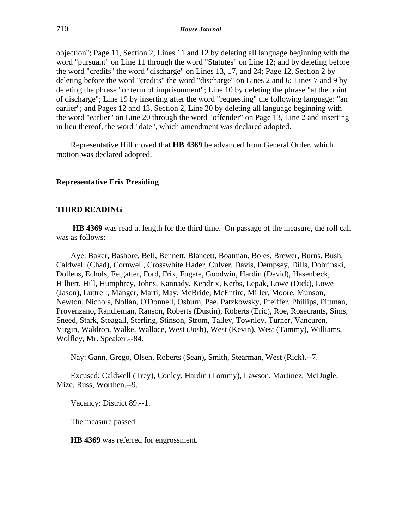objection"; Page 11, Section 2, Lines 11 and 12 by deleting all language beginning with the word "pursuant" on Line 11 through the word "Statutes" on Line 12; and by deleting before the word "credits" the word "discharge" on Lines 13, 17, and 24; Page 12, Section 2 by deleting before the word "credits" the word "discharge" on Lines 2 and 6; Lines 7 and 9 by deleting the phrase "or term of imprisonment"; Line 10 by deleting the phrase "at the point of discharge"; Line 19 by inserting after the word "requesting" the following language: "an earlier"; and Pages 12 and 13, Section 2, Line 20 by deleting all language beginning with the word "earlier" on Line 20 through the word "offender" on Page 13, Line 2 and inserting in lieu thereof, the word "date", which amendment was declared adopted.

Representative Hill moved that **HB 4369** be advanced from General Order, which motion was declared adopted.

## **Representative Frix Presiding**

### **THIRD READING**

**HB 4369** was read at length for the third time. On passage of the measure, the roll call was as follows:

Aye: Baker, Bashore, Bell, Bennett, Blancett, Boatman, Boles, Brewer, Burns, Bush, Caldwell (Chad), Cornwell, Crosswhite Hader, Culver, Davis, Dempsey, Dills, Dobrinski, Dollens, Echols, Fetgatter, Ford, Frix, Fugate, Goodwin, Hardin (David), Hasenbeck, Hilbert, Hill, Humphrey, Johns, Kannady, Kendrix, Kerbs, Lepak, Lowe (Dick), Lowe (Jason), Luttrell, Manger, Marti, May, McBride, McEntire, Miller, Moore, Munson, Newton, Nichols, Nollan, O'Donnell, Osburn, Pae, Patzkowsky, Pfeiffer, Phillips, Pittman, Provenzano, Randleman, Ranson, Roberts (Dustin), Roberts (Eric), Roe, Rosecrants, Sims, Sneed, Stark, Steagall, Sterling, Stinson, Strom, Talley, Townley, Turner, Vancuren, Virgin, Waldron, Walke, Wallace, West (Josh), West (Kevin), West (Tammy), Williams, Wolfley, Mr. Speaker.--84.

Nay: Gann, Grego, Olsen, Roberts (Sean), Smith, Stearman, West (Rick).--7.

Excused: Caldwell (Trey), Conley, Hardin (Tommy), Lawson, Martinez, McDugle, Mize, Russ, Worthen.--9.

Vacancy: District 89.--1.

The measure passed.

**HB 4369** was referred for engrossment.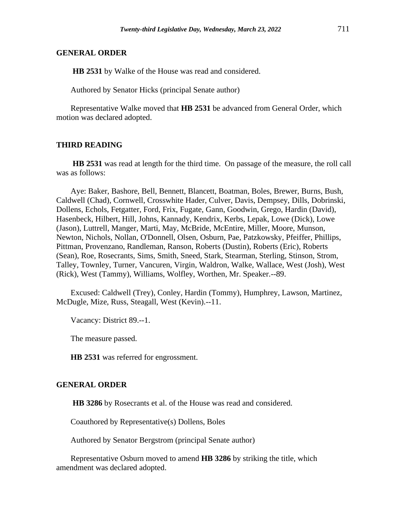### **GENERAL ORDER**

**HB 2531** by Walke of the House was read and considered.

Authored by Senator Hicks (principal Senate author)

Representative Walke moved that **HB 2531** be advanced from General Order, which motion was declared adopted.

## **THIRD READING**

**HB 2531** was read at length for the third time. On passage of the measure, the roll call was as follows:

Aye: Baker, Bashore, Bell, Bennett, Blancett, Boatman, Boles, Brewer, Burns, Bush, Caldwell (Chad), Cornwell, Crosswhite Hader, Culver, Davis, Dempsey, Dills, Dobrinski, Dollens, Echols, Fetgatter, Ford, Frix, Fugate, Gann, Goodwin, Grego, Hardin (David), Hasenbeck, Hilbert, Hill, Johns, Kannady, Kendrix, Kerbs, Lepak, Lowe (Dick), Lowe (Jason), Luttrell, Manger, Marti, May, McBride, McEntire, Miller, Moore, Munson, Newton, Nichols, Nollan, O'Donnell, Olsen, Osburn, Pae, Patzkowsky, Pfeiffer, Phillips, Pittman, Provenzano, Randleman, Ranson, Roberts (Dustin), Roberts (Eric), Roberts (Sean), Roe, Rosecrants, Sims, Smith, Sneed, Stark, Stearman, Sterling, Stinson, Strom, Talley, Townley, Turner, Vancuren, Virgin, Waldron, Walke, Wallace, West (Josh), West (Rick), West (Tammy), Williams, Wolfley, Worthen, Mr. Speaker.--89.

Excused: Caldwell (Trey), Conley, Hardin (Tommy), Humphrey, Lawson, Martinez, McDugle, Mize, Russ, Steagall, West (Kevin).--11.

Vacancy: District 89.--1.

The measure passed.

**HB 2531** was referred for engrossment.

### **GENERAL ORDER**

**HB 3286** by Rosecrants et al. of the House was read and considered.

Coauthored by Representative(s) Dollens, Boles

Authored by Senator Bergstrom (principal Senate author)

Representative Osburn moved to amend **HB 3286** by striking the title, which amendment was declared adopted.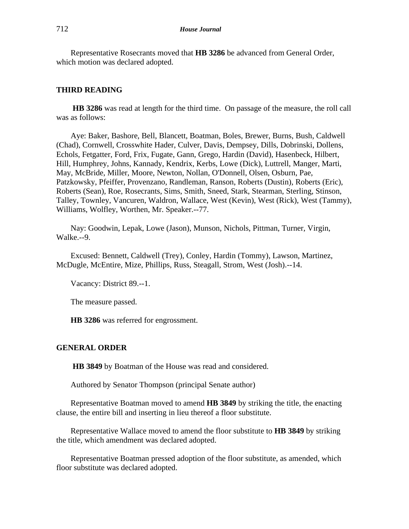Representative Rosecrants moved that **HB 3286** be advanced from General Order, which motion was declared adopted.

### **THIRD READING**

**HB 3286** was read at length for the third time. On passage of the measure, the roll call was as follows:

Aye: Baker, Bashore, Bell, Blancett, Boatman, Boles, Brewer, Burns, Bush, Caldwell (Chad), Cornwell, Crosswhite Hader, Culver, Davis, Dempsey, Dills, Dobrinski, Dollens, Echols, Fetgatter, Ford, Frix, Fugate, Gann, Grego, Hardin (David), Hasenbeck, Hilbert, Hill, Humphrey, Johns, Kannady, Kendrix, Kerbs, Lowe (Dick), Luttrell, Manger, Marti, May, McBride, Miller, Moore, Newton, Nollan, O'Donnell, Olsen, Osburn, Pae, Patzkowsky, Pfeiffer, Provenzano, Randleman, Ranson, Roberts (Dustin), Roberts (Eric), Roberts (Sean), Roe, Rosecrants, Sims, Smith, Sneed, Stark, Stearman, Sterling, Stinson, Talley, Townley, Vancuren, Waldron, Wallace, West (Kevin), West (Rick), West (Tammy), Williams, Wolfley, Worthen, Mr. Speaker.--77.

Nay: Goodwin, Lepak, Lowe (Jason), Munson, Nichols, Pittman, Turner, Virgin, Walke.--9.

Excused: Bennett, Caldwell (Trey), Conley, Hardin (Tommy), Lawson, Martinez, McDugle, McEntire, Mize, Phillips, Russ, Steagall, Strom, West (Josh).--14.

Vacancy: District 89.--1.

The measure passed.

**HB 3286** was referred for engrossment.

#### **GENERAL ORDER**

**HB 3849** by Boatman of the House was read and considered.

Authored by Senator Thompson (principal Senate author)

Representative Boatman moved to amend **HB 3849** by striking the title, the enacting clause, the entire bill and inserting in lieu thereof a floor substitute.

Representative Wallace moved to amend the floor substitute to **HB 3849** by striking the title, which amendment was declared adopted.

Representative Boatman pressed adoption of the floor substitute, as amended, which floor substitute was declared adopted.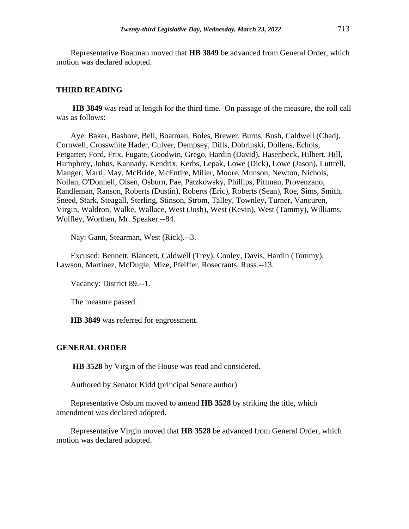Representative Boatman moved that **HB 3849** be advanced from General Order, which motion was declared adopted.

### **THIRD READING**

**HB 3849** was read at length for the third time. On passage of the measure, the roll call was as follows:

Aye: Baker, Bashore, Bell, Boatman, Boles, Brewer, Burns, Bush, Caldwell (Chad), Cornwell, Crosswhite Hader, Culver, Dempsey, Dills, Dobrinski, Dollens, Echols, Fetgatter, Ford, Frix, Fugate, Goodwin, Grego, Hardin (David), Hasenbeck, Hilbert, Hill, Humphrey, Johns, Kannady, Kendrix, Kerbs, Lepak, Lowe (Dick), Lowe (Jason), Luttrell, Manger, Marti, May, McBride, McEntire, Miller, Moore, Munson, Newton, Nichols, Nollan, O'Donnell, Olsen, Osburn, Pae, Patzkowsky, Phillips, Pittman, Provenzano, Randleman, Ranson, Roberts (Dustin), Roberts (Eric), Roberts (Sean), Roe, Sims, Smith, Sneed, Stark, Steagall, Sterling, Stinson, Strom, Talley, Townley, Turner, Vancuren, Virgin, Waldron, Walke, Wallace, West (Josh), West (Kevin), West (Tammy), Williams, Wolfley, Worthen, Mr. Speaker.--84.

Nay: Gann, Stearman, West (Rick).--3.

Excused: Bennett, Blancett, Caldwell (Trey), Conley, Davis, Hardin (Tommy), Lawson, Martinez, McDugle, Mize, Pfeiffer, Rosecrants, Russ.--13.

Vacancy: District 89.--1.

The measure passed.

**HB 3849** was referred for engrossment.

#### **GENERAL ORDER**

**HB 3528** by Virgin of the House was read and considered.

Authored by Senator Kidd (principal Senate author)

Representative Osburn moved to amend **HB 3528** by striking the title, which amendment was declared adopted.

Representative Virgin moved that **HB 3528** be advanced from General Order, which motion was declared adopted.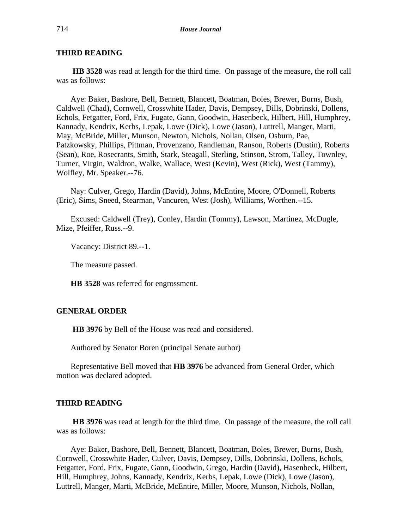**HB 3528** was read at length for the third time. On passage of the measure, the roll call was as follows:

Aye: Baker, Bashore, Bell, Bennett, Blancett, Boatman, Boles, Brewer, Burns, Bush, Caldwell (Chad), Cornwell, Crosswhite Hader, Davis, Dempsey, Dills, Dobrinski, Dollens, Echols, Fetgatter, Ford, Frix, Fugate, Gann, Goodwin, Hasenbeck, Hilbert, Hill, Humphrey, Kannady, Kendrix, Kerbs, Lepak, Lowe (Dick), Lowe (Jason), Luttrell, Manger, Marti, May, McBride, Miller, Munson, Newton, Nichols, Nollan, Olsen, Osburn, Pae, Patzkowsky, Phillips, Pittman, Provenzano, Randleman, Ranson, Roberts (Dustin), Roberts (Sean), Roe, Rosecrants, Smith, Stark, Steagall, Sterling, Stinson, Strom, Talley, Townley, Turner, Virgin, Waldron, Walke, Wallace, West (Kevin), West (Rick), West (Tammy), Wolfley, Mr. Speaker.--76.

Nay: Culver, Grego, Hardin (David), Johns, McEntire, Moore, O'Donnell, Roberts (Eric), Sims, Sneed, Stearman, Vancuren, West (Josh), Williams, Worthen.--15.

Excused: Caldwell (Trey), Conley, Hardin (Tommy), Lawson, Martinez, McDugle, Mize, Pfeiffer, Russ.--9.

Vacancy: District 89.--1.

The measure passed.

**HB 3528** was referred for engrossment.

## **GENERAL ORDER**

**HB 3976** by Bell of the House was read and considered.

Authored by Senator Boren (principal Senate author)

Representative Bell moved that **HB 3976** be advanced from General Order, which motion was declared adopted.

#### **THIRD READING**

**HB 3976** was read at length for the third time. On passage of the measure, the roll call was as follows:

Aye: Baker, Bashore, Bell, Bennett, Blancett, Boatman, Boles, Brewer, Burns, Bush, Cornwell, Crosswhite Hader, Culver, Davis, Dempsey, Dills, Dobrinski, Dollens, Echols, Fetgatter, Ford, Frix, Fugate, Gann, Goodwin, Grego, Hardin (David), Hasenbeck, Hilbert, Hill, Humphrey, Johns, Kannady, Kendrix, Kerbs, Lepak, Lowe (Dick), Lowe (Jason), Luttrell, Manger, Marti, McBride, McEntire, Miller, Moore, Munson, Nichols, Nollan,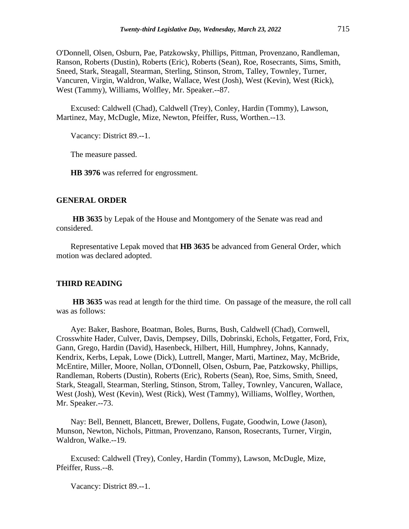O'Donnell, Olsen, Osburn, Pae, Patzkowsky, Phillips, Pittman, Provenzano, Randleman, Ranson, Roberts (Dustin), Roberts (Eric), Roberts (Sean), Roe, Rosecrants, Sims, Smith, Sneed, Stark, Steagall, Stearman, Sterling, Stinson, Strom, Talley, Townley, Turner, Vancuren, Virgin, Waldron, Walke, Wallace, West (Josh), West (Kevin), West (Rick), West (Tammy), Williams, Wolfley, Mr. Speaker.--87.

Excused: Caldwell (Chad), Caldwell (Trey), Conley, Hardin (Tommy), Lawson, Martinez, May, McDugle, Mize, Newton, Pfeiffer, Russ, Worthen.--13.

Vacancy: District 89.--1.

The measure passed.

**HB 3976** was referred for engrossment.

## **GENERAL ORDER**

**HB 3635** by Lepak of the House and Montgomery of the Senate was read and considered.

Representative Lepak moved that **HB 3635** be advanced from General Order, which motion was declared adopted.

## **THIRD READING**

**HB 3635** was read at length for the third time. On passage of the measure, the roll call was as follows:

Aye: Baker, Bashore, Boatman, Boles, Burns, Bush, Caldwell (Chad), Cornwell, Crosswhite Hader, Culver, Davis, Dempsey, Dills, Dobrinski, Echols, Fetgatter, Ford, Frix, Gann, Grego, Hardin (David), Hasenbeck, Hilbert, Hill, Humphrey, Johns, Kannady, Kendrix, Kerbs, Lepak, Lowe (Dick), Luttrell, Manger, Marti, Martinez, May, McBride, McEntire, Miller, Moore, Nollan, O'Donnell, Olsen, Osburn, Pae, Patzkowsky, Phillips, Randleman, Roberts (Dustin), Roberts (Eric), Roberts (Sean), Roe, Sims, Smith, Sneed, Stark, Steagall, Stearman, Sterling, Stinson, Strom, Talley, Townley, Vancuren, Wallace, West (Josh), West (Kevin), West (Rick), West (Tammy), Williams, Wolfley, Worthen, Mr. Speaker.--73.

Nay: Bell, Bennett, Blancett, Brewer, Dollens, Fugate, Goodwin, Lowe (Jason), Munson, Newton, Nichols, Pittman, Provenzano, Ranson, Rosecrants, Turner, Virgin, Waldron, Walke.--19.

Excused: Caldwell (Trey), Conley, Hardin (Tommy), Lawson, McDugle, Mize, Pfeiffer, Russ.--8.

Vacancy: District 89.--1.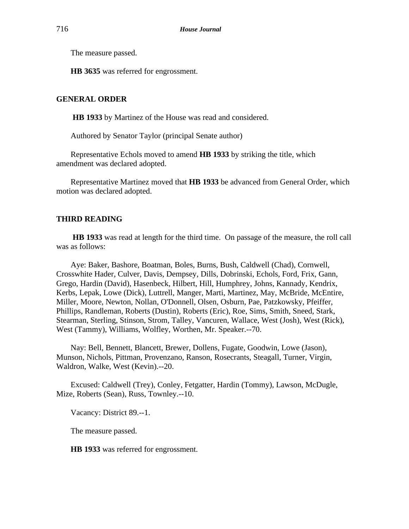The measure passed.

**HB 3635** was referred for engrossment.

## **GENERAL ORDER**

**HB 1933** by Martinez of the House was read and considered.

Authored by Senator Taylor (principal Senate author)

Representative Echols moved to amend **HB 1933** by striking the title, which amendment was declared adopted.

Representative Martinez moved that **HB 1933** be advanced from General Order, which motion was declared adopted.

### **THIRD READING**

**HB 1933** was read at length for the third time. On passage of the measure, the roll call was as follows:

Aye: Baker, Bashore, Boatman, Boles, Burns, Bush, Caldwell (Chad), Cornwell, Crosswhite Hader, Culver, Davis, Dempsey, Dills, Dobrinski, Echols, Ford, Frix, Gann, Grego, Hardin (David), Hasenbeck, Hilbert, Hill, Humphrey, Johns, Kannady, Kendrix, Kerbs, Lepak, Lowe (Dick), Luttrell, Manger, Marti, Martinez, May, McBride, McEntire, Miller, Moore, Newton, Nollan, O'Donnell, Olsen, Osburn, Pae, Patzkowsky, Pfeiffer, Phillips, Randleman, Roberts (Dustin), Roberts (Eric), Roe, Sims, Smith, Sneed, Stark, Stearman, Sterling, Stinson, Strom, Talley, Vancuren, Wallace, West (Josh), West (Rick), West (Tammy), Williams, Wolfley, Worthen, Mr. Speaker.--70.

Nay: Bell, Bennett, Blancett, Brewer, Dollens, Fugate, Goodwin, Lowe (Jason), Munson, Nichols, Pittman, Provenzano, Ranson, Rosecrants, Steagall, Turner, Virgin, Waldron, Walke, West (Kevin).--20.

Excused: Caldwell (Trey), Conley, Fetgatter, Hardin (Tommy), Lawson, McDugle, Mize, Roberts (Sean), Russ, Townley.--10.

Vacancy: District 89.--1.

The measure passed.

**HB 1933** was referred for engrossment.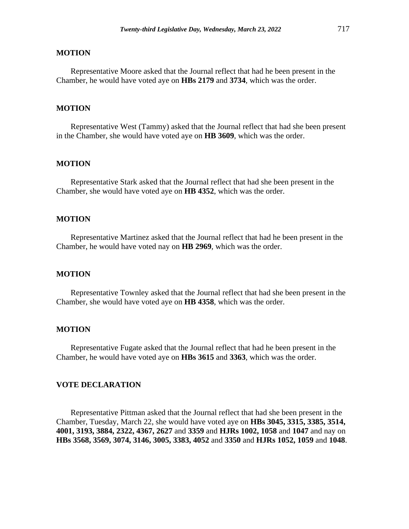# **MOTION**

Representative Moore asked that the Journal reflect that had he been present in the Chamber, he would have voted aye on **HBs 2179** and **3734**, which was the order.

## **MOTION**

Representative West (Tammy) asked that the Journal reflect that had she been present in the Chamber, she would have voted aye on **HB 3609**, which was the order.

## **MOTION**

Representative Stark asked that the Journal reflect that had she been present in the Chamber, she would have voted aye on **HB 4352**, which was the order.

# **MOTION**

Representative Martinez asked that the Journal reflect that had he been present in the Chamber, he would have voted nay on **HB 2969**, which was the order.

#### **MOTION**

Representative Townley asked that the Journal reflect that had she been present in the Chamber, she would have voted aye on **HB 4358**, which was the order.

#### **MOTION**

Representative Fugate asked that the Journal reflect that had he been present in the Chamber, he would have voted aye on **HBs 3615** and **3363**, which was the order.

#### **VOTE DECLARATION**

Representative Pittman asked that the Journal reflect that had she been present in the Chamber, Tuesday, March 22, she would have voted aye on **HBs 3045, 3315, 3385, 3514, 4001, 3193, 3884, 2322, 4367, 2627** and **3359** and **HJRs 1002, 1058** and **1047** and nay on **HBs 3568, 3569, 3074, 3146, 3005, 3383, 4052** and **3350** and **HJRs 1052, 1059** and **1048**.